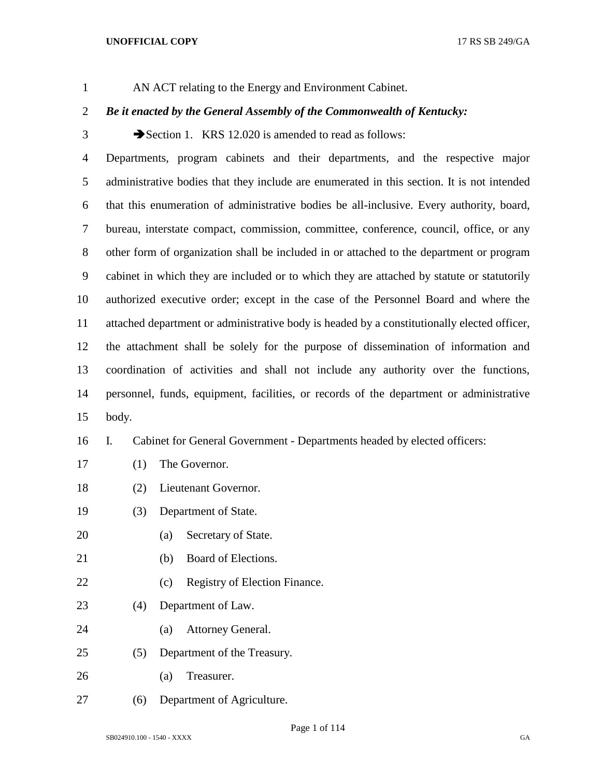AN ACT relating to the Energy and Environment Cabinet.

# *Be it enacted by the General Assembly of the Commonwealth of Kentucky:*

3 Section 1. KRS 12.020 is amended to read as follows:

 Departments, program cabinets and their departments, and the respective major administrative bodies that they include are enumerated in this section. It is not intended that this enumeration of administrative bodies be all-inclusive. Every authority, board, bureau, interstate compact, commission, committee, conference, council, office, or any other form of organization shall be included in or attached to the department or program cabinet in which they are included or to which they are attached by statute or statutorily authorized executive order; except in the case of the Personnel Board and where the attached department or administrative body is headed by a constitutionally elected officer, the attachment shall be solely for the purpose of dissemination of information and coordination of activities and shall not include any authority over the functions, personnel, funds, equipment, facilities, or records of the department or administrative body.

# I. Cabinet for General Government - Departments headed by elected officers:

- (1) The Governor.
- (2) Lieutenant Governor.
- (3) Department of State.
- (a) Secretary of State.
- (b) Board of Elections.
- 22 (c) Registry of Election Finance.
- (4) Department of Law.
- (a) Attorney General.
- (5) Department of the Treasury.
- (a) Treasurer.
- (6) Department of Agriculture.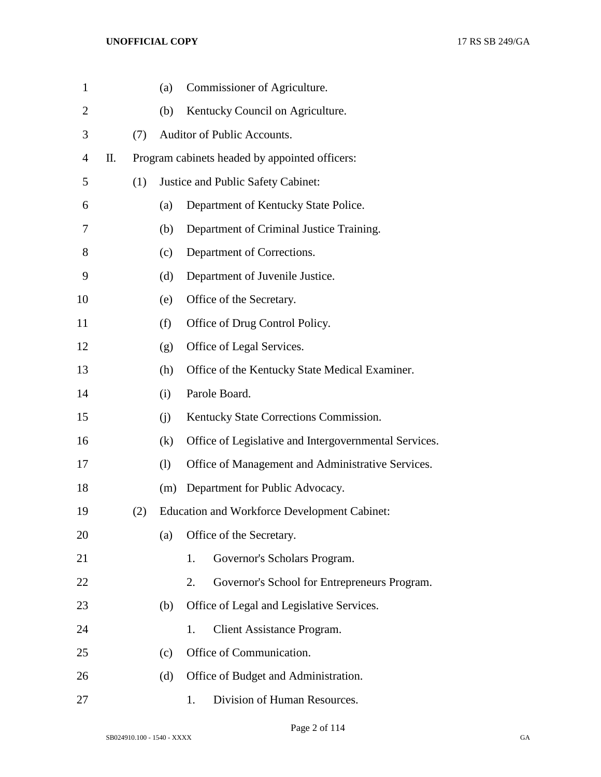| $\mathbf{1}$   |    |     | (a) | Commissioner of Agriculture.                          |
|----------------|----|-----|-----|-------------------------------------------------------|
| $\overline{2}$ |    |     | (b) | Kentucky Council on Agriculture.                      |
| 3              |    | (7) |     | Auditor of Public Accounts.                           |
| 4              | П. |     |     | Program cabinets headed by appointed officers:        |
| 5              |    | (1) |     | Justice and Public Safety Cabinet:                    |
| 6              |    |     | (a) | Department of Kentucky State Police.                  |
| 7              |    |     | (b) | Department of Criminal Justice Training.              |
| 8              |    |     | (c) | Department of Corrections.                            |
| 9              |    |     | (d) | Department of Juvenile Justice.                       |
| 10             |    |     | (e) | Office of the Secretary.                              |
| 11             |    |     | (f) | Office of Drug Control Policy.                        |
| 12             |    |     | (g) | Office of Legal Services.                             |
| 13             |    |     | (h) | Office of the Kentucky State Medical Examiner.        |
| 14             |    |     | (i) | Parole Board.                                         |
| 15             |    |     | (i) | Kentucky State Corrections Commission.                |
| 16             |    |     | (k) | Office of Legislative and Intergovernmental Services. |
| 17             |    |     | (1) | Office of Management and Administrative Services.     |
| 18             |    |     | (m) | Department for Public Advocacy.                       |
| 19             |    | (2) |     | <b>Education and Workforce Development Cabinet:</b>   |
| 20             |    |     | (a) | Office of the Secretary.                              |
| 21             |    |     |     | Governor's Scholars Program.<br>1.                    |
| 22             |    |     |     | 2.<br>Governor's School for Entrepreneurs Program.    |
| 23             |    |     | (b) | Office of Legal and Legislative Services.             |
| 24             |    |     |     | Client Assistance Program.<br>1.                      |
| 25             |    |     | (c) | Office of Communication.                              |
| 26             |    |     | (d) | Office of Budget and Administration.                  |
| 27             |    |     |     | Division of Human Resources.<br>1.                    |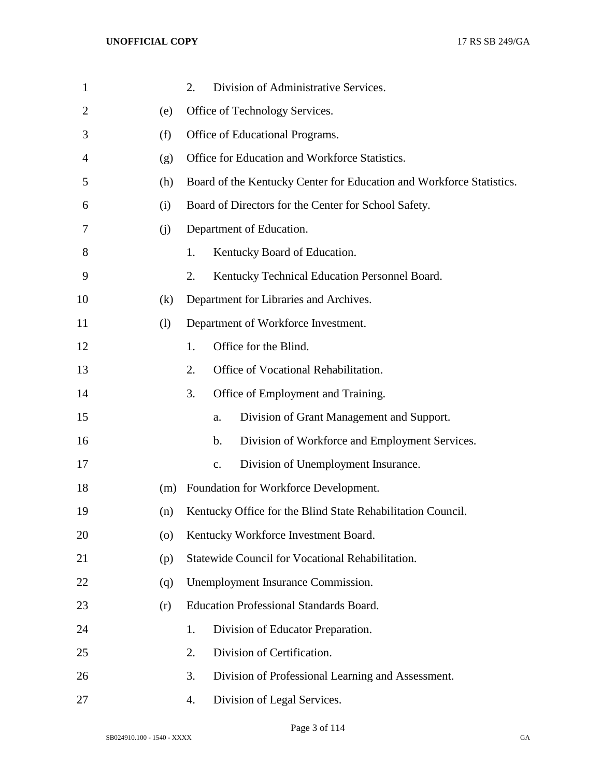| $\mathbf{1}$ |                    | Division of Administrative Services.<br>2.                           |
|--------------|--------------------|----------------------------------------------------------------------|
| 2            | (e)                | Office of Technology Services.                                       |
| 3            | (f)                | Office of Educational Programs.                                      |
| 4            | (g)                | Office for Education and Workforce Statistics.                       |
| 5            | (h)                | Board of the Kentucky Center for Education and Workforce Statistics. |
| 6            | (i)                | Board of Directors for the Center for School Safety.                 |
| 7            | (i)                | Department of Education.                                             |
| 8            |                    | Kentucky Board of Education.<br>1.                                   |
| 9            |                    | Kentucky Technical Education Personnel Board.<br>2.                  |
| 10           | (k)                | Department for Libraries and Archives.                               |
| 11           | (1)                | Department of Workforce Investment.                                  |
| 12           |                    | Office for the Blind.<br>1.                                          |
| 13           |                    | Office of Vocational Rehabilitation.<br>2.                           |
| 14           |                    | Office of Employment and Training.<br>3.                             |
| 15           |                    | Division of Grant Management and Support.<br>a.                      |
| 16           |                    | Division of Workforce and Employment Services.<br>b.                 |
| 17           |                    | Division of Unemployment Insurance.<br>c.                            |
| 18           | (m)                | Foundation for Workforce Development.                                |
| 19           | (n)                | Kentucky Office for the Blind State Rehabilitation Council.          |
| 20           | $\left( 0 \right)$ | Kentucky Workforce Investment Board.                                 |
| 21           | (p)                | Statewide Council for Vocational Rehabilitation.                     |
| 22           | (q)                | Unemployment Insurance Commission.                                   |
| 23           | (r)                | <b>Education Professional Standards Board.</b>                       |
| 24           |                    | Division of Educator Preparation.<br>1.                              |
| 25           |                    | Division of Certification.<br>2.                                     |
| 26           |                    | Division of Professional Learning and Assessment.<br>3.              |
| 27           |                    | Division of Legal Services.<br>4.                                    |

Page 3 of 114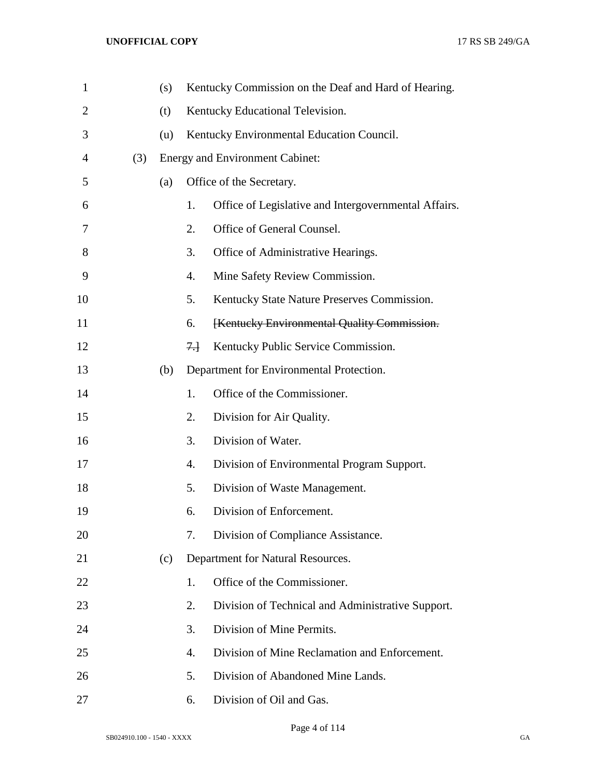| $\mathbf{1}$   |     | (s) |      | Kentucky Commission on the Deaf and Hard of Hearing. |
|----------------|-----|-----|------|------------------------------------------------------|
| $\overline{2}$ |     | (t) |      | Kentucky Educational Television.                     |
| 3              |     | (u) |      | Kentucky Environmental Education Council.            |
| $\overline{4}$ | (3) |     |      | <b>Energy and Environment Cabinet:</b>               |
| 5              |     | (a) |      | Office of the Secretary.                             |
| 6              |     |     | 1.   | Office of Legislative and Intergovernmental Affairs. |
| 7              |     |     | 2.   | Office of General Counsel.                           |
| 8              |     |     | 3.   | Office of Administrative Hearings.                   |
| 9              |     |     | 4.   | Mine Safety Review Commission.                       |
| 10             |     |     | 5.   | Kentucky State Nature Preserves Commission.          |
| 11             |     |     | 6.   | [Kentucky Environmental Quality Commission.          |
| 12             |     |     | $7+$ | Kentucky Public Service Commission.                  |
| 13             |     | (b) |      | Department for Environmental Protection.             |
| 14             |     |     | 1.   | Office of the Commissioner.                          |
| 15             |     |     | 2.   | Division for Air Quality.                            |
| 16             |     |     | 3.   | Division of Water.                                   |
| 17             |     |     | 4.   | Division of Environmental Program Support.           |
| 18             |     |     | 5.   | Division of Waste Management.                        |
| 19             |     |     | 6.   | Division of Enforcement.                             |
| 20             |     |     | 7.   | Division of Compliance Assistance.                   |
| 21             |     | (c) |      | Department for Natural Resources.                    |
| 22             |     |     | 1.   | Office of the Commissioner.                          |
| 23             |     |     | 2.   | Division of Technical and Administrative Support.    |
| 24             |     |     | 3.   | Division of Mine Permits.                            |
| 25             |     |     | 4.   | Division of Mine Reclamation and Enforcement.        |
| 26             |     |     | 5.   | Division of Abandoned Mine Lands.                    |
| 27             |     |     | 6.   | Division of Oil and Gas.                             |

Page 4 of 114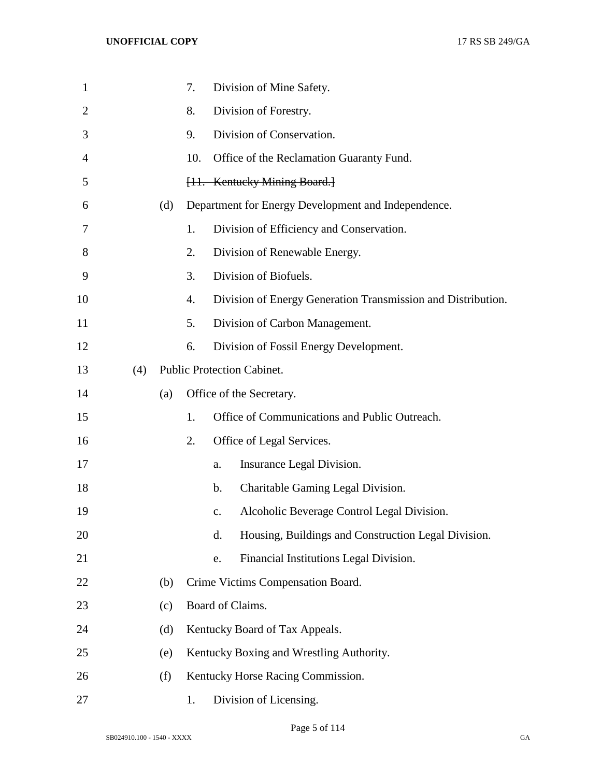| $\mathbf{1}$   |     |     | 7.  |               | Division of Mine Safety.                                     |
|----------------|-----|-----|-----|---------------|--------------------------------------------------------------|
| $\overline{2}$ |     |     | 8.  |               | Division of Forestry.                                        |
| 3              |     |     | 9.  |               | Division of Conservation.                                    |
| 4              |     |     | 10. |               | Office of the Reclamation Guaranty Fund.                     |
| 5              |     |     |     |               | [11. Kentucky Mining Board.]                                 |
| 6              |     | (d) |     |               | Department for Energy Development and Independence.          |
| 7              |     |     | 1.  |               | Division of Efficiency and Conservation.                     |
| 8              |     |     | 2.  |               | Division of Renewable Energy.                                |
| 9              |     |     | 3.  |               | Division of Biofuels.                                        |
| 10             |     |     | 4.  |               | Division of Energy Generation Transmission and Distribution. |
| 11             |     |     | 5.  |               | Division of Carbon Management.                               |
| 12             |     |     | 6.  |               | Division of Fossil Energy Development.                       |
| 13             | (4) |     |     |               | <b>Public Protection Cabinet.</b>                            |
| 14             |     | (a) |     |               | Office of the Secretary.                                     |
| 15             |     |     | 1.  |               | Office of Communications and Public Outreach.                |
| 16             |     |     | 2.  |               | Office of Legal Services.                                    |
| 17             |     |     |     | a.            | Insurance Legal Division.                                    |
| 18             |     |     |     | $\mathbf b$ . | Charitable Gaming Legal Division.                            |
| 19             |     |     |     | $C_{\bullet}$ | Alcoholic Beverage Control Legal Division.                   |
| 20             |     |     |     | d.            | Housing, Buildings and Construction Legal Division.          |
| 21             |     |     |     | e.            | Financial Institutions Legal Division.                       |
| 22             |     | (b) |     |               | Crime Victims Compensation Board.                            |
| 23             |     | (c) |     |               | Board of Claims.                                             |
| 24             |     | (d) |     |               | Kentucky Board of Tax Appeals.                               |
| 25             |     | (e) |     |               | Kentucky Boxing and Wrestling Authority.                     |
| 26             |     | (f) |     |               | Kentucky Horse Racing Commission.                            |
| 27             |     |     | 1.  |               | Division of Licensing.                                       |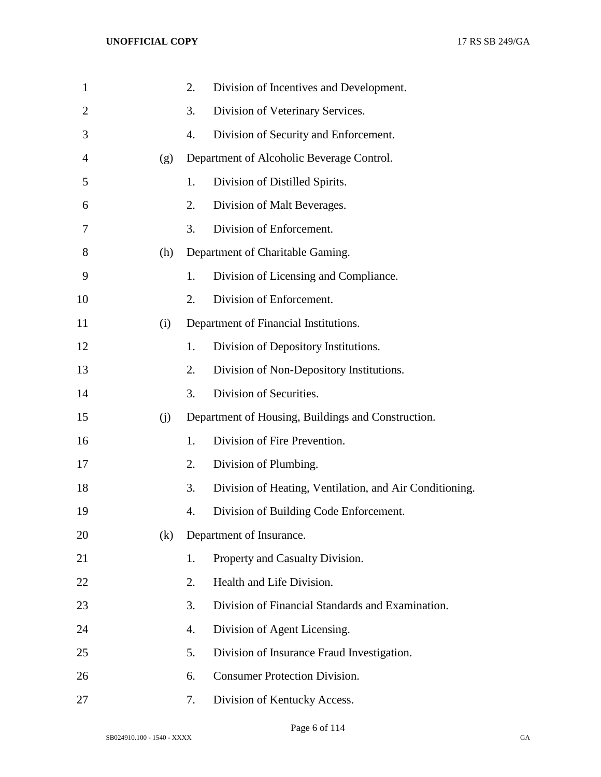| $\mathbf{1}$   |     | 2. | Division of Incentives and Development.                 |
|----------------|-----|----|---------------------------------------------------------|
| $\overline{2}$ |     | 3. | Division of Veterinary Services.                        |
| 3              |     | 4. | Division of Security and Enforcement.                   |
| $\overline{4}$ | (g) |    | Department of Alcoholic Beverage Control.               |
| 5              |     | 1. | Division of Distilled Spirits.                          |
| 6              |     | 2. | Division of Malt Beverages.                             |
| 7              |     | 3. | Division of Enforcement.                                |
| 8              | (h) |    | Department of Charitable Gaming.                        |
| 9              |     | 1. | Division of Licensing and Compliance.                   |
| 10             |     | 2. | Division of Enforcement.                                |
| 11             | (i) |    | Department of Financial Institutions.                   |
| 12             |     | 1. | Division of Depository Institutions.                    |
| 13             |     | 2. | Division of Non-Depository Institutions.                |
| 14             |     | 3. | Division of Securities.                                 |
| 15             | (j) |    | Department of Housing, Buildings and Construction.      |
| 16             |     | 1. | Division of Fire Prevention.                            |
| 17             |     | 2. | Division of Plumbing.                                   |
| 18             |     | 3. | Division of Heating, Ventilation, and Air Conditioning. |
| 19             |     | 4. | Division of Building Code Enforcement.                  |
| 20             | (k) |    | Department of Insurance.                                |
| 21             |     | 1. | Property and Casualty Division.                         |
| 22             |     | 2. | Health and Life Division.                               |
| 23             |     | 3. | Division of Financial Standards and Examination.        |
| 24             |     | 4. | Division of Agent Licensing.                            |
| 25             |     | 5. | Division of Insurance Fraud Investigation.              |
| 26             |     | 6. | <b>Consumer Protection Division.</b>                    |
| 27             |     | 7. | Division of Kentucky Access.                            |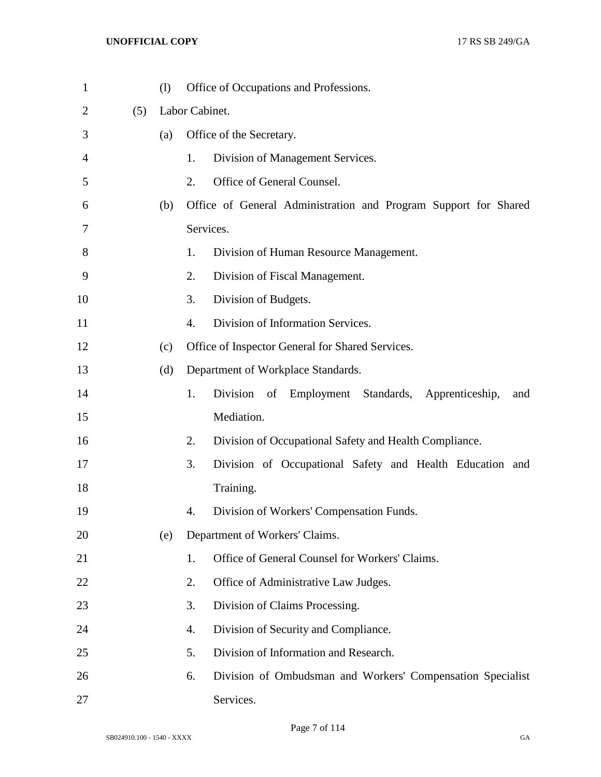| $\mathbf{1}$ |     | (1) | Office of Occupations and Professions.                            |
|--------------|-----|-----|-------------------------------------------------------------------|
| 2            | (5) |     | Labor Cabinet.                                                    |
| 3            |     | (a) | Office of the Secretary.                                          |
| 4            |     |     | 1.<br>Division of Management Services.                            |
| 5            |     |     | 2.<br>Office of General Counsel.                                  |
| 6            |     | (b) | Office of General Administration and Program Support for Shared   |
| 7            |     |     | Services.                                                         |
| 8            |     |     | 1.<br>Division of Human Resource Management.                      |
| 9            |     |     | 2.<br>Division of Fiscal Management.                              |
| 10           |     |     | 3.<br>Division of Budgets.                                        |
| 11           |     |     | $\overline{4}$ .<br>Division of Information Services.             |
| 12           |     | (c) | Office of Inspector General for Shared Services.                  |
| 13           |     | (d) | Department of Workplace Standards.                                |
| 14           |     |     | 1.<br>Division<br>of Employment Standards, Apprenticeship,<br>and |
| 15           |     |     | Mediation.                                                        |
| 16           |     |     | 2.<br>Division of Occupational Safety and Health Compliance.      |
| 17           |     |     | 3.<br>Division of Occupational Safety and Health Education and    |
| 18           |     |     | Training.                                                         |
| 19           |     |     | Division of Workers' Compensation Funds.<br>4.                    |
| 20           |     | (e) | Department of Workers' Claims.                                    |
| 21           |     |     | Office of General Counsel for Workers' Claims.<br>1.              |
| 22           |     |     | 2.<br>Office of Administrative Law Judges.                        |
| 23           |     |     | 3.<br>Division of Claims Processing.                              |
| 24           |     |     | 4.<br>Division of Security and Compliance.                        |
| 25           |     |     | 5.<br>Division of Information and Research.                       |
| 26           |     |     | Division of Ombudsman and Workers' Compensation Specialist<br>6.  |
| 27           |     |     | Services.                                                         |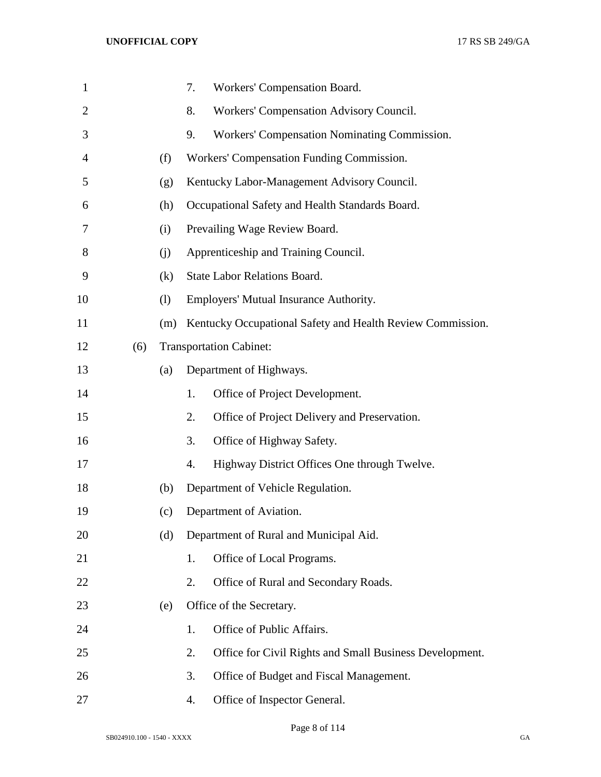| $\mathbf{1}$   |     |     | 7. | Workers' Compensation Board.                               |
|----------------|-----|-----|----|------------------------------------------------------------|
| $\overline{2}$ |     |     | 8. | Workers' Compensation Advisory Council.                    |
| 3              |     |     | 9. | Workers' Compensation Nominating Commission.               |
| 4              |     | (f) |    | Workers' Compensation Funding Commission.                  |
| 5              |     | (g) |    | Kentucky Labor-Management Advisory Council.                |
| 6              |     | (h) |    | Occupational Safety and Health Standards Board.            |
| 7              |     | (i) |    | Prevailing Wage Review Board.                              |
| 8              |     | (i) |    | Apprenticeship and Training Council.                       |
| 9              |     | (k) |    | <b>State Labor Relations Board.</b>                        |
| 10             |     | (1) |    | Employers' Mutual Insurance Authority.                     |
| 11             |     | (m) |    | Kentucky Occupational Safety and Health Review Commission. |
| 12             | (6) |     |    | <b>Transportation Cabinet:</b>                             |
| 13             |     | (a) |    | Department of Highways.                                    |
| 14             |     |     | 1. | Office of Project Development.                             |
| 15             |     |     | 2. | Office of Project Delivery and Preservation.               |
| 16             |     |     | 3. | Office of Highway Safety.                                  |
| 17             |     |     | 4. | Highway District Offices One through Twelve.               |
| 18             |     | (b) |    | Department of Vehicle Regulation.                          |
| 19             |     | (c) |    | Department of Aviation.                                    |
| 20             |     | (d) |    | Department of Rural and Municipal Aid.                     |
| 21             |     |     | 1. | Office of Local Programs.                                  |
| 22             |     |     | 2. | Office of Rural and Secondary Roads.                       |
| 23             |     | (e) |    | Office of the Secretary.                                   |
| 24             |     |     | 1. | Office of Public Affairs.                                  |
| 25             |     |     | 2. | Office for Civil Rights and Small Business Development.    |
| 26             |     |     | 3. | Office of Budget and Fiscal Management.                    |
| 27             |     |     | 4. | Office of Inspector General.                               |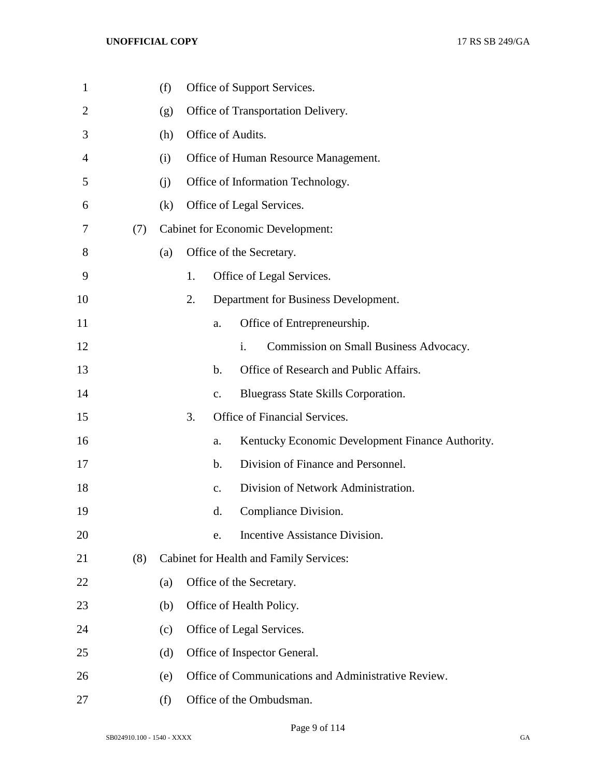| $\mathbf{1}$ |     | (f) |    |               | Office of Support Services.                         |
|--------------|-----|-----|----|---------------|-----------------------------------------------------|
| 2            |     | (g) |    |               | Office of Transportation Delivery.                  |
| 3            |     | (h) |    |               | Office of Audits.                                   |
| 4            |     | (i) |    |               | Office of Human Resource Management.                |
| 5            |     | (i) |    |               | Office of Information Technology.                   |
| 6            |     | (k) |    |               | Office of Legal Services.                           |
| 7            | (7) |     |    |               | <b>Cabinet for Economic Development:</b>            |
| 8            |     | (a) |    |               | Office of the Secretary.                            |
| 9            |     |     | 1. |               | Office of Legal Services.                           |
| 10           |     |     | 2. |               | Department for Business Development.                |
| 11           |     |     |    | a.            | Office of Entrepreneurship.                         |
| 12           |     |     |    |               | Commission on Small Business Advocacy.<br>i.        |
| 13           |     |     |    | $\mathbf b$ . | Office of Research and Public Affairs.              |
| 14           |     |     |    | $C_{\bullet}$ | Bluegrass State Skills Corporation.                 |
| 15           |     |     | 3. |               | Office of Financial Services.                       |
| 16           |     |     |    | a.            | Kentucky Economic Development Finance Authority.    |
| 17           |     |     |    | $\mathbf b$ . | Division of Finance and Personnel.                  |
| 18           |     |     |    | $C_{\bullet}$ | Division of Network Administration.                 |
| 19           |     |     |    | d.            | Compliance Division.                                |
| 20           |     |     |    | e.            | Incentive Assistance Division.                      |
| 21           | (8) |     |    |               | Cabinet for Health and Family Services:             |
| 22           |     | (a) |    |               | Office of the Secretary.                            |
| 23           |     | (b) |    |               | Office of Health Policy.                            |
| 24           |     | (c) |    |               | Office of Legal Services.                           |
| 25           |     | (d) |    |               | Office of Inspector General.                        |
| 26           |     | (e) |    |               | Office of Communications and Administrative Review. |
| 27           |     | (f) |    |               | Office of the Ombudsman.                            |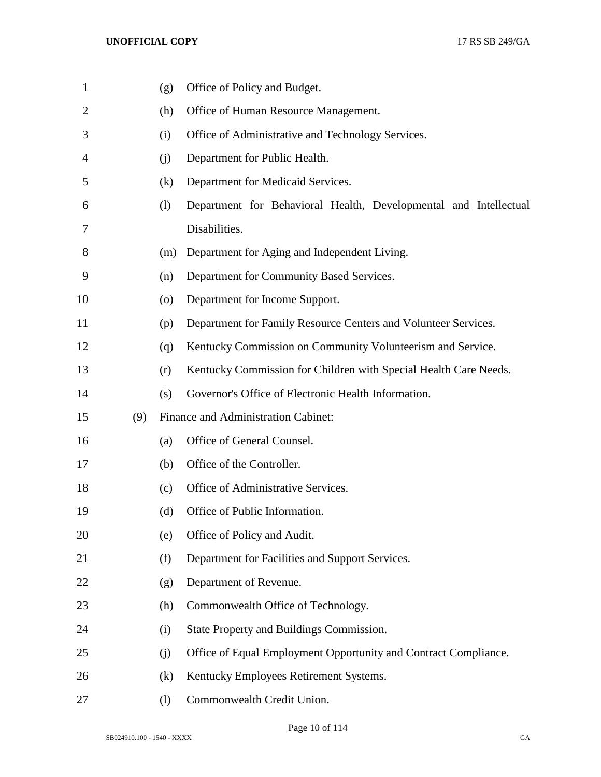| 1              |     | (g)                | Office of Policy and Budget.                                     |
|----------------|-----|--------------------|------------------------------------------------------------------|
| $\overline{2}$ |     | (h)                | Office of Human Resource Management.                             |
| 3              |     | (i)                | Office of Administrative and Technology Services.                |
| 4              |     | (j)                | Department for Public Health.                                    |
| 5              |     | (k)                | Department for Medicaid Services.                                |
| 6              |     | (1)                | Department for Behavioral Health, Developmental and Intellectual |
| 7              |     |                    | Disabilities.                                                    |
| 8              |     | (m)                | Department for Aging and Independent Living.                     |
| 9              |     | (n)                | Department for Community Based Services.                         |
| 10             |     | $\left( 0 \right)$ | Department for Income Support.                                   |
| 11             |     | (p)                | Department for Family Resource Centers and Volunteer Services.   |
| 12             |     | (q)                | Kentucky Commission on Community Volunteerism and Service.       |
| 13             |     | (r)                | Kentucky Commission for Children with Special Health Care Needs. |
| 14             |     | (s)                | Governor's Office of Electronic Health Information.              |
| 15             | (9) |                    | Finance and Administration Cabinet:                              |
| 16             |     | (a)                | Office of General Counsel.                                       |
| 17             |     | (b)                | Office of the Controller.                                        |
| 18             |     | (c)                | Office of Administrative Services.                               |
| 19             |     | (d)                | Office of Public Information.                                    |
| 20             |     | (e)                | Office of Policy and Audit.                                      |
| 21             |     | (f)                | Department for Facilities and Support Services.                  |
| 22             |     | (g)                | Department of Revenue.                                           |
| 23             |     | (h)                | Commonwealth Office of Technology.                               |
| 24             |     | (i)                | State Property and Buildings Commission.                         |
| 25             |     | (j)                | Office of Equal Employment Opportunity and Contract Compliance.  |
| 26             |     | (k)                | Kentucky Employees Retirement Systems.                           |
| 27             |     | (1)                | Commonwealth Credit Union.                                       |

Page 10 of 114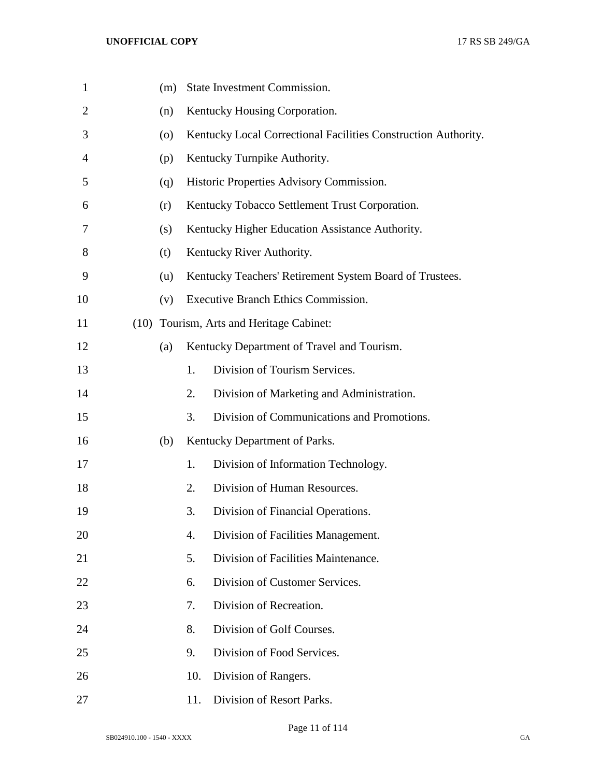| $\mathbf{1}$   |      | (m) |     | State Investment Commission.                                   |
|----------------|------|-----|-----|----------------------------------------------------------------|
| $\overline{2}$ |      | (n) |     | Kentucky Housing Corporation.                                  |
| 3              |      | (0) |     | Kentucky Local Correctional Facilities Construction Authority. |
| 4              |      | (p) |     | Kentucky Turnpike Authority.                                   |
| 5              |      | (q) |     | Historic Properties Advisory Commission.                       |
| 6              |      | (r) |     | Kentucky Tobacco Settlement Trust Corporation.                 |
| 7              |      | (s) |     | Kentucky Higher Education Assistance Authority.                |
| 8              |      | (t) |     | Kentucky River Authority.                                      |
| 9              |      | (u) |     | Kentucky Teachers' Retirement System Board of Trustees.        |
| 10             |      | (v) |     | Executive Branch Ethics Commission.                            |
| 11             | (10) |     |     | Tourism, Arts and Heritage Cabinet:                            |
| 12             |      | (a) |     | Kentucky Department of Travel and Tourism.                     |
| 13             |      |     | 1.  | Division of Tourism Services.                                  |
| 14             |      |     | 2.  | Division of Marketing and Administration.                      |
| 15             |      |     | 3.  | Division of Communications and Promotions.                     |
| 16             |      | (b) |     | Kentucky Department of Parks.                                  |
| 17             |      |     | 1.  | Division of Information Technology.                            |
| 18             |      |     | 2.  | Division of Human Resources.                                   |
| 19             |      |     | 3.  | Division of Financial Operations.                              |
| 20             |      |     | 4.  | Division of Facilities Management.                             |
| 21             |      |     | 5.  | Division of Facilities Maintenance.                            |
| 22             |      |     | 6.  | Division of Customer Services.                                 |
| 23             |      |     | 7.  | Division of Recreation.                                        |
| 24             |      |     | 8.  | Division of Golf Courses.                                      |
| 25             |      |     | 9.  | Division of Food Services.                                     |
| 26             |      |     | 10. | Division of Rangers.                                           |
| 27             |      |     | 11. | Division of Resort Parks.                                      |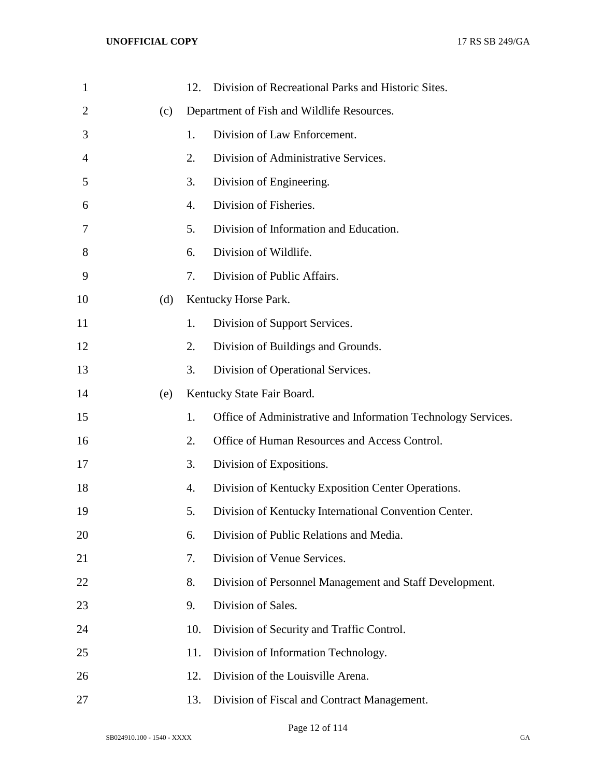| $\mathbf{1}$   |     | 12. | Division of Recreational Parks and Historic Sites.            |
|----------------|-----|-----|---------------------------------------------------------------|
| $\overline{2}$ | (c) |     | Department of Fish and Wildlife Resources.                    |
| 3              |     | 1.  | Division of Law Enforcement.                                  |
| 4              |     | 2.  | Division of Administrative Services.                          |
| 5              |     | 3.  | Division of Engineering.                                      |
| 6              |     | 4.  | Division of Fisheries.                                        |
| 7              |     | 5.  | Division of Information and Education.                        |
| 8              |     | 6.  | Division of Wildlife.                                         |
| 9              |     | 7.  | Division of Public Affairs.                                   |
| 10             | (d) |     | Kentucky Horse Park.                                          |
| 11             |     | 1.  | Division of Support Services.                                 |
| 12             |     | 2.  | Division of Buildings and Grounds.                            |
| 13             |     | 3.  | Division of Operational Services.                             |
| 14             | (e) |     | Kentucky State Fair Board.                                    |
| 15             |     | 1.  | Office of Administrative and Information Technology Services. |
| 16             |     | 2.  | Office of Human Resources and Access Control.                 |
| 17             |     | 3.  | Division of Expositions.                                      |
| 18             |     | 4.  | Division of Kentucky Exposition Center Operations.            |
| 19             |     | 5.  | Division of Kentucky International Convention Center.         |
| 20             |     | 6.  | Division of Public Relations and Media.                       |
| 21             |     | 7.  | Division of Venue Services.                                   |
| 22             |     | 8.  | Division of Personnel Management and Staff Development.       |
| 23             |     | 9.  | Division of Sales.                                            |
| 24             |     | 10. | Division of Security and Traffic Control.                     |
| 25             |     | 11. | Division of Information Technology.                           |
| 26             |     | 12. | Division of the Louisville Arena.                             |
| 27             |     | 13. | Division of Fiscal and Contract Management.                   |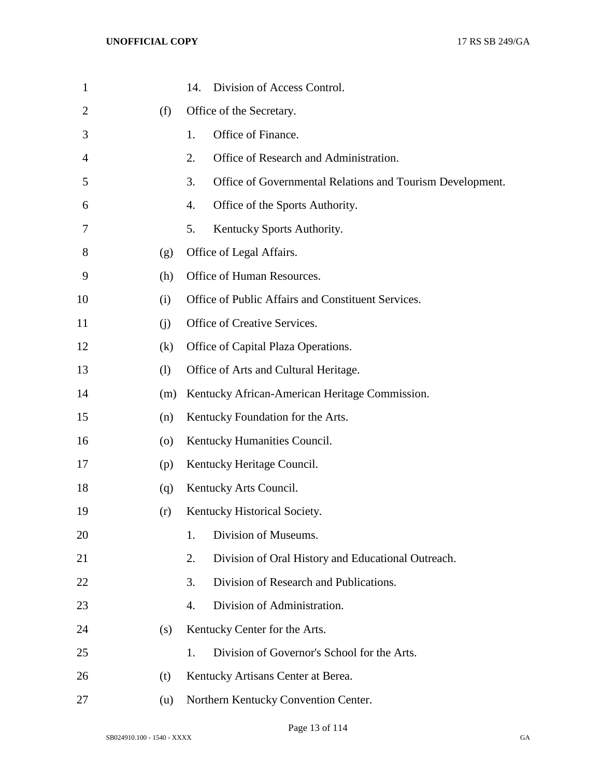| 1              |                    | Division of Access Control.<br>14.                              |
|----------------|--------------------|-----------------------------------------------------------------|
| $\overline{2}$ | (f)                | Office of the Secretary.                                        |
| 3              |                    | Office of Finance.<br>1.                                        |
| $\overline{4}$ |                    | Office of Research and Administration.<br>2.                    |
| 5              |                    | 3.<br>Office of Governmental Relations and Tourism Development. |
| 6              |                    | Office of the Sports Authority.<br>4.                           |
| 7              |                    | 5.<br>Kentucky Sports Authority.                                |
| 8              | (g)                | Office of Legal Affairs.                                        |
| 9              | (h)                | Office of Human Resources.                                      |
| 10             | (i)                | Office of Public Affairs and Constituent Services.              |
| 11             | (i)                | Office of Creative Services.                                    |
| 12             | (k)                | Office of Capital Plaza Operations.                             |
| 13             | (1)                | Office of Arts and Cultural Heritage.                           |
| 14             | (m)                | Kentucky African-American Heritage Commission.                  |
| 15             | (n)                | Kentucky Foundation for the Arts.                               |
| 16             | $\left( 0 \right)$ | Kentucky Humanities Council.                                    |
| 17             | (p)                | Kentucky Heritage Council.                                      |
| 18             | (q)                | Kentucky Arts Council.                                          |
| 19             | (r)                | Kentucky Historical Society.                                    |
| 20             |                    | Division of Museums.<br>1.                                      |
| 21             |                    | Division of Oral History and Educational Outreach.<br>2.        |
| 22             |                    | Division of Research and Publications.<br>3.                    |
| 23             |                    | Division of Administration.<br>$\overline{4}$ .                 |
| 24             | (s)                | Kentucky Center for the Arts.                                   |
| 25             |                    | Division of Governor's School for the Arts.<br>1.               |
| 26             | (t)                | Kentucky Artisans Center at Berea.                              |
| 27             | (u)                | Northern Kentucky Convention Center.                            |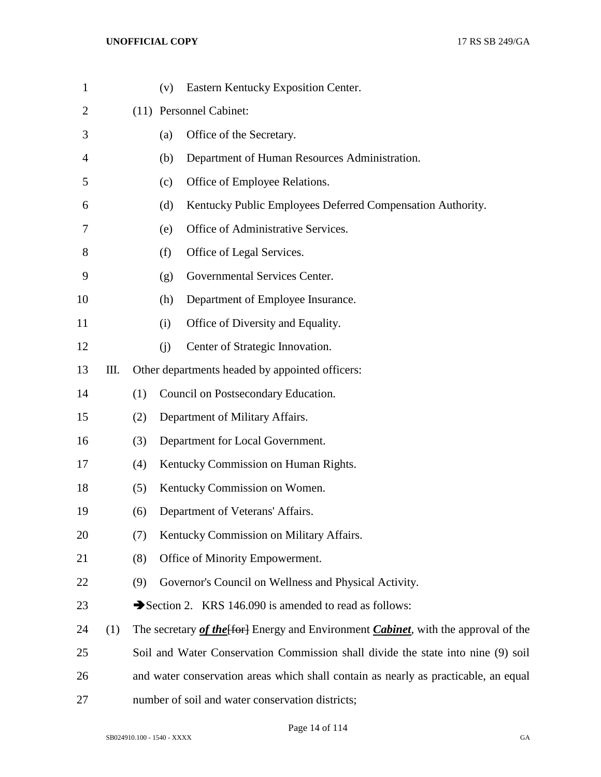| $\mathbf{1}$   |     |                                                                                     | (v)                                      | Eastern Kentucky Exposition Center.                                                 |  |
|----------------|-----|-------------------------------------------------------------------------------------|------------------------------------------|-------------------------------------------------------------------------------------|--|
| $\overline{2}$ |     |                                                                                     | (11) Personnel Cabinet:                  |                                                                                     |  |
| 3              |     |                                                                                     | (a)                                      | Office of the Secretary.                                                            |  |
| 4              |     |                                                                                     | (b)                                      | Department of Human Resources Administration.                                       |  |
| 5              |     |                                                                                     | (c)                                      | Office of Employee Relations.                                                       |  |
| 6              |     |                                                                                     | (d)                                      | Kentucky Public Employees Deferred Compensation Authority.                          |  |
| 7              |     |                                                                                     | (e)                                      | Office of Administrative Services.                                                  |  |
| 8              |     |                                                                                     | (f)                                      | Office of Legal Services.                                                           |  |
| 9              |     |                                                                                     | (g)                                      | Governmental Services Center.                                                       |  |
| 10             |     |                                                                                     | (h)                                      | Department of Employee Insurance.                                                   |  |
| 11             |     |                                                                                     | (i)                                      | Office of Diversity and Equality.                                                   |  |
| 12             |     |                                                                                     | (i)                                      | Center of Strategic Innovation.                                                     |  |
| 13             | Ш.  |                                                                                     |                                          | Other departments headed by appointed officers:                                     |  |
| 14             |     | (1)                                                                                 |                                          | Council on Postsecondary Education.                                                 |  |
| 15             |     | (2)                                                                                 |                                          | Department of Military Affairs.                                                     |  |
| 16             |     | (3)                                                                                 |                                          | Department for Local Government.                                                    |  |
| 17             |     | (4)                                                                                 |                                          | Kentucky Commission on Human Rights.                                                |  |
| 18             |     | (5)                                                                                 |                                          | Kentucky Commission on Women.                                                       |  |
| 19             |     | (6)                                                                                 |                                          | Department of Veterans' Affairs.                                                    |  |
| 20             |     | (7)                                                                                 | Kentucky Commission on Military Affairs. |                                                                                     |  |
| 21             |     | (8)                                                                                 | Office of Minority Empowerment.          |                                                                                     |  |
| 22             |     | (9)                                                                                 |                                          | Governor's Council on Wellness and Physical Activity.                               |  |
| 23             |     |                                                                                     |                                          | Section 2. KRS 146.090 is amended to read as follows:                               |  |
| 24             | (1) |                                                                                     |                                          | The secretary of the [for] Energy and Environment Cabinet, with the approval of the |  |
| 25             |     |                                                                                     |                                          | Soil and Water Conservation Commission shall divide the state into nine (9) soil    |  |
| 26             |     | and water conservation areas which shall contain as nearly as practicable, an equal |                                          |                                                                                     |  |
| 27             |     | number of soil and water conservation districts;                                    |                                          |                                                                                     |  |

Page 14 of 114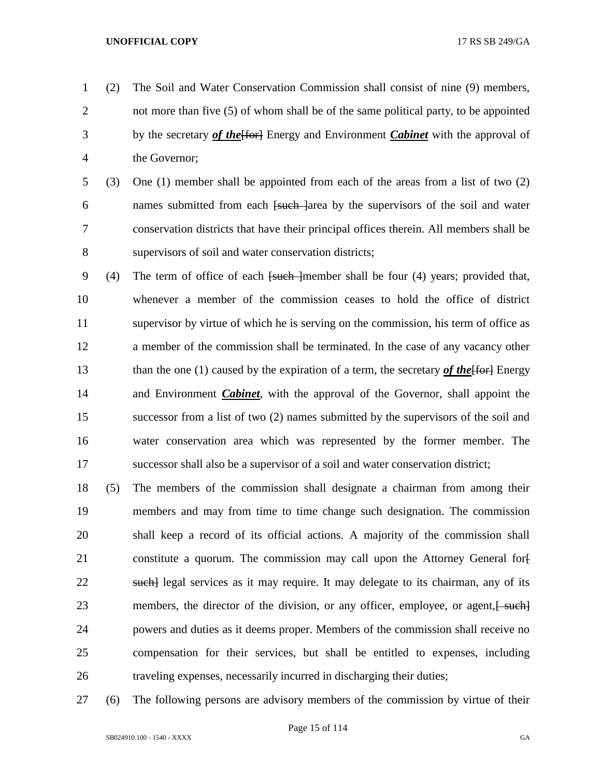- (2) The Soil and Water Conservation Commission shall consist of nine (9) members, not more than five (5) of whom shall be of the same political party, to be appointed by the secretary *of the*[for] Energy and Environment *Cabinet* with the approval of the Governor;
- (3) One (1) member shall be appointed from each of the areas from a list of two (2) 6 names submitted from each <del>[such ]</del>area by the supervisors of the soil and water conservation districts that have their principal offices therein. All members shall be supervisors of soil and water conservation districts;
- 9 (4) The term of office of each <del>[such ]</del>member shall be four (4) years; provided that, whenever a member of the commission ceases to hold the office of district supervisor by virtue of which he is serving on the commission, his term of office as a member of the commission shall be terminated. In the case of any vacancy other 13 than the one (1) caused by the expiration of a term, the secretary *of the* [for ] Energy and Environment *Cabinet*, with the approval of the Governor, shall appoint the successor from a list of two (2) names submitted by the supervisors of the soil and water conservation area which was represented by the former member. The successor shall also be a supervisor of a soil and water conservation district;
- (5) The members of the commission shall designate a chairman from among their members and may from time to time change such designation. The commission shall keep a record of its official actions. A majority of the commission shall 21 constitute a quorum. The commission may call upon the Attorney General for-22 such legal services as it may require. It may delegate to its chairman, any of its 23 members, the director of the division, or any officer, employee, or agent,  $\frac{1}{2}$  powers and duties as it deems proper. Members of the commission shall receive no compensation for their services, but shall be entitled to expenses, including traveling expenses, necessarily incurred in discharging their duties;
- (6) The following persons are advisory members of the commission by virtue of their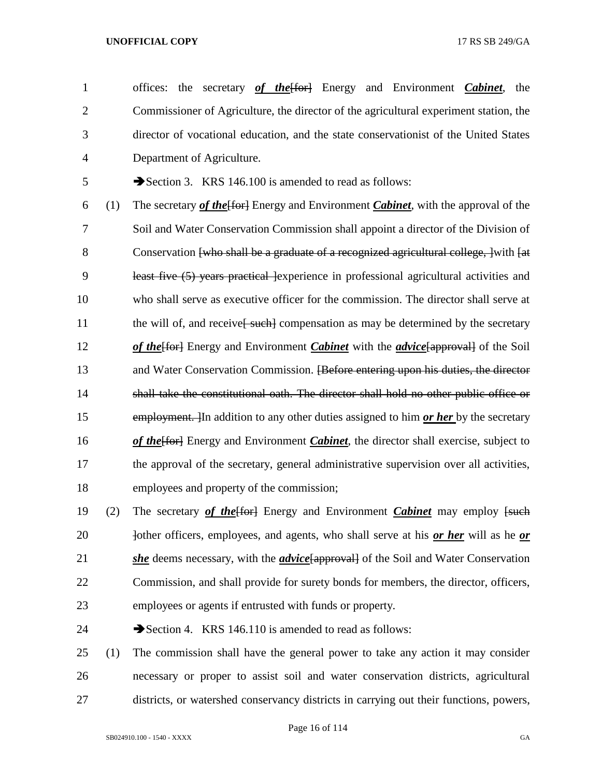offices: the secretary *of the*[for] Energy and Environment *Cabinet*, the Commissioner of Agriculture, the director of the agricultural experiment station, the director of vocational education, and the state conservationist of the United States Department of Agriculture.

5 Section 3. KRS 146.100 is amended to read as follows:

 (1) The secretary *of the*[for] Energy and Environment *Cabinet*, with the approval of the Soil and Water Conservation Commission shall appoint a director of the Division of 8 Conservation [who shall be a graduate of a recognized agricultural college, ] with [at 9 least five (5) years practical lexperience in professional agricultural activities and who shall serve as executive officer for the commission. The director shall serve at 11 the will of, and receive<del>[ such]</del> compensation as may be determined by the secretary *of the*[for] Energy and Environment *Cabinet* with the *advice*[approval] of the Soil 13 and Water Conservation Commission. <del>[Before entering upon his duties, the director</del> shall take the constitutional oath. The director shall hold no other public office or employment. ]In addition to any other duties assigned to him *or her* by the secretary **of the form** Energy and Environment *Cabinet*, the director shall exercise, subject to the approval of the secretary, general administrative supervision over all activities, employees and property of the commission;

19 (2) The secretary *of the* [for ] Energy and Environment *Cabinet* may employ [such] 20 bother officers, employees, and agents, who shall serve at his *or her* will as he *or she* deems necessary, with the *advice*[approval] of the Soil and Water Conservation Commission, and shall provide for surety bonds for members, the director, officers, employees or agents if entrusted with funds or property.

24 Section 4. KRS 146.110 is amended to read as follows:

 (1) The commission shall have the general power to take any action it may consider necessary or proper to assist soil and water conservation districts, agricultural districts, or watershed conservancy districts in carrying out their functions, powers,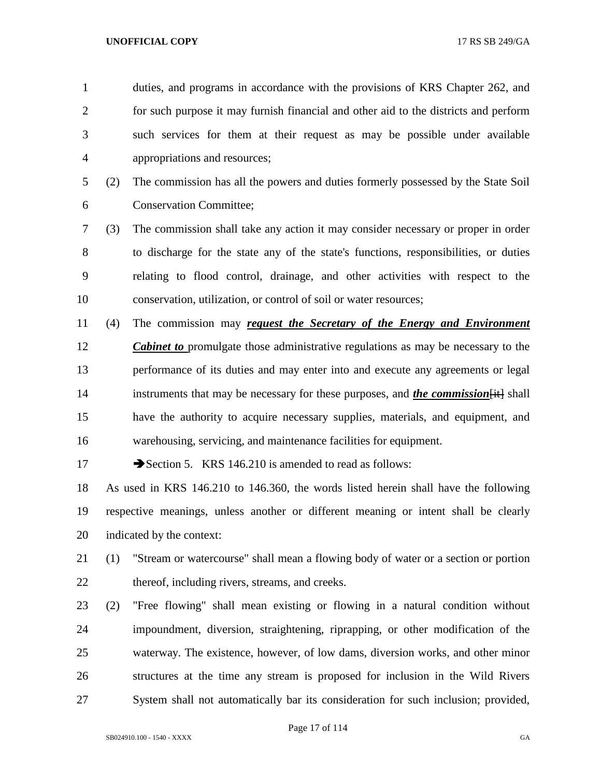duties, and programs in accordance with the provisions of KRS Chapter 262, and for such purpose it may furnish financial and other aid to the districts and perform such services for them at their request as may be possible under available appropriations and resources; (2) The commission has all the powers and duties formerly possessed by the State Soil Conservation Committee; (3) The commission shall take any action it may consider necessary or proper in order to discharge for the state any of the state's functions, responsibilities, or duties relating to flood control, drainage, and other activities with respect to the conservation, utilization, or control of soil or water resources; (4) The commission may *request the Secretary of the Energy and Environment Cabinet to* promulgate those administrative regulations as may be necessary to the performance of its duties and may enter into and execute any agreements or legal 14 instruments that may be necessary for these purposes, and *the commission* [it] shall have the authority to acquire necessary supplies, materials, and equipment, and warehousing, servicing, and maintenance facilities for equipment. 17 Section 5. KRS 146.210 is amended to read as follows: As used in KRS 146.210 to 146.360, the words listed herein shall have the following respective meanings, unless another or different meaning or intent shall be clearly indicated by the context: (1) "Stream or watercourse" shall mean a flowing body of water or a section or portion 22 thereof, including rivers, streams, and creeks.

 (2) "Free flowing" shall mean existing or flowing in a natural condition without impoundment, diversion, straightening, riprapping, or other modification of the waterway. The existence, however, of low dams, diversion works, and other minor structures at the time any stream is proposed for inclusion in the Wild Rivers System shall not automatically bar its consideration for such inclusion; provided,

Page 17 of 114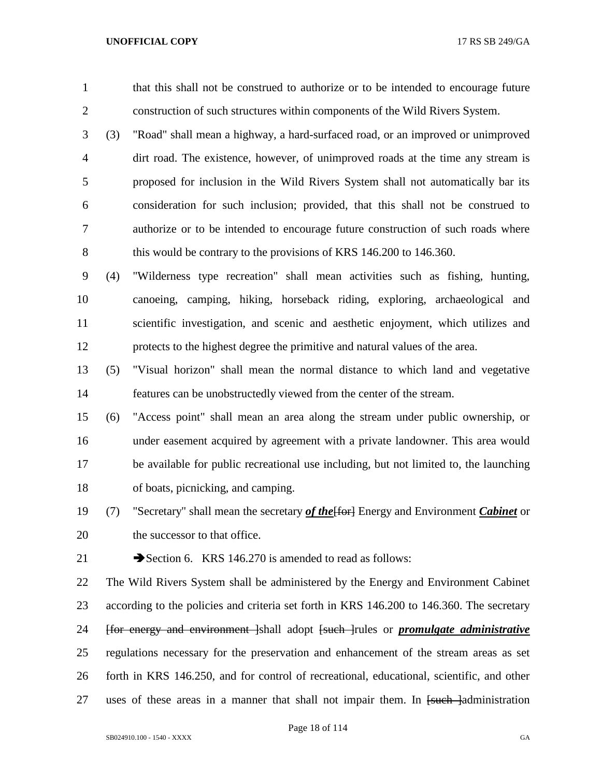that this shall not be construed to authorize or to be intended to encourage future construction of such structures within components of the Wild Rivers System.

 (3) "Road" shall mean a highway, a hard-surfaced road, or an improved or unimproved dirt road. The existence, however, of unimproved roads at the time any stream is proposed for inclusion in the Wild Rivers System shall not automatically bar its consideration for such inclusion; provided, that this shall not be construed to authorize or to be intended to encourage future construction of such roads where 8 this would be contrary to the provisions of KRS 146.200 to 146.360.

 (4) "Wilderness type recreation" shall mean activities such as fishing, hunting, canoeing, camping, hiking, horseback riding, exploring, archaeological and scientific investigation, and scenic and aesthetic enjoyment, which utilizes and protects to the highest degree the primitive and natural values of the area.

 (5) "Visual horizon" shall mean the normal distance to which land and vegetative features can be unobstructedly viewed from the center of the stream.

 (6) "Access point" shall mean an area along the stream under public ownership, or under easement acquired by agreement with a private landowner. This area would be available for public recreational use including, but not limited to, the launching of boats, picnicking, and camping.

19 (7) "Secretary" shall mean the secretary *of the* [for ] Energy and Environment *Cabinet* or the successor to that office.

21 Section 6. KRS 146.270 is amended to read as follows:

 The Wild Rivers System shall be administered by the Energy and Environment Cabinet 23 according to the policies and criteria set forth in KRS 146.200 to 146.360. The secretary [for energy and environment ]shall adopt [such ]rules or *promulgate administrative*  regulations necessary for the preservation and enhancement of the stream areas as set forth in KRS 146.250, and for control of recreational, educational, scientific, and other 27 uses of these areas in a manner that shall not impair them. In <del>[such ]</del>administration

Page 18 of 114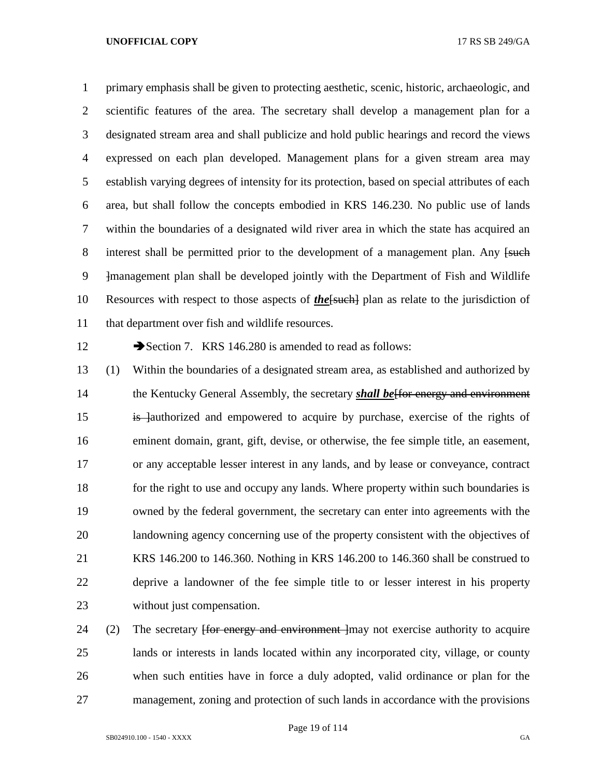primary emphasis shall be given to protecting aesthetic, scenic, historic, archaeologic, and scientific features of the area. The secretary shall develop a management plan for a designated stream area and shall publicize and hold public hearings and record the views expressed on each plan developed. Management plans for a given stream area may establish varying degrees of intensity for its protection, based on special attributes of each area, but shall follow the concepts embodied in KRS 146.230. No public use of lands within the boundaries of a designated wild river area in which the state has acquired an 8 interest shall be permitted prior to the development of a management plan. Any [such ]management plan shall be developed jointly with the Department of Fish and Wildlife Resources with respect to those aspects of *the*[such] plan as relate to the jurisdiction of that department over fish and wildlife resources.

12 Section 7. KRS 146.280 is amended to read as follows:

 (1) Within the boundaries of a designated stream area, as established and authorized by the Kentucky General Assembly, the secretary *shall be*[for energy and environment 15 is lauthorized and empowered to acquire by purchase, exercise of the rights of eminent domain, grant, gift, devise, or otherwise, the fee simple title, an easement, or any acceptable lesser interest in any lands, and by lease or conveyance, contract 18 for the right to use and occupy any lands. Where property within such boundaries is owned by the federal government, the secretary can enter into agreements with the landowning agency concerning use of the property consistent with the objectives of KRS 146.200 to 146.360. Nothing in KRS 146.200 to 146.360 shall be construed to deprive a landowner of the fee simple title to or lesser interest in his property without just compensation.

24 (2) The secretary <del>[for energy and environment ]</del>may not exercise authority to acquire lands or interests in lands located within any incorporated city, village, or county when such entities have in force a duly adopted, valid ordinance or plan for the management, zoning and protection of such lands in accordance with the provisions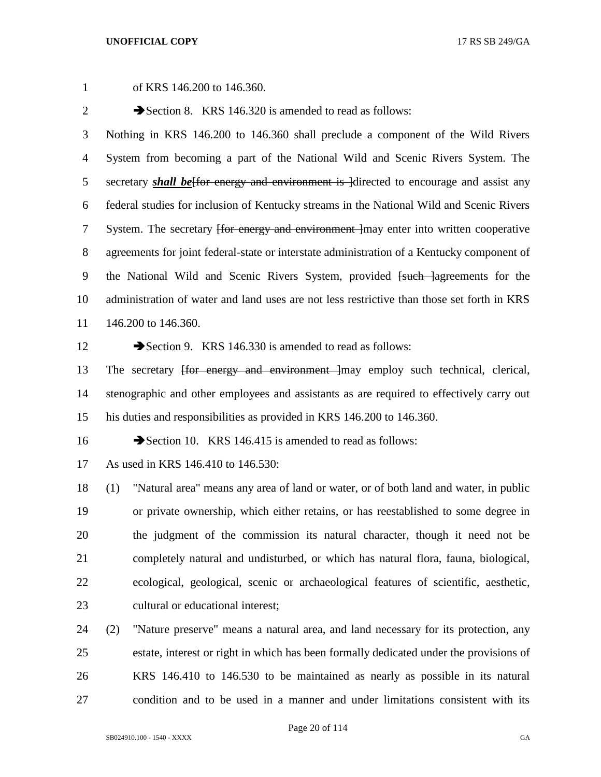of KRS 146.200 to 146.360. 2 Section 8. KRS 146.320 is amended to read as follows: Nothing in KRS 146.200 to 146.360 shall preclude a component of the Wild Rivers System from becoming a part of the National Wild and Scenic Rivers System. The 5 secretary **shall be** for energy and environment is directed to encourage and assist any federal studies for inclusion of Kentucky streams in the National Wild and Scenic Rivers 7 System. The secretary <del>[for energy and environment ]</del>may enter into written cooperative agreements for joint federal-state or interstate administration of a Kentucky component of 9 the National Wild and Scenic Rivers System, provided <del>[such ]</del>agreements for the administration of water and land uses are not less restrictive than those set forth in KRS 146.200 to 146.360. 12 Section 9. KRS 146.330 is amended to read as follows: 13 The secretary <del>[for energy and environment ]</del>may employ such technical, clerical, stenographic and other employees and assistants as are required to effectively carry out his duties and responsibilities as provided in KRS 146.200 to 146.360. 16 Section 10. KRS 146.415 is amended to read as follows: As used in KRS 146.410 to 146.530:

 (1) "Natural area" means any area of land or water, or of both land and water, in public or private ownership, which either retains, or has reestablished to some degree in the judgment of the commission its natural character, though it need not be completely natural and undisturbed, or which has natural flora, fauna, biological, ecological, geological, scenic or archaeological features of scientific, aesthetic, 23 cultural or educational interest:

 (2) "Nature preserve" means a natural area, and land necessary for its protection, any estate, interest or right in which has been formally dedicated under the provisions of KRS 146.410 to 146.530 to be maintained as nearly as possible in its natural condition and to be used in a manner and under limitations consistent with its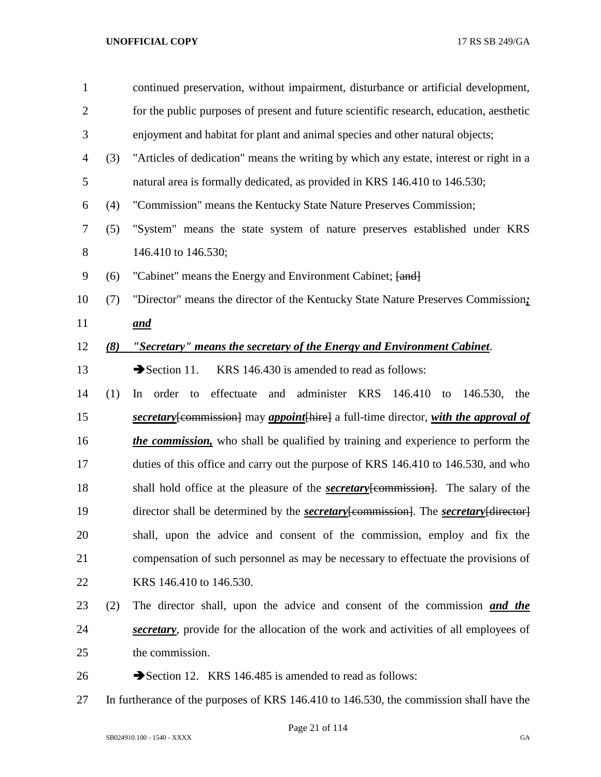| $\mathbf{1}$ |     | continued preservation, without impairment, disturbance or artificial development,                 |  |  |
|--------------|-----|----------------------------------------------------------------------------------------------------|--|--|
| $\mathbf{2}$ |     | for the public purposes of present and future scientific research, education, aesthetic            |  |  |
| 3            |     | enjoyment and habitat for plant and animal species and other natural objects;                      |  |  |
| 4            | (3) | "Articles of dedication" means the writing by which any estate, interest or right in a             |  |  |
| 5            |     | natural area is formally dedicated, as provided in KRS 146.410 to 146.530;                         |  |  |
| 6            | (4) | "Commission" means the Kentucky State Nature Preserves Commission;                                 |  |  |
| 7            | (5) | "System" means the state system of nature preserves established under KRS                          |  |  |
| $8\,$        |     | 146.410 to 146.530;                                                                                |  |  |
| 9            | (6) | "Cabinet" means the Energy and Environment Cabinet; [and]                                          |  |  |
| 10           | (7) | "Director" means the director of the Kentucky State Nature Preserves Commission;                   |  |  |
| 11           |     | and                                                                                                |  |  |
| 12           | (8) | "Secretary" means the secretary of the Energy and Environment Cabinet.                             |  |  |
| 13           |     | $\rightarrow$ Section 11.<br>KRS 146.430 is amended to read as follows:                            |  |  |
| 14           | (1) | and administer KRS<br>order to<br>effectuate<br>146.410 to<br>146.530,<br>the<br>In                |  |  |
| 15           |     | secretary [commission] may appoint [hire] a full-time director, with the approval of               |  |  |
| 16           |     | <i>the commission</i> , who shall be qualified by training and experience to perform the           |  |  |
| 17           |     | duties of this office and carry out the purpose of KRS 146.410 to 146.530, and who                 |  |  |
| 18           |     | shall hold office at the pleasure of the <b>secretary</b> [commission]. The salary of the          |  |  |
| 19           |     | director shall be determined by the <b>secretary</b> [commission]. The <b>secretary</b> [director] |  |  |
| 20           |     | shall, upon the advice and consent of the commission, employ and fix the                           |  |  |
| 21           |     | compensation of such personnel as may be necessary to effectuate the provisions of                 |  |  |
| 22           |     | KRS 146.410 to 146.530.                                                                            |  |  |
| 23           | (2) | The director shall, upon the advice and consent of the commission and the                          |  |  |
| 24           |     | secretary, provide for the allocation of the work and activities of all employees of               |  |  |
| 25           |     | the commission.                                                                                    |  |  |
| 26           |     | Section 12. KRS 146.485 is amended to read as follows:                                             |  |  |
| 27           |     | In furtherance of the purposes of KRS 146.410 to 146.530, the commission shall have the            |  |  |

Page 21 of 114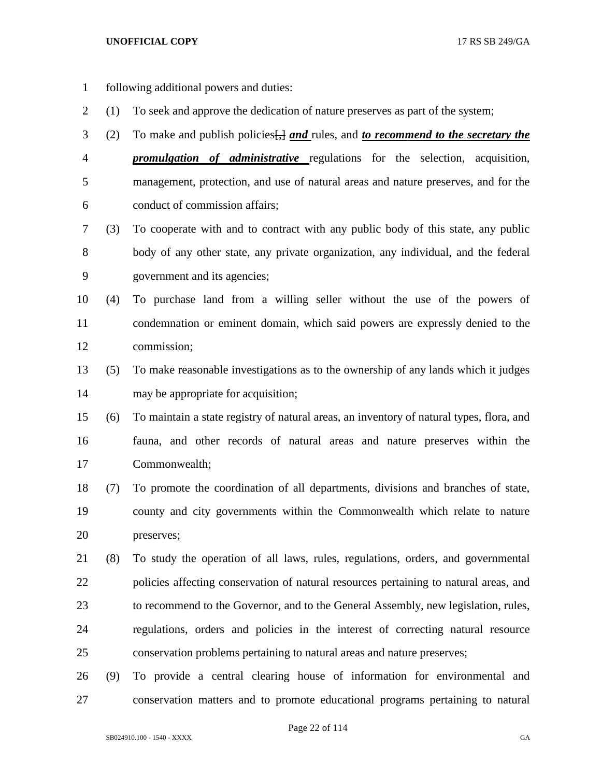- following additional powers and duties:
- (1) To seek and approve the dedication of nature preserves as part of the system;
- (2) To make and publish policies[,] *and* rules, and *to recommend to the secretary the*

 *promulgation of administrative* regulations for the selection, acquisition, management, protection, and use of natural areas and nature preserves, and for the conduct of commission affairs;

- (3) To cooperate with and to contract with any public body of this state, any public body of any other state, any private organization, any individual, and the federal government and its agencies;
- (4) To purchase land from a willing seller without the use of the powers of condemnation or eminent domain, which said powers are expressly denied to the commission;
- (5) To make reasonable investigations as to the ownership of any lands which it judges may be appropriate for acquisition;
- (6) To maintain a state registry of natural areas, an inventory of natural types, flora, and fauna, and other records of natural areas and nature preserves within the Commonwealth;
- (7) To promote the coordination of all departments, divisions and branches of state, county and city governments within the Commonwealth which relate to nature preserves;
- (8) To study the operation of all laws, rules, regulations, orders, and governmental policies affecting conservation of natural resources pertaining to natural areas, and to recommend to the Governor, and to the General Assembly, new legislation, rules, regulations, orders and policies in the interest of correcting natural resource conservation problems pertaining to natural areas and nature preserves;
- (9) To provide a central clearing house of information for environmental and conservation matters and to promote educational programs pertaining to natural

Page 22 of 114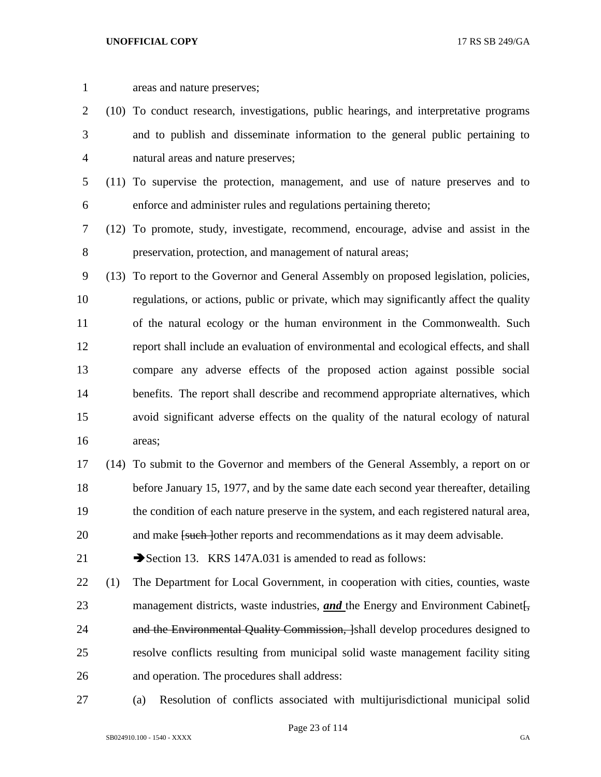| $\mathbf{1}$     |     | areas and nature preserves;                                                            |  |
|------------------|-----|----------------------------------------------------------------------------------------|--|
| $\overline{2}$   |     | (10) To conduct research, investigations, public hearings, and interpretative programs |  |
| 3                |     | and to publish and disseminate information to the general public pertaining to         |  |
| $\overline{4}$   |     | natural areas and nature preserves;                                                    |  |
| 5                |     | (11) To supervise the protection, management, and use of nature preserves and to       |  |
| 6                |     | enforce and administer rules and regulations pertaining thereto;                       |  |
| 7                |     | (12) To promote, study, investigate, recommend, encourage, advise and assist in the    |  |
| $8\,$            |     | preservation, protection, and management of natural areas;                             |  |
| $\boldsymbol{9}$ |     | (13) To report to the Governor and General Assembly on proposed legislation, policies, |  |
| 10               |     | regulations, or actions, public or private, which may significantly affect the quality |  |
| 11               |     | of the natural ecology or the human environment in the Commonwealth. Such              |  |
| 12               |     | report shall include an evaluation of environmental and ecological effects, and shall  |  |
| 13               |     | compare any adverse effects of the proposed action against possible social             |  |
| 14               |     | benefits. The report shall describe and recommend appropriate alternatives, which      |  |
| 15               |     | avoid significant adverse effects on the quality of the natural ecology of natural     |  |
| 16               |     | areas;                                                                                 |  |
| 17               |     | (14) To submit to the Governor and members of the General Assembly, a report on or     |  |
| 18               |     | before January 15, 1977, and by the same date each second year thereafter, detailing   |  |
| 19               |     | the condition of each nature preserve in the system, and each registered natural area, |  |
| 20               |     | and make [such ] other reports and recommendations as it may deem advisable.           |  |
| 21               |     | Section 13. KRS 147A.031 is amended to read as follows:                                |  |
| 22               | (1) | The Department for Local Government, in cooperation with cities, counties, waste       |  |
| 23               |     | management districts, waste industries, <i>and</i> the Energy and Environment Cabinet. |  |
| 24               |     | and the Environmental Quality Commission, [shall develop procedures designed to        |  |
| 25               |     | resolve conflicts resulting from municipal solid waste management facility siting      |  |
| 26               |     | and operation. The procedures shall address:                                           |  |
| 27               |     | Resolution of conflicts associated with multijurisdictional municipal solid<br>(a)     |  |

Page 23 of 114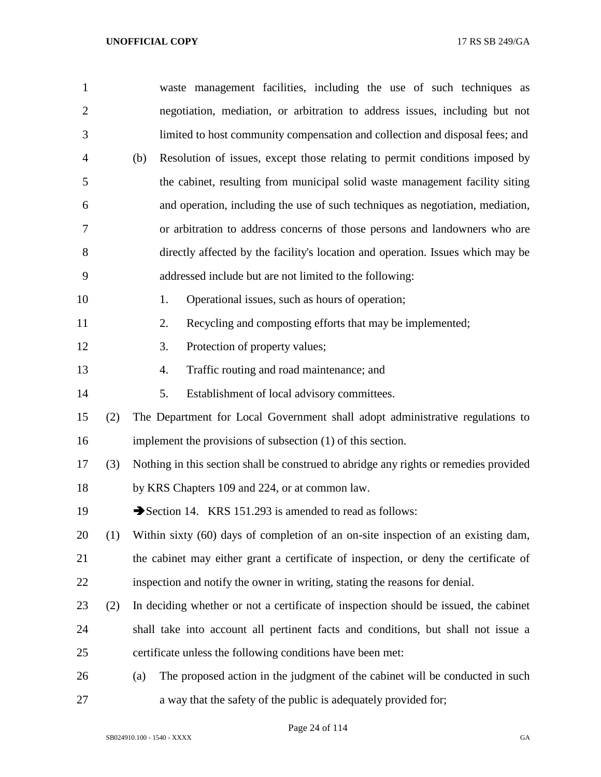| $\mathbf{1}$   |     | waste management facilities, including the use of such techniques as                  |  |  |
|----------------|-----|---------------------------------------------------------------------------------------|--|--|
| $\overline{2}$ |     | negotiation, mediation, or arbitration to address issues, including but not           |  |  |
| 3              |     | limited to host community compensation and collection and disposal fees; and          |  |  |
| $\overline{4}$ |     | Resolution of issues, except those relating to permit conditions imposed by<br>(b)    |  |  |
| 5              |     | the cabinet, resulting from municipal solid waste management facility siting          |  |  |
| 6              |     | and operation, including the use of such techniques as negotiation, mediation,        |  |  |
| 7              |     | or arbitration to address concerns of those persons and landowners who are            |  |  |
| 8              |     | directly affected by the facility's location and operation. Issues which may be       |  |  |
| 9              |     | addressed include but are not limited to the following:                               |  |  |
| 10             |     | Operational issues, such as hours of operation;<br>1.                                 |  |  |
| 11             |     | Recycling and composting efforts that may be implemented;<br>2.                       |  |  |
| 12             |     | Protection of property values;<br>3.                                                  |  |  |
| 13             |     | Traffic routing and road maintenance; and<br>4.                                       |  |  |
| 14             |     | 5.<br>Establishment of local advisory committees.                                     |  |  |
| 15             | (2) | The Department for Local Government shall adopt administrative regulations to         |  |  |
| 16             |     | implement the provisions of subsection (1) of this section.                           |  |  |
| 17             | (3) | Nothing in this section shall be construed to abridge any rights or remedies provided |  |  |
| 18             |     | by KRS Chapters 109 and 224, or at common law.                                        |  |  |
| 19             |     | Section 14. KRS 151.293 is amended to read as follows:                                |  |  |
| 20             | (1) | Within sixty (60) days of completion of an on-site inspection of an existing dam,     |  |  |
| 21             |     | the cabinet may either grant a certificate of inspection, or deny the certificate of  |  |  |
| 22             |     | inspection and notify the owner in writing, stating the reasons for denial.           |  |  |
| 23             | (2) | In deciding whether or not a certificate of inspection should be issued, the cabinet  |  |  |
| 24             |     | shall take into account all pertinent facts and conditions, but shall not issue a     |  |  |
| 25             |     | certificate unless the following conditions have been met:                            |  |  |
| 26             |     | The proposed action in the judgment of the cabinet will be conducted in such<br>(a)   |  |  |
| 27             |     | a way that the safety of the public is adequately provided for;                       |  |  |

Page 24 of 114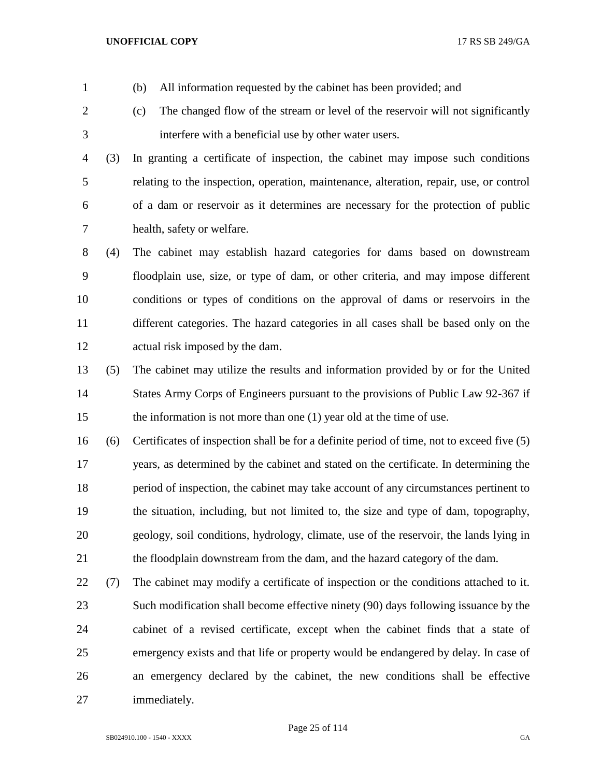(b) All information requested by the cabinet has been provided; and

- (c) The changed flow of the stream or level of the reservoir will not significantly interfere with a beneficial use by other water users.
- (3) In granting a certificate of inspection, the cabinet may impose such conditions relating to the inspection, operation, maintenance, alteration, repair, use, or control of a dam or reservoir as it determines are necessary for the protection of public health, safety or welfare.
- (4) The cabinet may establish hazard categories for dams based on downstream floodplain use, size, or type of dam, or other criteria, and may impose different conditions or types of conditions on the approval of dams or reservoirs in the different categories. The hazard categories in all cases shall be based only on the actual risk imposed by the dam.
- (5) The cabinet may utilize the results and information provided by or for the United States Army Corps of Engineers pursuant to the provisions of Public Law 92-367 if the information is not more than one (1) year old at the time of use.
- (6) Certificates of inspection shall be for a definite period of time, not to exceed five (5) years, as determined by the cabinet and stated on the certificate. In determining the period of inspection, the cabinet may take account of any circumstances pertinent to the situation, including, but not limited to, the size and type of dam, topography, geology, soil conditions, hydrology, climate, use of the reservoir, the lands lying in the floodplain downstream from the dam, and the hazard category of the dam.
- (7) The cabinet may modify a certificate of inspection or the conditions attached to it. Such modification shall become effective ninety (90) days following issuance by the cabinet of a revised certificate, except when the cabinet finds that a state of emergency exists and that life or property would be endangered by delay. In case of an emergency declared by the cabinet, the new conditions shall be effective immediately.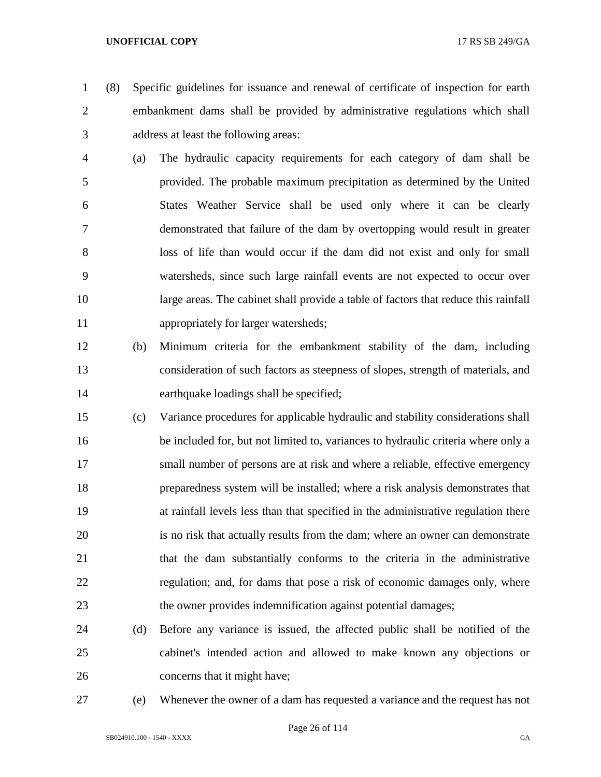(8) Specific guidelines for issuance and renewal of certificate of inspection for earth embankment dams shall be provided by administrative regulations which shall address at least the following areas:

- (a) The hydraulic capacity requirements for each category of dam shall be provided. The probable maximum precipitation as determined by the United States Weather Service shall be used only where it can be clearly demonstrated that failure of the dam by overtopping would result in greater loss of life than would occur if the dam did not exist and only for small watersheds, since such large rainfall events are not expected to occur over large areas. The cabinet shall provide a table of factors that reduce this rainfall appropriately for larger watersheds;
- (b) Minimum criteria for the embankment stability of the dam, including consideration of such factors as steepness of slopes, strength of materials, and earthquake loadings shall be specified;
- (c) Variance procedures for applicable hydraulic and stability considerations shall be included for, but not limited to, variances to hydraulic criteria where only a small number of persons are at risk and where a reliable, effective emergency preparedness system will be installed; where a risk analysis demonstrates that at rainfall levels less than that specified in the administrative regulation there is no risk that actually results from the dam; where an owner can demonstrate that the dam substantially conforms to the criteria in the administrative regulation; and, for dams that pose a risk of economic damages only, where the owner provides indemnification against potential damages;
- (d) Before any variance is issued, the affected public shall be notified of the cabinet's intended action and allowed to make known any objections or concerns that it might have;
- 

(e) Whenever the owner of a dam has requested a variance and the request has not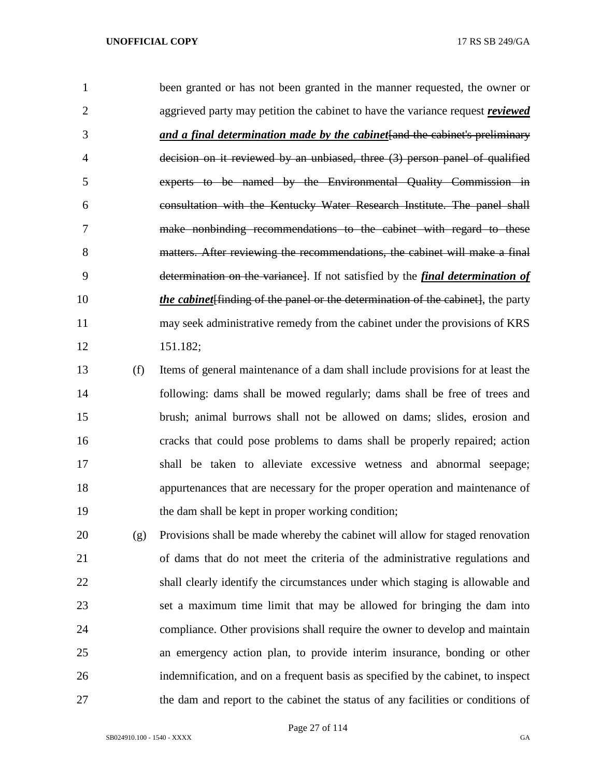|           | been granted or has not been granted in the manner requested, the owner or               |
|-----------|------------------------------------------------------------------------------------------|
| 2         | aggrieved party may petition the cabinet to have the variance request <i>reviewed</i>    |
| 3         | and a final determination made by the cabinet and the cabinet's preliminary              |
| 4         | decision on it reviewed by an unbiased, three (3) person panel of qualified              |
| 5         | experts to be named by the Environmental Quality Commission in                           |
| 6         | consultation with the Kentucky Water Research Institute. The panel shall                 |
|           | make nonbinding recommendations to the cabinet with regard to these                      |
| 8         | matters. After reviewing the recommendations, the cabinet will make a final              |
| 9         | determination on the variance. If not satisfied by the <i>final determination of</i>     |
| 10        | <i>the cabinet</i> [finding of the panel or the determination of the cabinet], the party |
| 11        | may seek administrative remedy from the cabinet under the provisions of KRS              |
| 12        | 151.182;                                                                                 |
| 12<br>(f) | Items of general maintenance of a dam shall include provisions for at least the          |

 (f) Items of general maintenance of a dam shall include provisions for at least the following: dams shall be mowed regularly; dams shall be free of trees and brush; animal burrows shall not be allowed on dams; slides, erosion and cracks that could pose problems to dams shall be properly repaired; action shall be taken to alleviate excessive wetness and abnormal seepage; appurtenances that are necessary for the proper operation and maintenance of the dam shall be kept in proper working condition;

 (g) Provisions shall be made whereby the cabinet will allow for staged renovation of dams that do not meet the criteria of the administrative regulations and shall clearly identify the circumstances under which staging is allowable and set a maximum time limit that may be allowed for bringing the dam into compliance. Other provisions shall require the owner to develop and maintain an emergency action plan, to provide interim insurance, bonding or other indemnification, and on a frequent basis as specified by the cabinet, to inspect the dam and report to the cabinet the status of any facilities or conditions of

Page 27 of 114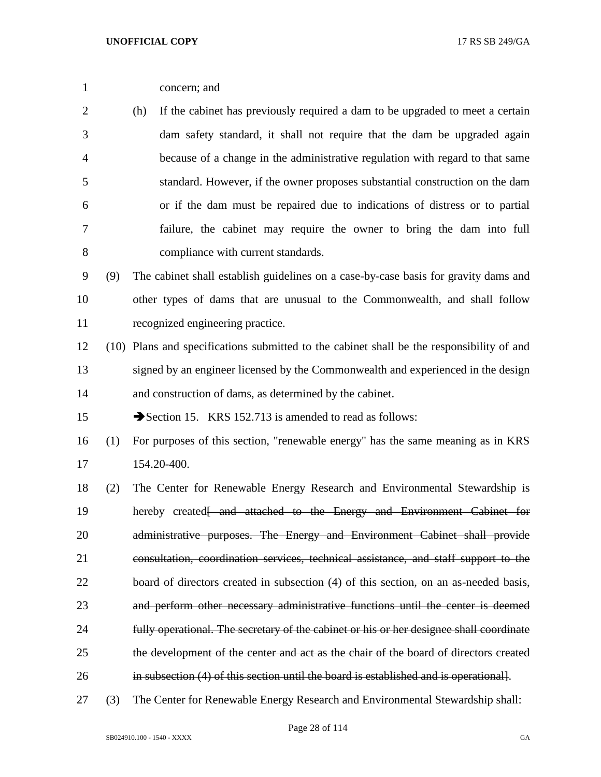concern; and

 (h) If the cabinet has previously required a dam to be upgraded to meet a certain dam safety standard, it shall not require that the dam be upgraded again because of a change in the administrative regulation with regard to that same standard. However, if the owner proposes substantial construction on the dam or if the dam must be repaired due to indications of distress or to partial failure, the cabinet may require the owner to bring the dam into full compliance with current standards.

 (9) The cabinet shall establish guidelines on a case-by-case basis for gravity dams and other types of dams that are unusual to the Commonwealth, and shall follow recognized engineering practice.

 (10) Plans and specifications submitted to the cabinet shall be the responsibility of and signed by an engineer licensed by the Commonwealth and experienced in the design and construction of dams, as determined by the cabinet.

15 Section 15. KRS 152.713 is amended to read as follows:

- (1) For purposes of this section, "renewable energy" has the same meaning as in KRS 154.20-400.
- (2) The Center for Renewable Energy Research and Environmental Stewardship is 19 hereby created<del>[ and attached to the Energy and Environment Cabinet for</del> 20 administrative purposes. The Energy and Environment Cabinet shall provide consultation, coordination services, technical assistance, and staff support to the board of directors created in subsection (4) of this section, on an as-needed basis, and perform other necessary administrative functions until the center is deemed fully operational. The secretary of the cabinet or his or her designee shall coordinate the development of the center and act as the chair of the board of directors created in subsection (4) of this section until the board is established and is operational].
- (3) The Center for Renewable Energy Research and Environmental Stewardship shall: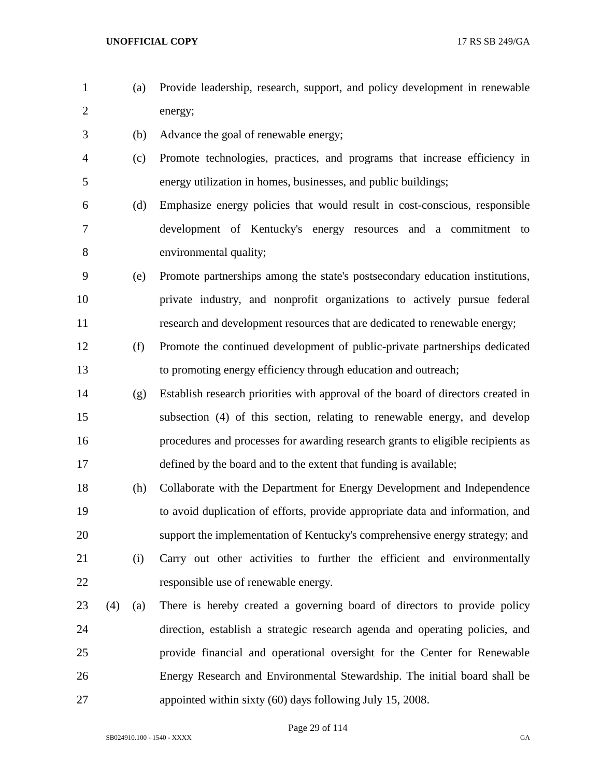- (a) Provide leadership, research, support, and policy development in renewable energy;
- (b) Advance the goal of renewable energy;
- (c) Promote technologies, practices, and programs that increase efficiency in energy utilization in homes, businesses, and public buildings;
- (d) Emphasize energy policies that would result in cost-conscious, responsible development of Kentucky's energy resources and a commitment to environmental quality;
- (e) Promote partnerships among the state's postsecondary education institutions, private industry, and nonprofit organizations to actively pursue federal research and development resources that are dedicated to renewable energy;
- (f) Promote the continued development of public-private partnerships dedicated to promoting energy efficiency through education and outreach;
- (g) Establish research priorities with approval of the board of directors created in subsection (4) of this section, relating to renewable energy, and develop procedures and processes for awarding research grants to eligible recipients as defined by the board and to the extent that funding is available;
- (h) Collaborate with the Department for Energy Development and Independence to avoid duplication of efforts, provide appropriate data and information, and support the implementation of Kentucky's comprehensive energy strategy; and (i) Carry out other activities to further the efficient and environmentally responsible use of renewable energy.
- (4) (a) There is hereby created a governing board of directors to provide policy direction, establish a strategic research agenda and operating policies, and provide financial and operational oversight for the Center for Renewable Energy Research and Environmental Stewardship. The initial board shall be appointed within sixty (60) days following July 15, 2008.

Page 29 of 114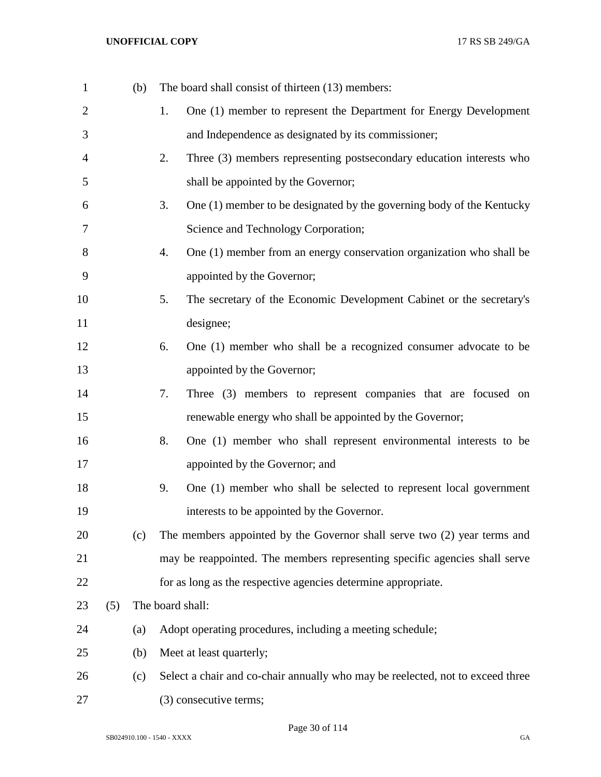| $\mathbf{1}$   |     | (b) | The board shall consist of thirteen (13) members:                              |  |
|----------------|-----|-----|--------------------------------------------------------------------------------|--|
| 2              |     |     | One (1) member to represent the Department for Energy Development<br>1.        |  |
| 3              |     |     | and Independence as designated by its commissioner;                            |  |
| $\overline{4}$ |     |     | Three (3) members representing postsecondary education interests who<br>2.     |  |
| 5              |     |     | shall be appointed by the Governor;                                            |  |
| 6              |     |     | 3.<br>One (1) member to be designated by the governing body of the Kentucky    |  |
| 7              |     |     | Science and Technology Corporation;                                            |  |
| 8              |     |     | One (1) member from an energy conservation organization who shall be<br>4.     |  |
| 9              |     |     | appointed by the Governor;                                                     |  |
| 10             |     |     | The secretary of the Economic Development Cabinet or the secretary's<br>5.     |  |
| 11             |     |     | designee;                                                                      |  |
| 12             |     |     | One (1) member who shall be a recognized consumer advocate to be<br>6.         |  |
| 13             |     |     | appointed by the Governor;                                                     |  |
| 14             |     |     | 7.<br>Three (3) members to represent companies that are focused on             |  |
| 15             |     |     | renewable energy who shall be appointed by the Governor;                       |  |
| 16             |     |     | 8.<br>One (1) member who shall represent environmental interests to be         |  |
| 17             |     |     | appointed by the Governor; and                                                 |  |
| 18             |     |     | 9.<br>One (1) member who shall be selected to represent local government       |  |
| 19             |     |     | interests to be appointed by the Governor.                                     |  |
| 20             |     | (c) | The members appointed by the Governor shall serve two (2) year terms and       |  |
| 21             |     |     | may be reappointed. The members representing specific agencies shall serve     |  |
| 22             |     |     | for as long as the respective agencies determine appropriate.                  |  |
| 23             | (5) |     | The board shall:                                                               |  |
| 24             |     | (a) | Adopt operating procedures, including a meeting schedule;                      |  |
| 25             |     | (b) | Meet at least quarterly;                                                       |  |
| 26             |     | (c) | Select a chair and co-chair annually who may be reelected, not to exceed three |  |
| 27             |     |     | (3) consecutive terms;                                                         |  |

Page 30 of 114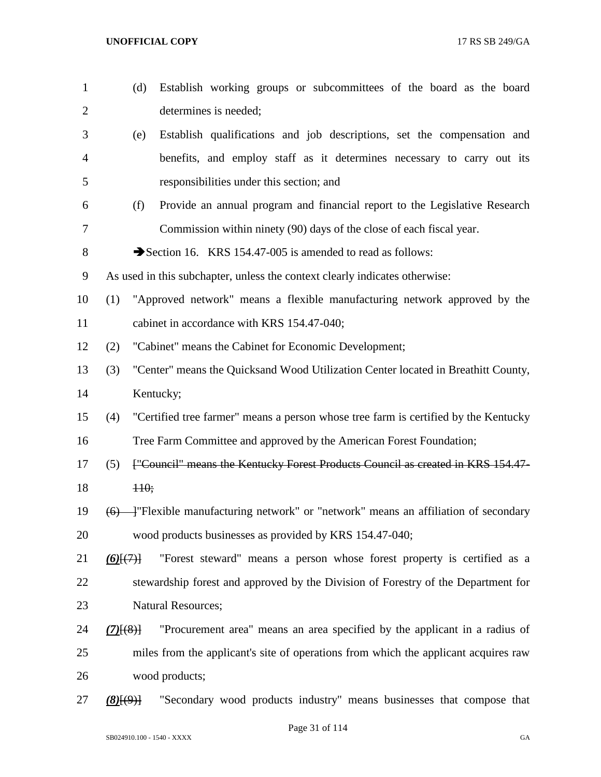| $\mathbf{1}$   | Establish working groups or subcommittees of the board as the board<br>(d)                 |  |  |
|----------------|--------------------------------------------------------------------------------------------|--|--|
| $\overline{c}$ | determines is needed;                                                                      |  |  |
| 3              | Establish qualifications and job descriptions, set the compensation and<br>(e)             |  |  |
| 4              | benefits, and employ staff as it determines necessary to carry out its                     |  |  |
| 5              | responsibilities under this section; and                                                   |  |  |
| 6              | (f)<br>Provide an annual program and financial report to the Legislative Research          |  |  |
| 7              | Commission within ninety (90) days of the close of each fiscal year.                       |  |  |
| 8              | Section 16. KRS 154.47-005 is amended to read as follows:                                  |  |  |
| 9              | As used in this subchapter, unless the context clearly indicates otherwise:                |  |  |
| 10             | "Approved network" means a flexible manufacturing network approved by the<br>(1)           |  |  |
| 11             | cabinet in accordance with KRS 154.47-040;                                                 |  |  |
| 12             | (2)<br>"Cabinet" means the Cabinet for Economic Development;                               |  |  |
| 13             | "Center" means the Quicksand Wood Utilization Center located in Breathitt County,<br>(3)   |  |  |
| 14             | Kentucky;                                                                                  |  |  |
| 15             | "Certified tree farmer" means a person whose tree farm is certified by the Kentucky<br>(4) |  |  |
| 16             | Tree Farm Committee and approved by the American Forest Foundation;                        |  |  |
| 17             | ["Council" means the Kentucky Forest Products Council as created in KRS 154.47-<br>(5)     |  |  |
| 18             | $H0$ ;                                                                                     |  |  |
| 19             | (6)                                                                                        |  |  |
| 20             | wood products businesses as provided by KRS 154.47-040;                                    |  |  |
| 21             | "Forest steward" means a person whose forest property is certified as a<br>$(6)$ $(7)$     |  |  |
| 22             | stewardship forest and approved by the Division of Forestry of the Department for          |  |  |
| 23             | <b>Natural Resources;</b>                                                                  |  |  |
| 24             | "Procurement area" means an area specified by the applicant in a radius of<br>$(7)$ $(8)$  |  |  |
| 25             | miles from the applicant's site of operations from which the applicant acquires raw        |  |  |
| 26             | wood products;                                                                             |  |  |
| 27             | "Secondary wood products industry" means businesses that compose that<br>(8)(9)            |  |  |

Page 31 of 114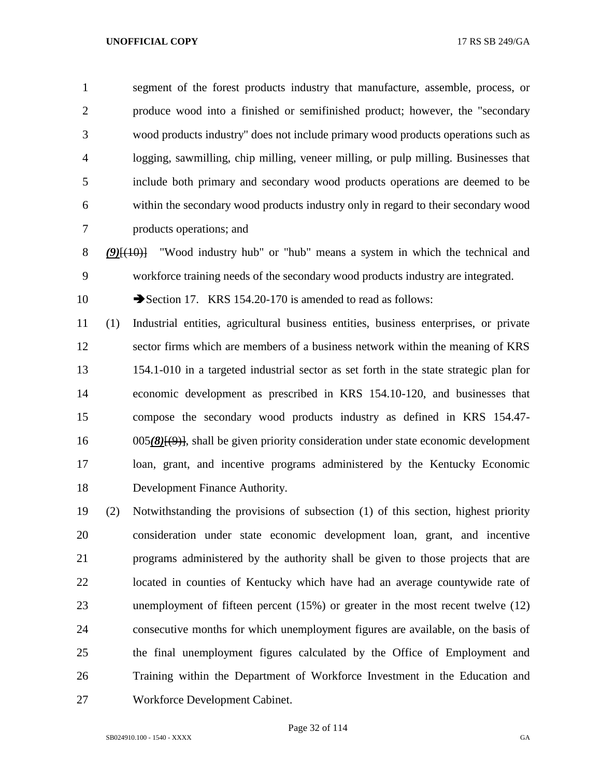segment of the forest products industry that manufacture, assemble, process, or produce wood into a finished or semifinished product; however, the "secondary wood products industry" does not include primary wood products operations such as logging, sawmilling, chip milling, veneer milling, or pulp milling. Businesses that include both primary and secondary wood products operations are deemed to be within the secondary wood products industry only in regard to their secondary wood products operations; and

 *(9)*[(10)] "Wood industry hub" or "hub" means a system in which the technical and workforce training needs of the secondary wood products industry are integrated.

10 Section 17. KRS 154.20-170 is amended to read as follows:

 (1) Industrial entities, agricultural business entities, business enterprises, or private sector firms which are members of a business network within the meaning of KRS 154.1-010 in a targeted industrial sector as set forth in the state strategic plan for economic development as prescribed in KRS 154.10-120, and businesses that compose the secondary wood products industry as defined in KRS 154.47- 005*(8)*[(9)], shall be given priority consideration under state economic development loan, grant, and incentive programs administered by the Kentucky Economic Development Finance Authority.

 (2) Notwithstanding the provisions of subsection (1) of this section, highest priority consideration under state economic development loan, grant, and incentive programs administered by the authority shall be given to those projects that are located in counties of Kentucky which have had an average countywide rate of unemployment of fifteen percent (15%) or greater in the most recent twelve (12) consecutive months for which unemployment figures are available, on the basis of the final unemployment figures calculated by the Office of Employment and Training within the Department of Workforce Investment in the Education and Workforce Development Cabinet.

Page 32 of 114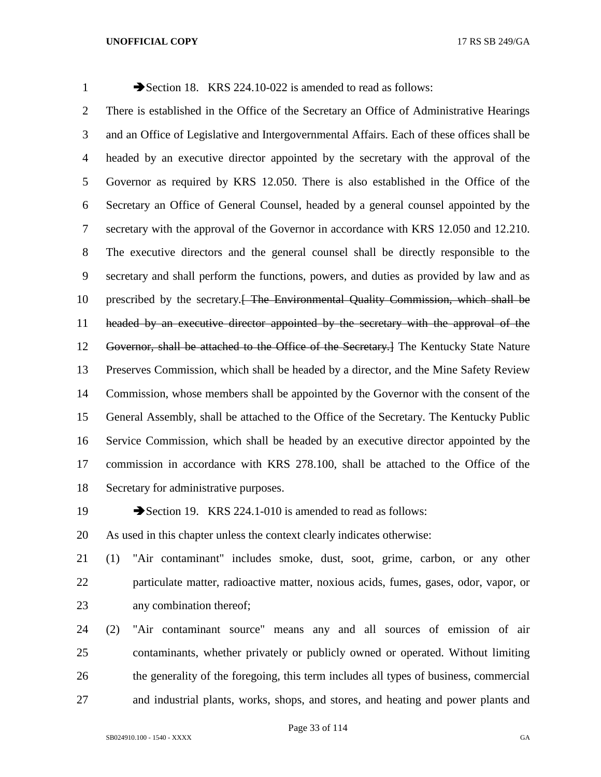1 Section 18. KRS 224.10-022 is amended to read as follows: There is established in the Office of the Secretary an Office of Administrative Hearings and an Office of Legislative and Intergovernmental Affairs. Each of these offices shall be headed by an executive director appointed by the secretary with the approval of the Governor as required by KRS 12.050. There is also established in the Office of the Secretary an Office of General Counsel, headed by a general counsel appointed by the secretary with the approval of the Governor in accordance with KRS 12.050 and 12.210. The executive directors and the general counsel shall be directly responsible to the secretary and shall perform the functions, powers, and duties as provided by law and as 10 prescribed by the secretary. The Environmental Quality Commission, which shall be headed by an executive director appointed by the secretary with the approval of the Governor, shall be attached to the Office of the Secretary.] The Kentucky State Nature Preserves Commission, which shall be headed by a director, and the Mine Safety Review Commission, whose members shall be appointed by the Governor with the consent of the General Assembly, shall be attached to the Office of the Secretary. The Kentucky Public Service Commission, which shall be headed by an executive director appointed by the commission in accordance with KRS 278.100, shall be attached to the Office of the Secretary for administrative purposes.

19 Section 19. KRS 224.1-010 is amended to read as follows:

As used in this chapter unless the context clearly indicates otherwise:

 (1) "Air contaminant" includes smoke, dust, soot, grime, carbon, or any other particulate matter, radioactive matter, noxious acids, fumes, gases, odor, vapor, or any combination thereof;

 (2) "Air contaminant source" means any and all sources of emission of air contaminants, whether privately or publicly owned or operated. Without limiting the generality of the foregoing, this term includes all types of business, commercial and industrial plants, works, shops, and stores, and heating and power plants and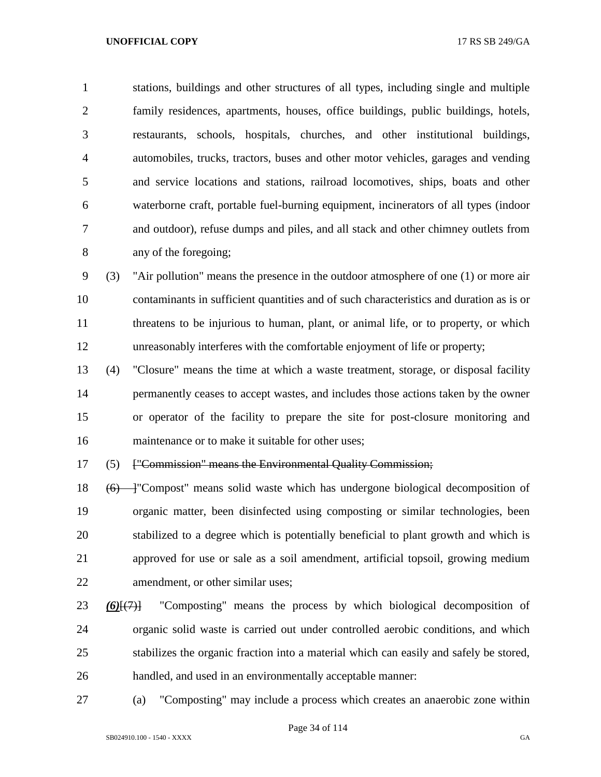stations, buildings and other structures of all types, including single and multiple family residences, apartments, houses, office buildings, public buildings, hotels, restaurants, schools, hospitals, churches, and other institutional buildings, automobiles, trucks, tractors, buses and other motor vehicles, garages and vending and service locations and stations, railroad locomotives, ships, boats and other waterborne craft, portable fuel-burning equipment, incinerators of all types (indoor and outdoor), refuse dumps and piles, and all stack and other chimney outlets from any of the foregoing;

 (3) "Air pollution" means the presence in the outdoor atmosphere of one (1) or more air contaminants in sufficient quantities and of such characteristics and duration as is or 11 threatens to be injurious to human, plant, or animal life, or to property, or which unreasonably interferes with the comfortable enjoyment of life or property;

 (4) "Closure" means the time at which a waste treatment, storage, or disposal facility permanently ceases to accept wastes, and includes those actions taken by the owner or operator of the facility to prepare the site for post-closure monitoring and maintenance or to make it suitable for other uses;

(5) ["Commission" means the Environmental Quality Commission;

18 (6) — "Compost" means solid waste which has undergone biological decomposition of organic matter, been disinfected using composting or similar technologies, been stabilized to a degree which is potentially beneficial to plant growth and which is approved for use or sale as a soil amendment, artificial topsoil, growing medium amendment, or other similar uses;

- *(6)*[(7)] "Composting" means the process by which biological decomposition of organic solid waste is carried out under controlled aerobic conditions, and which stabilizes the organic fraction into a material which can easily and safely be stored, handled, and used in an environmentally acceptable manner:
- (a) "Composting" may include a process which creates an anaerobic zone within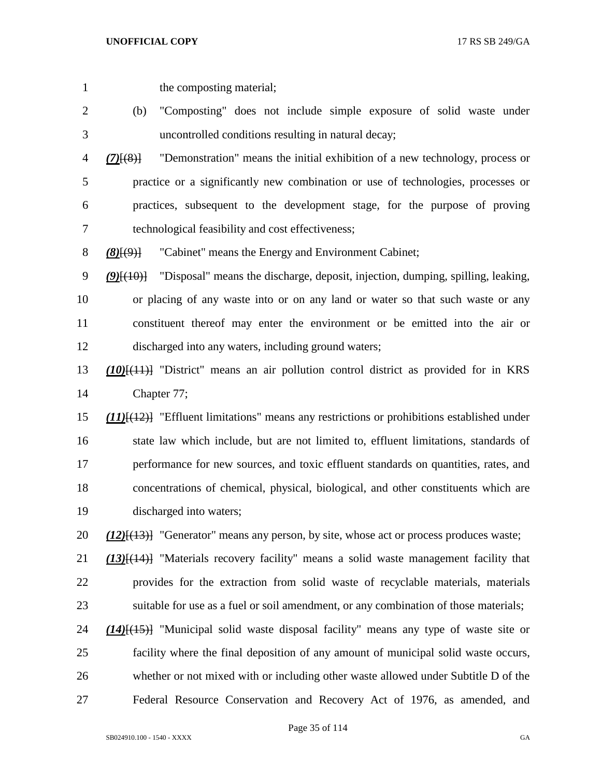the composting material;

- (b) "Composting" does not include simple exposure of solid waste under uncontrolled conditions resulting in natural decay;
- *(7)*[(8)] "Demonstration" means the initial exhibition of a new technology, process or practice or a significantly new combination or use of technologies, processes or practices, subsequent to the development stage, for the purpose of proving technological feasibility and cost effectiveness;
- *(8)*[(9)] "Cabinet" means the Energy and Environment Cabinet;
- *(9)*[(10)] "Disposal" means the discharge, deposit, injection, dumping, spilling, leaking, or placing of any waste into or on any land or water so that such waste or any constituent thereof may enter the environment or be emitted into the air or discharged into any waters, including ground waters;
- *(10)*[(11)] "District" means an air pollution control district as provided for in KRS Chapter 77;
- *(11)*[(12)] "Effluent limitations" means any restrictions or prohibitions established under state law which include, but are not limited to, effluent limitations, standards of performance for new sources, and toxic effluent standards on quantities, rates, and concentrations of chemical, physical, biological, and other constituents which are discharged into waters;
- *(12)*[(13)] "Generator" means any person, by site, whose act or process produces waste;
- *(13)*[(14)] "Materials recovery facility" means a solid waste management facility that provides for the extraction from solid waste of recyclable materials, materials suitable for use as a fuel or soil amendment, or any combination of those materials;
- *(14)*[(15)] "Municipal solid waste disposal facility" means any type of waste site or facility where the final deposition of any amount of municipal solid waste occurs, whether or not mixed with or including other waste allowed under Subtitle D of the Federal Resource Conservation and Recovery Act of 1976, as amended, and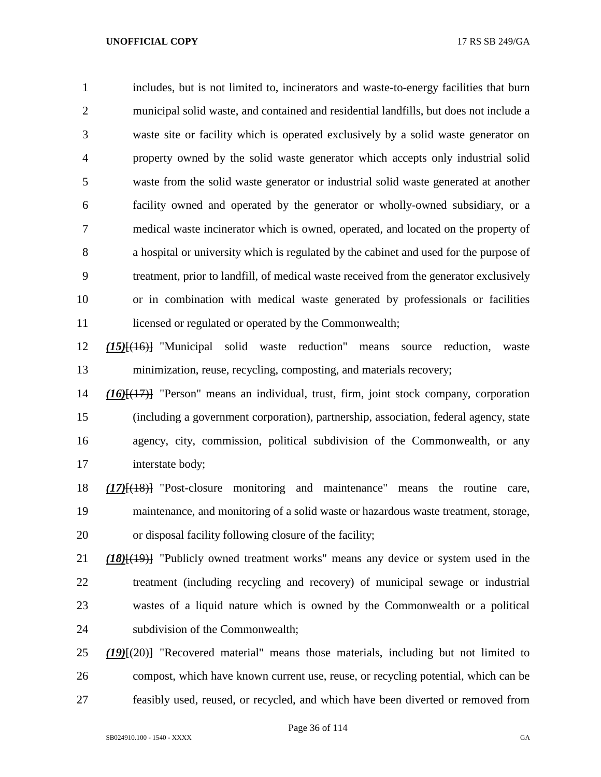includes, but is not limited to, incinerators and waste-to-energy facilities that burn municipal solid waste, and contained and residential landfills, but does not include a waste site or facility which is operated exclusively by a solid waste generator on property owned by the solid waste generator which accepts only industrial solid waste from the solid waste generator or industrial solid waste generated at another facility owned and operated by the generator or wholly-owned subsidiary, or a medical waste incinerator which is owned, operated, and located on the property of a hospital or university which is regulated by the cabinet and used for the purpose of treatment, prior to landfill, of medical waste received from the generator exclusively or in combination with medical waste generated by professionals or facilities 11 licensed or regulated or operated by the Commonwealth;

 *(15)*[(16)] "Municipal solid waste reduction" means source reduction, waste minimization, reuse, recycling, composting, and materials recovery;

 *(16)*[(17)] "Person" means an individual, trust, firm, joint stock company, corporation (including a government corporation), partnership, association, federal agency, state agency, city, commission, political subdivision of the Commonwealth, or any interstate body;

 *(17)*[(18)] "Post-closure monitoring and maintenance" means the routine care, maintenance, and monitoring of a solid waste or hazardous waste treatment, storage, or disposal facility following closure of the facility;

 *(18)*[(19)] "Publicly owned treatment works" means any device or system used in the treatment (including recycling and recovery) of municipal sewage or industrial wastes of a liquid nature which is owned by the Commonwealth or a political subdivision of the Commonwealth;

 *(19)*[(20)] "Recovered material" means those materials, including but not limited to compost, which have known current use, reuse, or recycling potential, which can be feasibly used, reused, or recycled, and which have been diverted or removed from

Page 36 of 114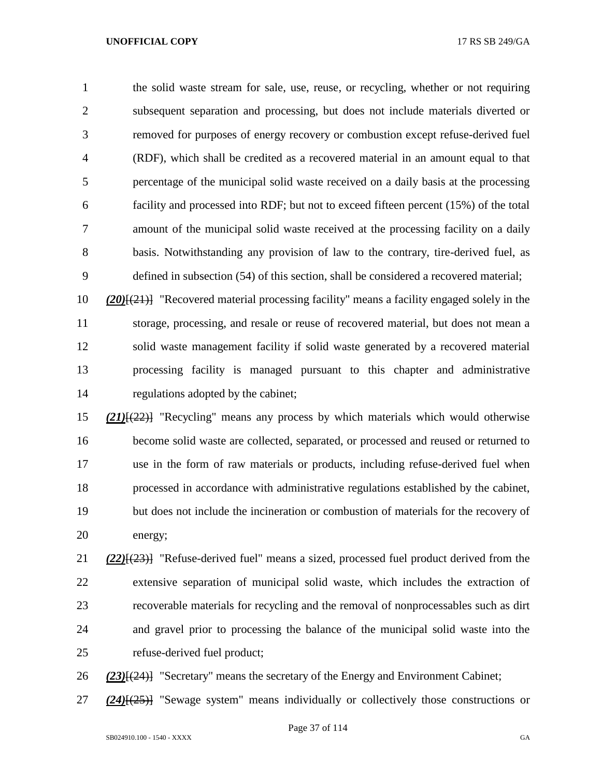the solid waste stream for sale, use, reuse, or recycling, whether or not requiring subsequent separation and processing, but does not include materials diverted or removed for purposes of energy recovery or combustion except refuse-derived fuel (RDF), which shall be credited as a recovered material in an amount equal to that percentage of the municipal solid waste received on a daily basis at the processing facility and processed into RDF; but not to exceed fifteen percent (15%) of the total amount of the municipal solid waste received at the processing facility on a daily basis. Notwithstanding any provision of law to the contrary, tire-derived fuel, as defined in subsection (54) of this section, shall be considered a recovered material;

 *(20)*[(21)] "Recovered material processing facility" means a facility engaged solely in the storage, processing, and resale or reuse of recovered material, but does not mean a solid waste management facility if solid waste generated by a recovered material processing facility is managed pursuant to this chapter and administrative regulations adopted by the cabinet;

 *(21)*[(22)] "Recycling" means any process by which materials which would otherwise become solid waste are collected, separated, or processed and reused or returned to use in the form of raw materials or products, including refuse-derived fuel when processed in accordance with administrative regulations established by the cabinet, but does not include the incineration or combustion of materials for the recovery of energy;

 *(22)*[(23)] "Refuse-derived fuel" means a sized, processed fuel product derived from the extensive separation of municipal solid waste, which includes the extraction of recoverable materials for recycling and the removal of nonprocessables such as dirt and gravel prior to processing the balance of the municipal solid waste into the refuse-derived fuel product;

*(23)*[(24)] "Secretary" means the secretary of the Energy and Environment Cabinet;

*(24)*[(25)] "Sewage system" means individually or collectively those constructions or

Page 37 of 114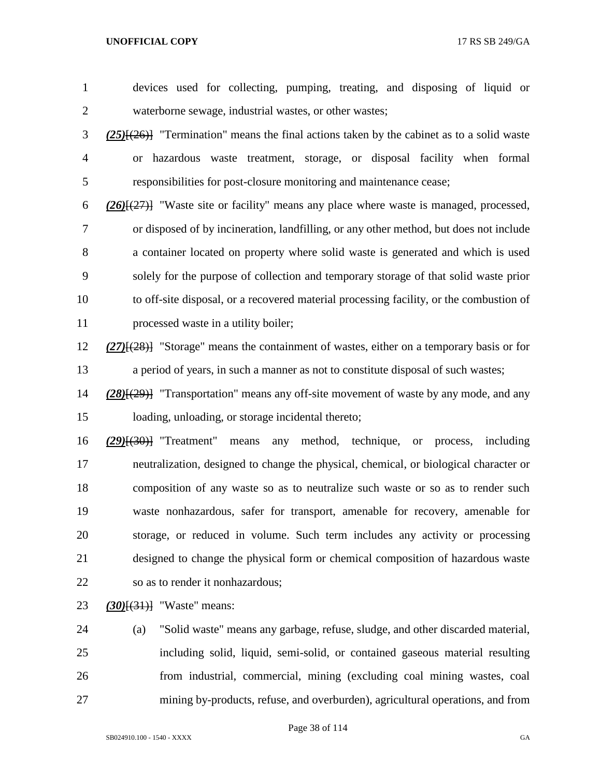devices used for collecting, pumping, treating, and disposing of liquid or waterborne sewage, industrial wastes, or other wastes; *(25)*[(26)] "Termination" means the final actions taken by the cabinet as to a solid waste or hazardous waste treatment, storage, or disposal facility when formal responsibilities for post-closure monitoring and maintenance cease; *(26)*[(27)] "Waste site or facility" means any place where waste is managed, processed, or disposed of by incineration, landfilling, or any other method, but does not include a container located on property where solid waste is generated and which is used solely for the purpose of collection and temporary storage of that solid waste prior to off-site disposal, or a recovered material processing facility, or the combustion of 11 processed waste in a utility boiler; *(27)*[(28)] "Storage" means the containment of wastes, either on a temporary basis or for a period of years, in such a manner as not to constitute disposal of such wastes; *(28)*[(29)] "Transportation" means any off-site movement of waste by any mode, and any loading, unloading, or storage incidental thereto; *(29)*[(30)] "Treatment" means any method, technique, or process, including neutralization, designed to change the physical, chemical, or biological character or composition of any waste so as to neutralize such waste or so as to render such waste nonhazardous, safer for transport, amenable for recovery, amenable for

 storage, or reduced in volume. Such term includes any activity or processing designed to change the physical form or chemical composition of hazardous waste so as to render it nonhazardous;

*(30)*[(31)] "Waste" means:

 (a) "Solid waste" means any garbage, refuse, sludge, and other discarded material, including solid, liquid, semi-solid, or contained gaseous material resulting from industrial, commercial, mining (excluding coal mining wastes, coal mining by-products, refuse, and overburden), agricultural operations, and from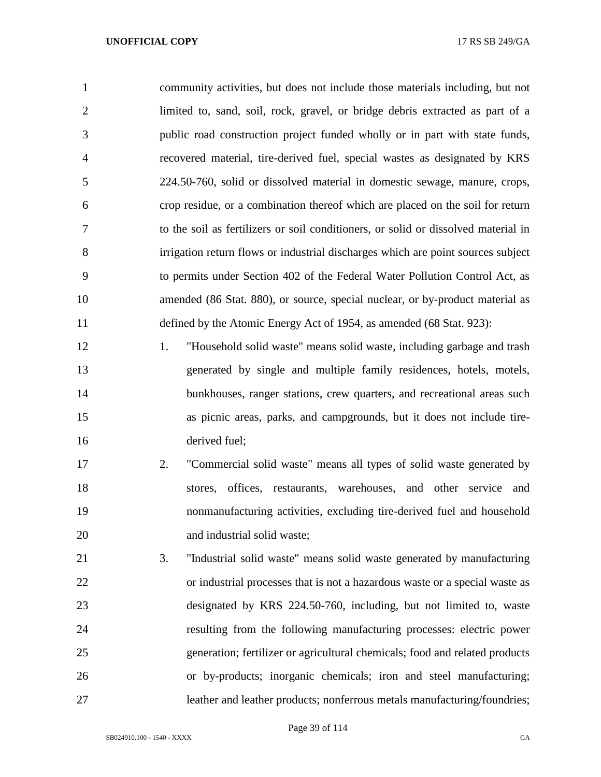community activities, but does not include those materials including, but not limited to, sand, soil, rock, gravel, or bridge debris extracted as part of a public road construction project funded wholly or in part with state funds, recovered material, tire-derived fuel, special wastes as designated by KRS 224.50-760, solid or dissolved material in domestic sewage, manure, crops, crop residue, or a combination thereof which are placed on the soil for return to the soil as fertilizers or soil conditioners, or solid or dissolved material in irrigation return flows or industrial discharges which are point sources subject to permits under Section 402 of the Federal Water Pollution Control Act, as amended (86 Stat. 880), or source, special nuclear, or by-product material as defined by the Atomic Energy Act of 1954, as amended (68 Stat. 923):

 1. "Household solid waste" means solid waste, including garbage and trash generated by single and multiple family residences, hotels, motels, 14 bunkhouses, ranger stations, crew quarters, and recreational areas such as picnic areas, parks, and campgrounds, but it does not include tire-derived fuel;

- 2. "Commercial solid waste" means all types of solid waste generated by stores, offices, restaurants, warehouses, and other service and nonmanufacturing activities, excluding tire-derived fuel and household 20 and industrial solid waste;
- 3. "Industrial solid waste" means solid waste generated by manufacturing or industrial processes that is not a hazardous waste or a special waste as designated by KRS 224.50-760, including, but not limited to, waste resulting from the following manufacturing processes: electric power generation; fertilizer or agricultural chemicals; food and related products or by-products; inorganic chemicals; iron and steel manufacturing; leather and leather products; nonferrous metals manufacturing/foundries;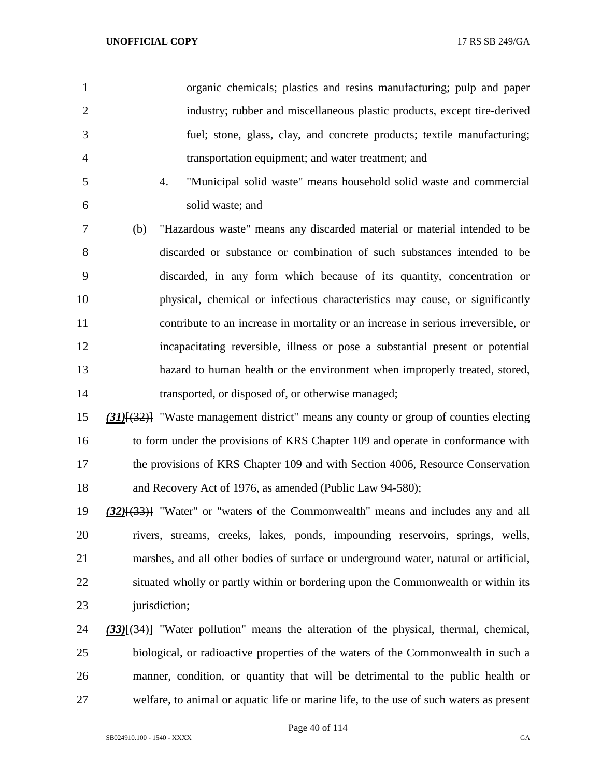|   | organic chemicals; plastics and resins manufacturing; pulp and paper     |
|---|--------------------------------------------------------------------------|
| 2 | industry; rubber and miscellaneous plastic products, except tire-derived |
| 3 | fuel; stone, glass, clay, and concrete products; textile manufacturing;  |
| 4 | transportation equipment; and water treatment; and                       |
| 5 | "Municipal solid waste" means household solid waste and commercial       |

solid waste; and

 (b) "Hazardous waste" means any discarded material or material intended to be discarded or substance or combination of such substances intended to be discarded, in any form which because of its quantity, concentration or physical, chemical or infectious characteristics may cause, or significantly contribute to an increase in mortality or an increase in serious irreversible, or incapacitating reversible, illness or pose a substantial present or potential hazard to human health or the environment when improperly treated, stored, transported, or disposed of, or otherwise managed;

 *(31)*[(32)] "Waste management district" means any county or group of counties electing to form under the provisions of KRS Chapter 109 and operate in conformance with 17 the provisions of KRS Chapter 109 and with Section 4006, Resource Conservation and Recovery Act of 1976, as amended (Public Law 94-580);

 *(32)*[(33)] "Water" or "waters of the Commonwealth" means and includes any and all rivers, streams, creeks, lakes, ponds, impounding reservoirs, springs, wells, marshes, and all other bodies of surface or underground water, natural or artificial, situated wholly or partly within or bordering upon the Commonwealth or within its 23 jurisdiction;

 *(33)*[(34)] "Water pollution" means the alteration of the physical, thermal, chemical, biological, or radioactive properties of the waters of the Commonwealth in such a manner, condition, or quantity that will be detrimental to the public health or welfare, to animal or aquatic life or marine life, to the use of such waters as present

Page 40 of 114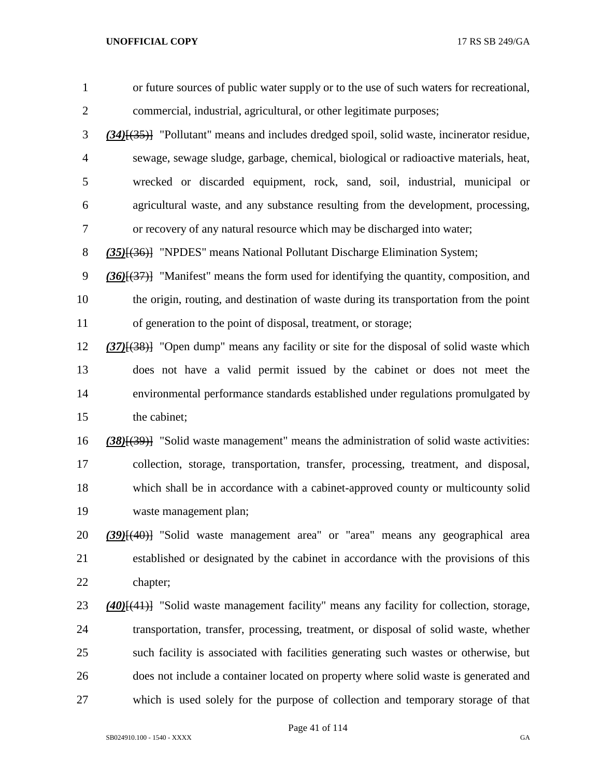| $\mathbf{1}$   | or future sources of public water supply or to the use of such waters for recreational,           |
|----------------|---------------------------------------------------------------------------------------------------|
| $\overline{2}$ | commercial, industrial, agricultural, or other legitimate purposes;                               |
| 3              | $(34)$ [ $(35)$ ] "Pollutant" means and includes dredged spoil, solid waste, incinerator residue, |
| 4              | sewage, sewage sludge, garbage, chemical, biological or radioactive materials, heat,              |
| 5              | wrecked or discarded equipment, rock, sand, soil, industrial, municipal or                        |
| 6              | agricultural waste, and any substance resulting from the development, processing,                 |
| 7              | or recovery of any natural resource which may be discharged into water;                           |
| 8              | (35) <sup>{(36)}</sup> "NPDES" means National Pollutant Discharge Elimination System;             |
| 9              | $(36)$ $(37)$ "Manifest" means the form used for identifying the quantity, composition, and       |
| 10             | the origin, routing, and destination of waste during its transportation from the point            |
| 11             | of generation to the point of disposal, treatment, or storage;                                    |
| 12             | $(37)$ $(38)$ "Open dump" means any facility or site for the disposal of solid waste which        |
| 13             | does not have a valid permit issued by the cabinet or does not meet the                           |
| 14             | environmental performance standards established under regulations promulgated by                  |
| 15             | the cabinet;                                                                                      |
| 16             | $(38)(39)$ "Solid waste management" means the administration of solid waste activities:           |
| 17             | collection, storage, transportation, transfer, processing, treatment, and disposal,               |
| 18             | which shall be in accordance with a cabinet-approved county or multicounty solid                  |
| 19             | waste management plan;                                                                            |
| 20             | (39) <sup>[(40)</sup> ] "Solid waste management area" or "area" means any geographical area       |
| 21             | established or designated by the cabinet in accordance with the provisions of this                |
| 22             | chapter;                                                                                          |
| 23             | (40)[(41)] "Solid waste management facility" means any facility for collection, storage,          |
| 24             | transportation, transfer, processing, treatment, or disposal of solid waste, whether              |
| 25             | such facility is associated with facilities generating such wastes or otherwise, but              |
| 26             | does not include a container located on property where solid waste is generated and               |
| 27             | which is used solely for the purpose of collection and temporary storage of that                  |

Page 41 of 114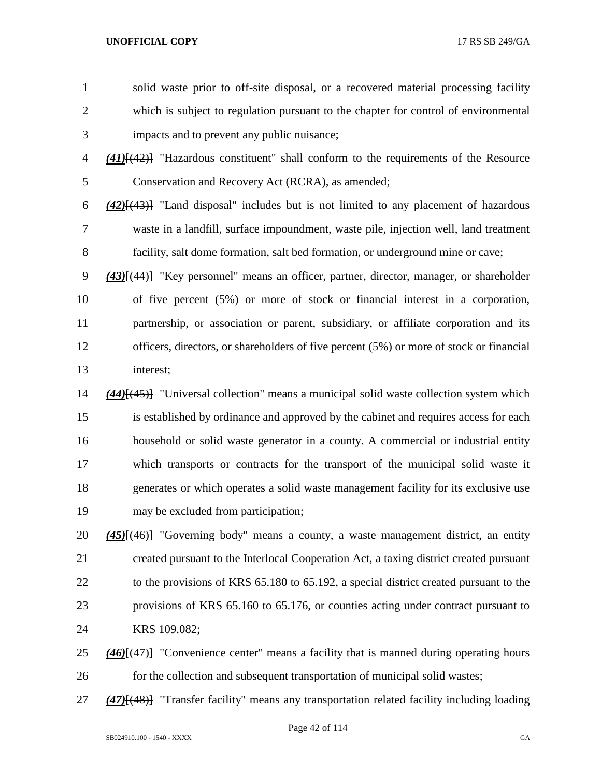- solid waste prior to off-site disposal, or a recovered material processing facility which is subject to regulation pursuant to the chapter for control of environmental impacts and to prevent any public nuisance; *(41)*[(42)] "Hazardous constituent" shall conform to the requirements of the Resource Conservation and Recovery Act (RCRA), as amended; *(42)*[(43)] "Land disposal" includes but is not limited to any placement of hazardous waste in a landfill, surface impoundment, waste pile, injection well, land treatment facility, salt dome formation, salt bed formation, or underground mine or cave; *(43)*[(44)] "Key personnel" means an officer, partner, director, manager, or shareholder of five percent (5%) or more of stock or financial interest in a corporation, partnership, or association or parent, subsidiary, or affiliate corporation and its officers, directors, or shareholders of five percent (5%) or more of stock or financial interest; *(44)*[(45)] "Universal collection" means a municipal solid waste collection system which is established by ordinance and approved by the cabinet and requires access for each household or solid waste generator in a county. A commercial or industrial entity which transports or contracts for the transport of the municipal solid waste it generates or which operates a solid waste management facility for its exclusive use may be excluded from participation; *(45)*[(46)] "Governing body" means a county, a waste management district, an entity
- created pursuant to the Interlocal Cooperation Act, a taxing district created pursuant 22 to the provisions of KRS 65.180 to 65.192, a special district created pursuant to the provisions of KRS 65.160 to 65.176, or counties acting under contract pursuant to KRS 109.082;
- *(46)*[(47)] "Convenience center" means a facility that is manned during operating hours for the collection and subsequent transportation of municipal solid wastes;
- *(47)*[(48)] "Transfer facility" means any transportation related facility including loading

Page 42 of 114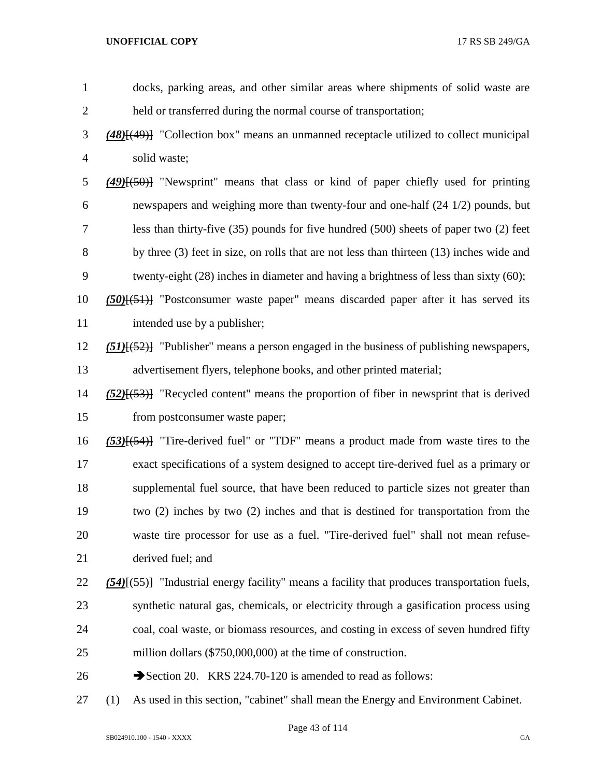| $\mathbf{1}$   | docks, parking areas, and other similar areas where shipments of solid waste are                    |
|----------------|-----------------------------------------------------------------------------------------------------|
| $\overline{c}$ | held or transferred during the normal course of transportation;                                     |
| 3              | $(48)$ [ $(49)$ ] "Collection box" means an unmanned receptacle utilized to collect municipal       |
| 4              | solid waste;                                                                                        |
| 5              | $(49)$ [ $(50)$ ] "Newsprint" means that class or kind of paper chiefly used for printing           |
| 6              | newspapers and weighing more than twenty-four and one-half (24 1/2) pounds, but                     |
| 7              | less than thirty-five $(35)$ pounds for five hundred $(500)$ sheets of paper two $(2)$ feet         |
| 8              | by three (3) feet in size, on rolls that are not less than thirteen (13) inches wide and            |
| 9              | twenty-eight (28) inches in diameter and having a brightness of less than sixty (60);               |
| 10             | $(50)(51)$ "Postconsumer waste paper" means discarded paper after it has served its                 |
| 11             | intended use by a publisher;                                                                        |
| 12             | $(51)$ [ $(52)$ ] "Publisher" means a person engaged in the business of publishing newspapers,      |
| 13             | advertisement flyers, telephone books, and other printed material;                                  |
| 14             | $(52)$ [ $(53)$ ] "Recycled content" means the proportion of fiber in newsprint that is derived     |
| 15             | from postconsumer waste paper;                                                                      |
| 16             | $(53)$ [(54)] "Tire-derived fuel" or "TDF" means a product made from waste tires to the             |
| 17             | exact specifications of a system designed to accept tire-derived fuel as a primary or               |
| 18             | supplemental fuel source, that have been reduced to particle sizes not greater than                 |
| 19             | two (2) inches by two (2) inches and that is destined for transportation from the                   |
| 20             | waste tire processor for use as a fuel. "Tire-derived fuel" shall not mean refuse-                  |
| 21             | derived fuel; and                                                                                   |
| 22             | $(54)$ [ $(55)$ ] "Industrial energy facility" means a facility that produces transportation fuels, |
| 23             | synthetic natural gas, chemicals, or electricity through a gasification process using               |
| 24             | coal, coal waste, or biomass resources, and costing in excess of seven hundred fifty                |
| 25             | million dollars (\$750,000,000) at the time of construction.                                        |
| 26             | Section 20. KRS 224.70-120 is amended to read as follows:                                           |
| 27             | As used in this section, "cabinet" shall mean the Energy and Environment Cabinet.<br>(1)            |

Page 43 of 114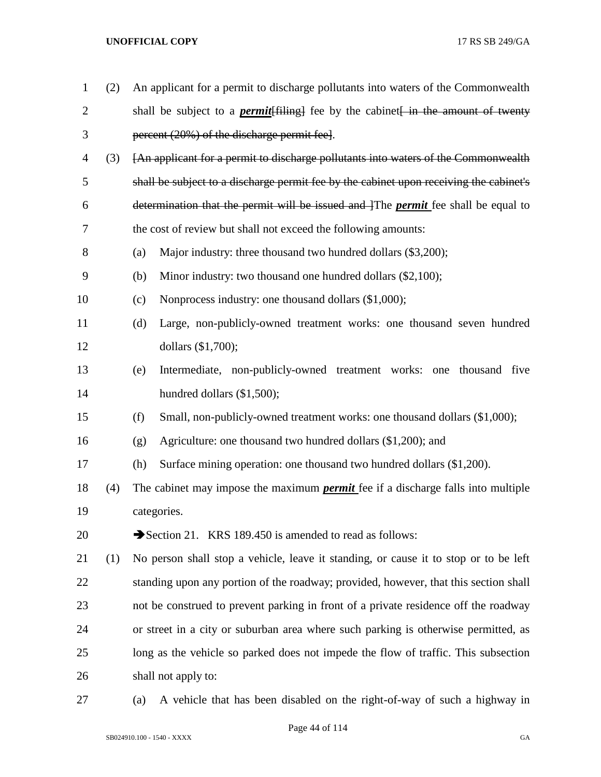| 1              | (2) | An applicant for a permit to discharge pollutants into waters of the Commonwealth        |
|----------------|-----|------------------------------------------------------------------------------------------|
| $\overline{2}$ |     | shall be subject to a <i>permit</i> [filing] fee by the cabinet in the amount of twenty  |
| 3              |     | percent (20%) of the discharge permit fee.                                               |
| $\overline{4}$ | (3) | [An applicant for a permit to discharge pollutants into waters of the Commonwealth       |
| 5              |     | shall be subject to a discharge permit fee by the cabinet upon receiving the cabinet's   |
| 6              |     | determination that the permit will be issued and The <i>permit</i> fee shall be equal to |
| 7              |     | the cost of review but shall not exceed the following amounts:                           |
| 8              |     | Major industry: three thousand two hundred dollars (\$3,200);<br>(a)                     |
| 9              |     | Minor industry: two thousand one hundred dollars (\$2,100);<br>(b)                       |
| 10             |     | Nonprocess industry: one thousand dollars (\$1,000);<br>(c)                              |
| 11             |     | (d)<br>Large, non-publicly-owned treatment works: one thousand seven hundred             |
| 12             |     | dollars (\$1,700);                                                                       |
| 13             |     | Intermediate, non-publicly-owned treatment works: one thousand five<br>(e)               |
| 14             |     | hundred dollars (\$1,500);                                                               |
| 15             |     | Small, non-publicly-owned treatment works: one thousand dollars (\$1,000);<br>(f)        |
| 16             |     | Agriculture: one thousand two hundred dollars (\$1,200); and<br>(g)                      |
| 17             |     | Surface mining operation: one thousand two hundred dollars (\$1,200).<br>(h)             |
| 18             | (4) | The cabinet may impose the maximum <i>permit</i> fee if a discharge falls into multiple  |
| 19             |     | categories.                                                                              |
| 20             |     | Section 21. KRS 189.450 is amended to read as follows:                                   |
| 21             | (1) | No person shall stop a vehicle, leave it standing, or cause it to stop or to be left     |
| 22             |     | standing upon any portion of the roadway; provided, however, that this section shall     |
| 23             |     | not be construed to prevent parking in front of a private residence off the roadway      |
| 24             |     | or street in a city or suburban area where such parking is otherwise permitted, as       |
| 25             |     | long as the vehicle so parked does not impede the flow of traffic. This subsection       |
| 26             |     | shall not apply to:                                                                      |
| 27             |     | A vehicle that has been disabled on the right-of-way of such a highway in<br>(a)         |

SB024910.100 - 1540 - XXXX GA

Page 44 of 114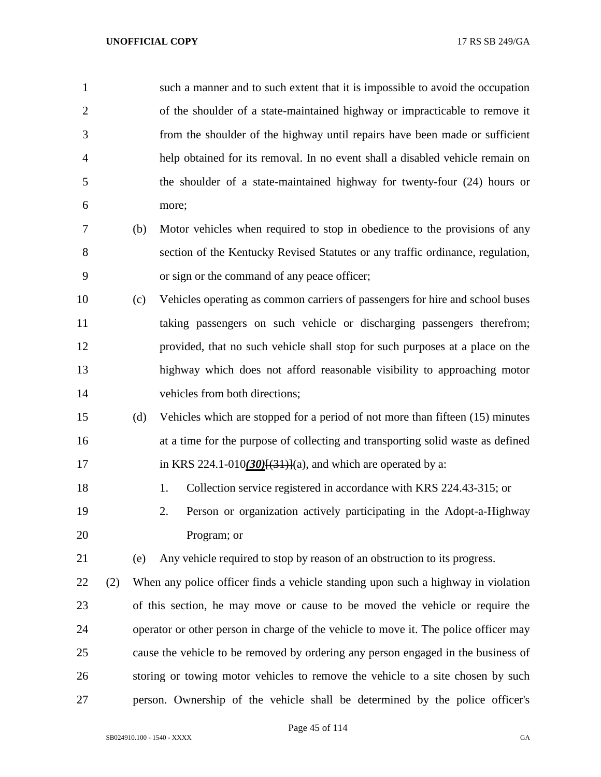| $\mathbf{1}$   |     |     | such a manner and to such extent that it is impossible to avoid the occupation       |
|----------------|-----|-----|--------------------------------------------------------------------------------------|
| $\overline{2}$ |     |     | of the shoulder of a state-maintained highway or impracticable to remove it          |
| 3              |     |     | from the shoulder of the highway until repairs have been made or sufficient          |
| 4              |     |     | help obtained for its removal. In no event shall a disabled vehicle remain on        |
| 5              |     |     | the shoulder of a state-maintained highway for twenty-four (24) hours or             |
| 6              |     |     | more;                                                                                |
| 7              |     | (b) | Motor vehicles when required to stop in obedience to the provisions of any           |
| 8              |     |     | section of the Kentucky Revised Statutes or any traffic ordinance, regulation,       |
| 9              |     |     | or sign or the command of any peace officer;                                         |
| 10             |     | (c) | Vehicles operating as common carriers of passengers for hire and school buses        |
| 11             |     |     | taking passengers on such vehicle or discharging passengers therefrom;               |
| 12             |     |     | provided, that no such vehicle shall stop for such purposes at a place on the        |
| 13             |     |     | highway which does not afford reasonable visibility to approaching motor             |
| 14             |     |     | vehicles from both directions;                                                       |
| 15             |     | (d) | Vehicles which are stopped for a period of not more than fifteen (15) minutes        |
| 16             |     |     | at a time for the purpose of collecting and transporting solid waste as defined      |
| 17             |     |     | in KRS 224.1-010(30) $\frac{30}{31}$ }(a), and which are operated by a:              |
| 18             |     |     | Collection service registered in accordance with KRS 224.43-315; or<br>1.            |
| 19             |     |     | 2.<br>Person or organization actively participating in the Adopt-a-Highway           |
| 20             |     |     | Program; or                                                                          |
| 21             |     | (e) | Any vehicle required to stop by reason of an obstruction to its progress.            |
| 22             | (2) |     | When any police officer finds a vehicle standing upon such a highway in violation    |
| 23             |     |     | of this section, he may move or cause to be moved the vehicle or require the         |
| 24             |     |     | operator or other person in charge of the vehicle to move it. The police officer may |
| 25             |     |     | cause the vehicle to be removed by ordering any person engaged in the business of    |
| 26             |     |     | storing or towing motor vehicles to remove the vehicle to a site chosen by such      |
| 27             |     |     | person. Ownership of the vehicle shall be determined by the police officer's         |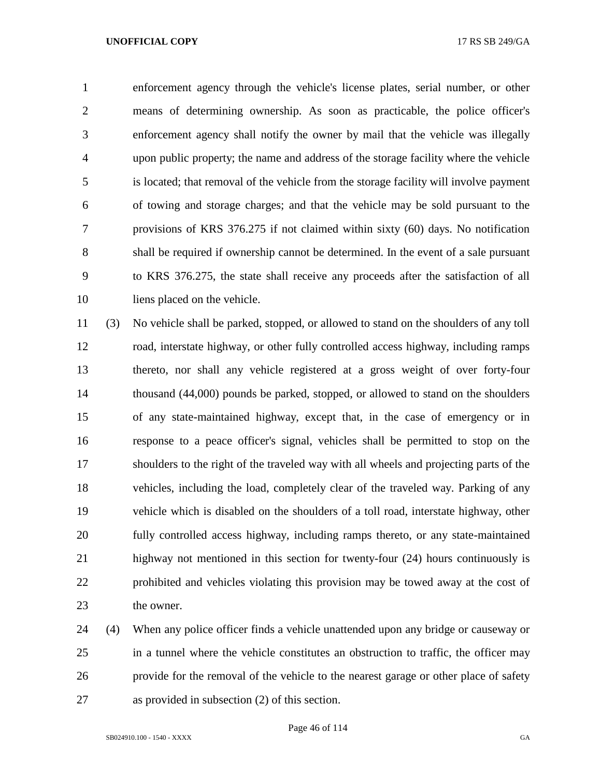enforcement agency through the vehicle's license plates, serial number, or other means of determining ownership. As soon as practicable, the police officer's enforcement agency shall notify the owner by mail that the vehicle was illegally upon public property; the name and address of the storage facility where the vehicle is located; that removal of the vehicle from the storage facility will involve payment of towing and storage charges; and that the vehicle may be sold pursuant to the provisions of KRS 376.275 if not claimed within sixty (60) days. No notification shall be required if ownership cannot be determined. In the event of a sale pursuant to KRS 376.275, the state shall receive any proceeds after the satisfaction of all liens placed on the vehicle.

 (3) No vehicle shall be parked, stopped, or allowed to stand on the shoulders of any toll road, interstate highway, or other fully controlled access highway, including ramps thereto, nor shall any vehicle registered at a gross weight of over forty-four thousand (44,000) pounds be parked, stopped, or allowed to stand on the shoulders of any state-maintained highway, except that, in the case of emergency or in response to a peace officer's signal, vehicles shall be permitted to stop on the shoulders to the right of the traveled way with all wheels and projecting parts of the vehicles, including the load, completely clear of the traveled way. Parking of any vehicle which is disabled on the shoulders of a toll road, interstate highway, other fully controlled access highway, including ramps thereto, or any state-maintained highway not mentioned in this section for twenty-four (24) hours continuously is prohibited and vehicles violating this provision may be towed away at the cost of the owner.

 (4) When any police officer finds a vehicle unattended upon any bridge or causeway or in a tunnel where the vehicle constitutes an obstruction to traffic, the officer may provide for the removal of the vehicle to the nearest garage or other place of safety as provided in subsection (2) of this section.

Page 46 of 114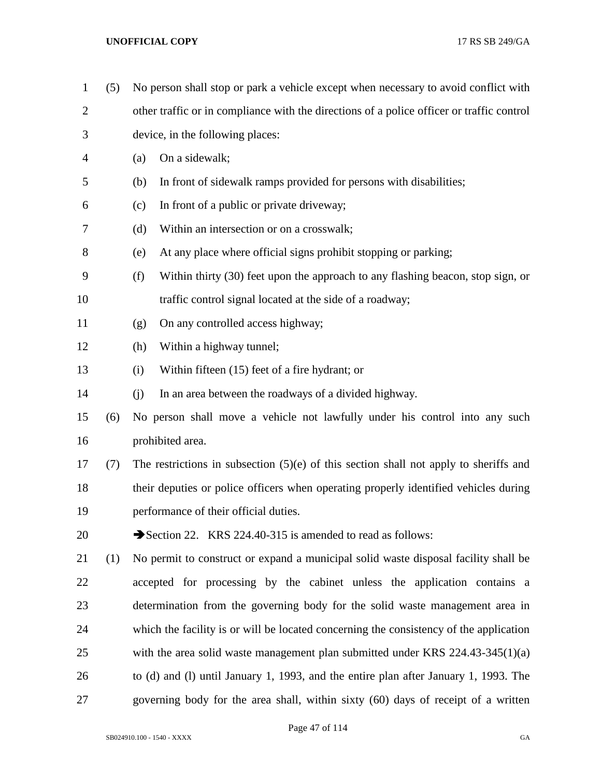(5) No person shall stop or park a vehicle except when necessary to avoid conflict with other traffic or in compliance with the directions of a police officer or traffic control device, in the following places: (a) On a sidewalk; (b) In front of sidewalk ramps provided for persons with disabilities; (c) In front of a public or private driveway; (d) Within an intersection or on a crosswalk; (e) At any place where official signs prohibit stopping or parking; (f) Within thirty (30) feet upon the approach to any flashing beacon, stop sign, or traffic control signal located at the side of a roadway; (g) On any controlled access highway; (h) Within a highway tunnel; (i) Within fifteen (15) feet of a fire hydrant; or (j) In an area between the roadways of a divided highway. (6) No person shall move a vehicle not lawfully under his control into any such prohibited area. (7) The restrictions in subsection (5)(e) of this section shall not apply to sheriffs and their deputies or police officers when operating properly identified vehicles during performance of their official duties. 20 Section 22. KRS 224.40-315 is amended to read as follows: (1) No permit to construct or expand a municipal solid waste disposal facility shall be accepted for processing by the cabinet unless the application contains a determination from the governing body for the solid waste management area in which the facility is or will be located concerning the consistency of the application 25 with the area solid waste management plan submitted under KRS 224.43-345(1)(a) to (d) and (l) until January 1, 1993, and the entire plan after January 1, 1993. The governing body for the area shall, within sixty (60) days of receipt of a written

Page 47 of 114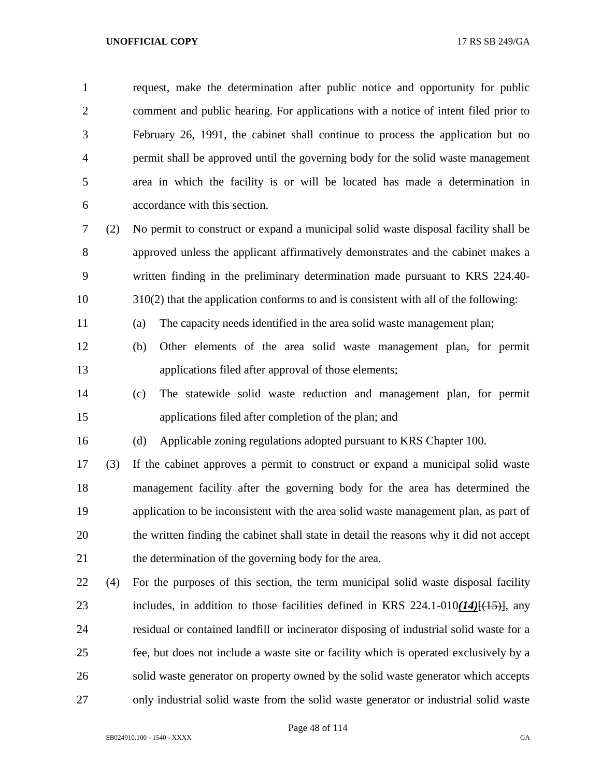request, make the determination after public notice and opportunity for public comment and public hearing. For applications with a notice of intent filed prior to February 26, 1991, the cabinet shall continue to process the application but no permit shall be approved until the governing body for the solid waste management area in which the facility is or will be located has made a determination in accordance with this section.

 (2) No permit to construct or expand a municipal solid waste disposal facility shall be approved unless the applicant affirmatively demonstrates and the cabinet makes a written finding in the preliminary determination made pursuant to KRS 224.40- 310(2) that the application conforms to and is consistent with all of the following:

(a) The capacity needs identified in the area solid waste management plan;

- (b) Other elements of the area solid waste management plan, for permit applications filed after approval of those elements;
- (c) The statewide solid waste reduction and management plan, for permit applications filed after completion of the plan; and

(d) Applicable zoning regulations adopted pursuant to KRS Chapter 100.

 (3) If the cabinet approves a permit to construct or expand a municipal solid waste management facility after the governing body for the area has determined the application to be inconsistent with the area solid waste management plan, as part of the written finding the cabinet shall state in detail the reasons why it did not accept the determination of the governing body for the area.

 (4) For the purposes of this section, the term municipal solid waste disposal facility includes, in addition to those facilities defined in KRS 224.1-010*(14)*[(15)], any residual or contained landfill or incinerator disposing of industrial solid waste for a fee, but does not include a waste site or facility which is operated exclusively by a solid waste generator on property owned by the solid waste generator which accepts only industrial solid waste from the solid waste generator or industrial solid waste

Page 48 of 114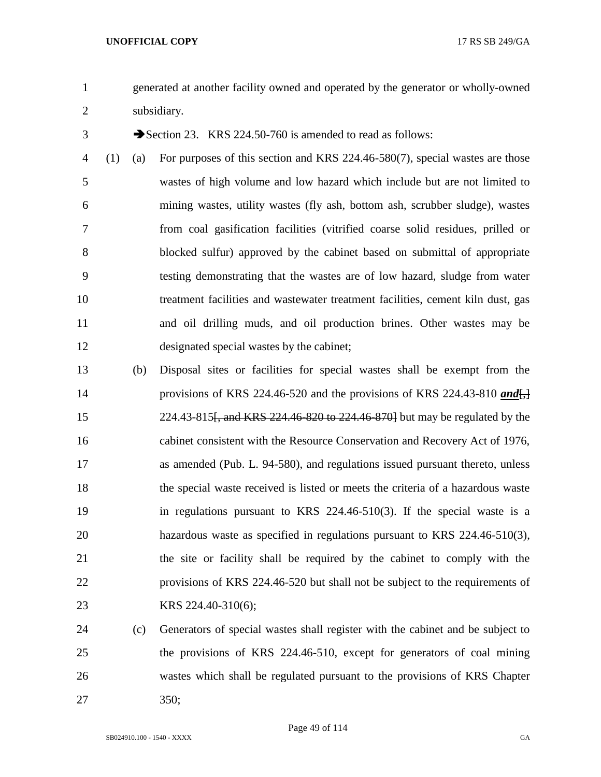generated at another facility owned and operated by the generator or wholly-owned subsidiary.

3 Section 23. KRS 224.50-760 is amended to read as follows:

- (1) (a) For purposes of this section and KRS 224.46-580(7), special wastes are those wastes of high volume and low hazard which include but are not limited to mining wastes, utility wastes (fly ash, bottom ash, scrubber sludge), wastes from coal gasification facilities (vitrified coarse solid residues, prilled or blocked sulfur) approved by the cabinet based on submittal of appropriate testing demonstrating that the wastes are of low hazard, sludge from water treatment facilities and wastewater treatment facilities, cement kiln dust, gas and oil drilling muds, and oil production brines. Other wastes may be designated special wastes by the cabinet;
- (b) Disposal sites or facilities for special wastes shall be exempt from the 14 provisions of KRS 224.46-520 and the provisions of KRS 224.43-810 *and*  224.43-815[, and KRS 224.46-820 to 224.46-870] but may be regulated by the cabinet consistent with the Resource Conservation and Recovery Act of 1976, as amended (Pub. L. 94-580), and regulations issued pursuant thereto, unless the special waste received is listed or meets the criteria of a hazardous waste in regulations pursuant to KRS 224.46-510(3). If the special waste is a hazardous waste as specified in regulations pursuant to KRS 224.46-510(3), the site or facility shall be required by the cabinet to comply with the provisions of KRS 224.46-520 but shall not be subject to the requirements of KRS 224.40-310(6);
- (c) Generators of special wastes shall register with the cabinet and be subject to the provisions of KRS 224.46-510, except for generators of coal mining wastes which shall be regulated pursuant to the provisions of KRS Chapter 350;

Page 49 of 114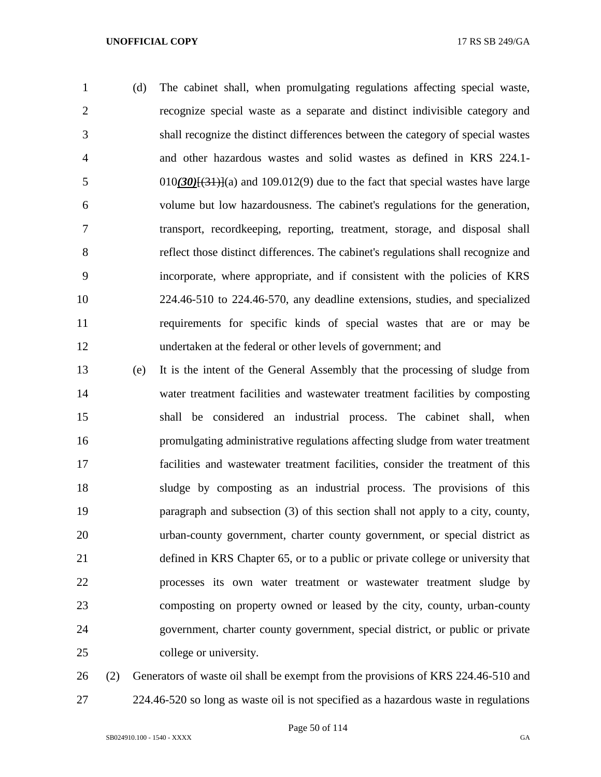(d) The cabinet shall, when promulgating regulations affecting special waste, recognize special waste as a separate and distinct indivisible category and shall recognize the distinct differences between the category of special wastes and other hazardous wastes and solid wastes as defined in KRS 224.1- 5 010 $(30)(31)(a)$  and 109.012(9) due to the fact that special wastes have large volume but low hazardousness. The cabinet's regulations for the generation, transport, recordkeeping, reporting, treatment, storage, and disposal shall reflect those distinct differences. The cabinet's regulations shall recognize and incorporate, where appropriate, and if consistent with the policies of KRS 224.46-510 to 224.46-570, any deadline extensions, studies, and specialized requirements for specific kinds of special wastes that are or may be undertaken at the federal or other levels of government; and

 (e) It is the intent of the General Assembly that the processing of sludge from water treatment facilities and wastewater treatment facilities by composting shall be considered an industrial process. The cabinet shall, when promulgating administrative regulations affecting sludge from water treatment facilities and wastewater treatment facilities, consider the treatment of this sludge by composting as an industrial process. The provisions of this paragraph and subsection (3) of this section shall not apply to a city, county, urban-county government, charter county government, or special district as defined in KRS Chapter 65, or to a public or private college or university that processes its own water treatment or wastewater treatment sludge by composting on property owned or leased by the city, county, urban-county government, charter county government, special district, or public or private college or university.

 (2) Generators of waste oil shall be exempt from the provisions of KRS 224.46-510 and 224.46-520 so long as waste oil is not specified as a hazardous waste in regulations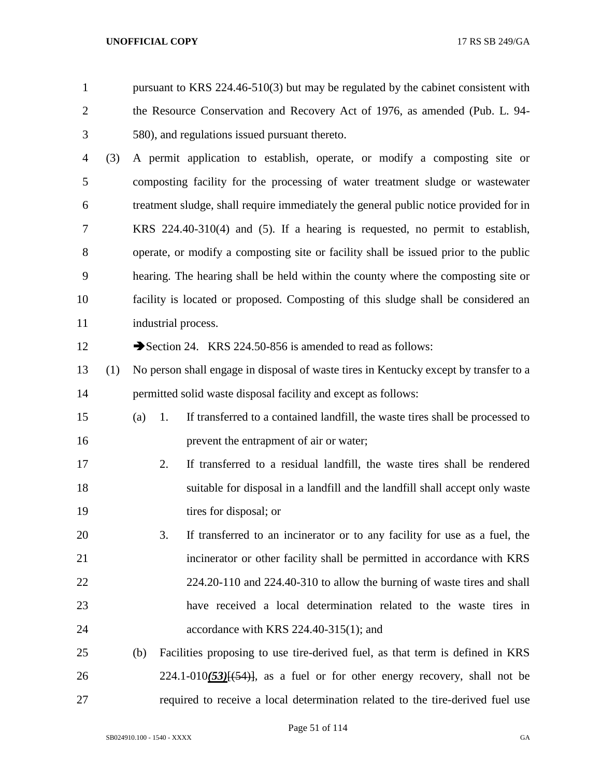pursuant to KRS 224.46-510(3) but may be regulated by the cabinet consistent with the Resource Conservation and Recovery Act of 1976, as amended (Pub. L. 94- 580), and regulations issued pursuant thereto.

 (3) A permit application to establish, operate, or modify a composting site or composting facility for the processing of water treatment sludge or wastewater treatment sludge, shall require immediately the general public notice provided for in KRS 224.40-310(4) and (5). If a hearing is requested, no permit to establish, operate, or modify a composting site or facility shall be issued prior to the public hearing. The hearing shall be held within the county where the composting site or facility is located or proposed. Composting of this sludge shall be considered an 11 industrial process.

12 Section 24. KRS 224.50-856 is amended to read as follows:

- (1) No person shall engage in disposal of waste tires in Kentucky except by transfer to a permitted solid waste disposal facility and except as follows:
- (a) 1. If transferred to a contained landfill, the waste tires shall be processed to prevent the entrapment of air or water;
- 2. If transferred to a residual landfill, the waste tires shall be rendered suitable for disposal in a landfill and the landfill shall accept only waste 19 tires for disposal; or
- 3. If transferred to an incinerator or to any facility for use as a fuel, the incinerator or other facility shall be permitted in accordance with KRS 224.20-110 and 224.40-310 to allow the burning of waste tires and shall have received a local determination related to the waste tires in accordance with KRS 224.40-315(1); and
- (b) Facilities proposing to use tire-derived fuel, as that term is defined in KRS 26 224.1-010(53)<del>[(54)]</del>, as a fuel or for other energy recovery, shall not be required to receive a local determination related to the tire-derived fuel use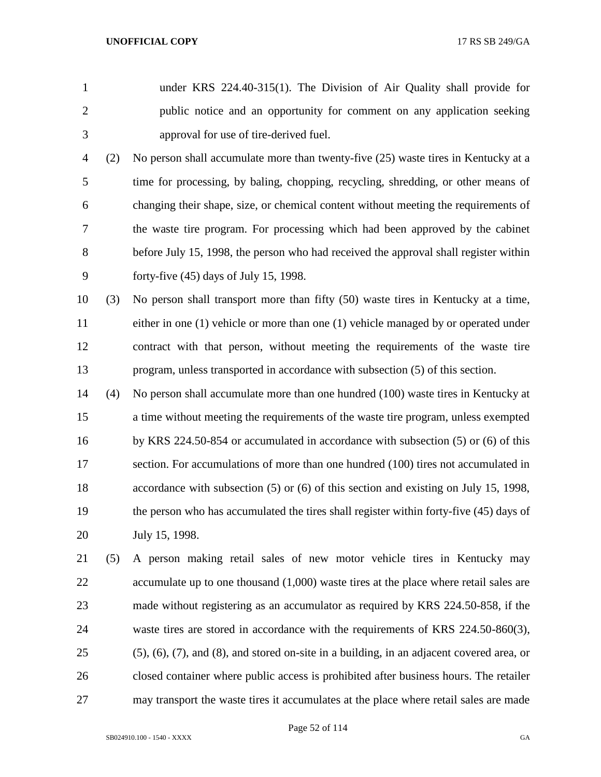- under KRS 224.40-315(1). The Division of Air Quality shall provide for public notice and an opportunity for comment on any application seeking approval for use of tire-derived fuel.
- (2) No person shall accumulate more than twenty-five (25) waste tires in Kentucky at a time for processing, by baling, chopping, recycling, shredding, or other means of changing their shape, size, or chemical content without meeting the requirements of the waste tire program. For processing which had been approved by the cabinet before July 15, 1998, the person who had received the approval shall register within forty-five (45) days of July 15, 1998.
- (3) No person shall transport more than fifty (50) waste tires in Kentucky at a time, either in one (1) vehicle or more than one (1) vehicle managed by or operated under contract with that person, without meeting the requirements of the waste tire program, unless transported in accordance with subsection (5) of this section.
- (4) No person shall accumulate more than one hundred (100) waste tires in Kentucky at a time without meeting the requirements of the waste tire program, unless exempted by KRS 224.50-854 or accumulated in accordance with subsection (5) or (6) of this section. For accumulations of more than one hundred (100) tires not accumulated in accordance with subsection (5) or (6) of this section and existing on July 15, 1998, the person who has accumulated the tires shall register within forty-five (45) days of July 15, 1998.
- (5) A person making retail sales of new motor vehicle tires in Kentucky may 22 accumulate up to one thousand (1,000) waste tires at the place where retail sales are made without registering as an accumulator as required by KRS 224.50-858, if the waste tires are stored in accordance with the requirements of KRS 224.50-860(3), (5), (6), (7), and (8), and stored on-site in a building, in an adjacent covered area, or closed container where public access is prohibited after business hours. The retailer may transport the waste tires it accumulates at the place where retail sales are made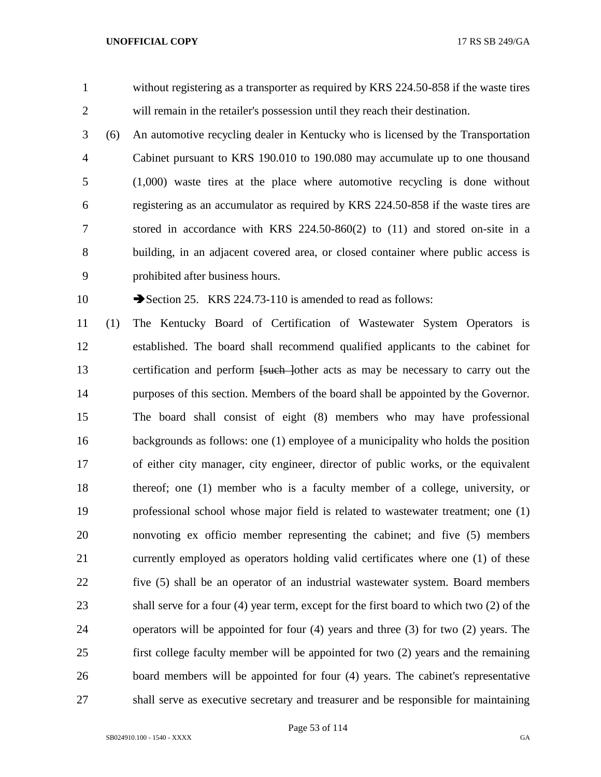without registering as a transporter as required by KRS 224.50-858 if the waste tires will remain in the retailer's possession until they reach their destination.

 (6) An automotive recycling dealer in Kentucky who is licensed by the Transportation Cabinet pursuant to KRS 190.010 to 190.080 may accumulate up to one thousand (1,000) waste tires at the place where automotive recycling is done without registering as an accumulator as required by KRS 224.50-858 if the waste tires are stored in accordance with KRS 224.50-860(2) to (11) and stored on-site in a building, in an adjacent covered area, or closed container where public access is prohibited after business hours.

10 Section 25. KRS 224.73-110 is amended to read as follows:

 (1) The Kentucky Board of Certification of Wastewater System Operators is established. The board shall recommend qualified applicants to the cabinet for 13 certification and perform <del>[such ]</del>other acts as may be necessary to carry out the purposes of this section. Members of the board shall be appointed by the Governor. The board shall consist of eight (8) members who may have professional backgrounds as follows: one (1) employee of a municipality who holds the position of either city manager, city engineer, director of public works, or the equivalent thereof; one (1) member who is a faculty member of a college, university, or professional school whose major field is related to wastewater treatment; one (1) nonvoting ex officio member representing the cabinet; and five (5) members currently employed as operators holding valid certificates where one (1) of these five (5) shall be an operator of an industrial wastewater system. Board members shall serve for a four (4) year term, except for the first board to which two (2) of the operators will be appointed for four (4) years and three (3) for two (2) years. The first college faculty member will be appointed for two (2) years and the remaining board members will be appointed for four (4) years. The cabinet's representative shall serve as executive secretary and treasurer and be responsible for maintaining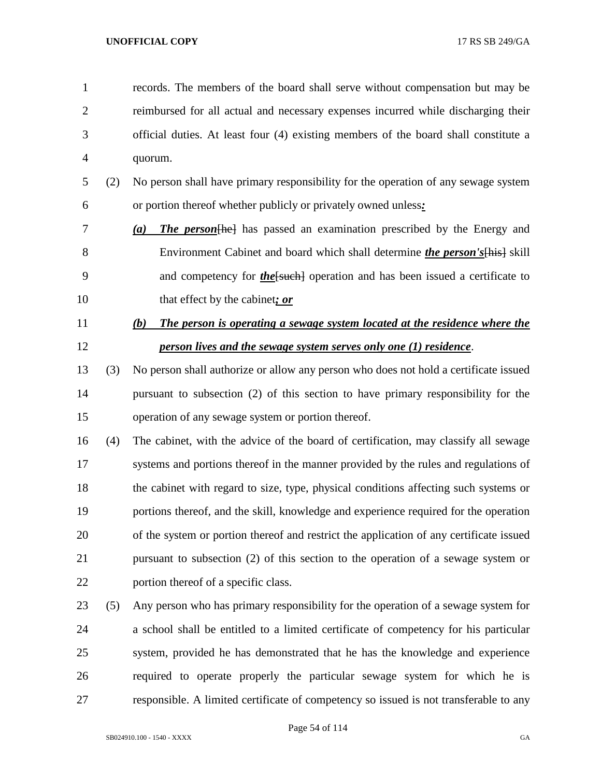records. The members of the board shall serve without compensation but may be reimbursed for all actual and necessary expenses incurred while discharging their official duties. At least four (4) existing members of the board shall constitute a quorum.

- (2) No person shall have primary responsibility for the operation of any sewage system or portion thereof whether publicly or privately owned unless*:*
- *(a) The person*[he] has passed an examination prescribed by the Energy and Environment Cabinet and board which shall determine *the person's*[his] skill 9 and competency for *the*[such] operation and has been issued a certificate to that effect by the cabinet*; or*
- *(b) The person is operating a sewage system located at the residence where the person lives and the sewage system serves only one (1) residence*.
- (3) No person shall authorize or allow any person who does not hold a certificate issued pursuant to subsection (2) of this section to have primary responsibility for the operation of any sewage system or portion thereof.
- (4) The cabinet, with the advice of the board of certification, may classify all sewage systems and portions thereof in the manner provided by the rules and regulations of the cabinet with regard to size, type, physical conditions affecting such systems or portions thereof, and the skill, knowledge and experience required for the operation of the system or portion thereof and restrict the application of any certificate issued pursuant to subsection (2) of this section to the operation of a sewage system or portion thereof of a specific class.
- (5) Any person who has primary responsibility for the operation of a sewage system for a school shall be entitled to a limited certificate of competency for his particular system, provided he has demonstrated that he has the knowledge and experience required to operate properly the particular sewage system for which he is responsible. A limited certificate of competency so issued is not transferable to any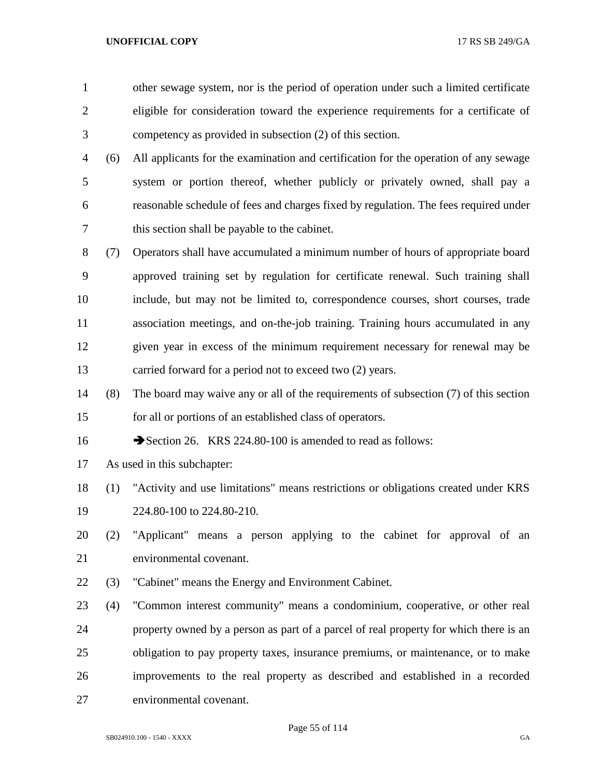other sewage system, nor is the period of operation under such a limited certificate eligible for consideration toward the experience requirements for a certificate of competency as provided in subsection (2) of this section. (6) All applicants for the examination and certification for the operation of any sewage system or portion thereof, whether publicly or privately owned, shall pay a reasonable schedule of fees and charges fixed by regulation. The fees required under this section shall be payable to the cabinet. (7) Operators shall have accumulated a minimum number of hours of appropriate board approved training set by regulation for certificate renewal. Such training shall include, but may not be limited to, correspondence courses, short courses, trade association meetings, and on-the-job training. Training hours accumulated in any given year in excess of the minimum requirement necessary for renewal may be carried forward for a period not to exceed two (2) years. (8) The board may waive any or all of the requirements of subsection (7) of this section for all or portions of an established class of operators. 16 Section 26. KRS 224.80-100 is amended to read as follows: As used in this subchapter: (1) "Activity and use limitations" means restrictions or obligations created under KRS 224.80-100 to 224.80-210. (2) "Applicant" means a person applying to the cabinet for approval of an environmental covenant. (3) "Cabinet" means the Energy and Environment Cabinet.

 (4) "Common interest community" means a condominium, cooperative, or other real property owned by a person as part of a parcel of real property for which there is an obligation to pay property taxes, insurance premiums, or maintenance, or to make improvements to the real property as described and established in a recorded environmental covenant.

Page 55 of 114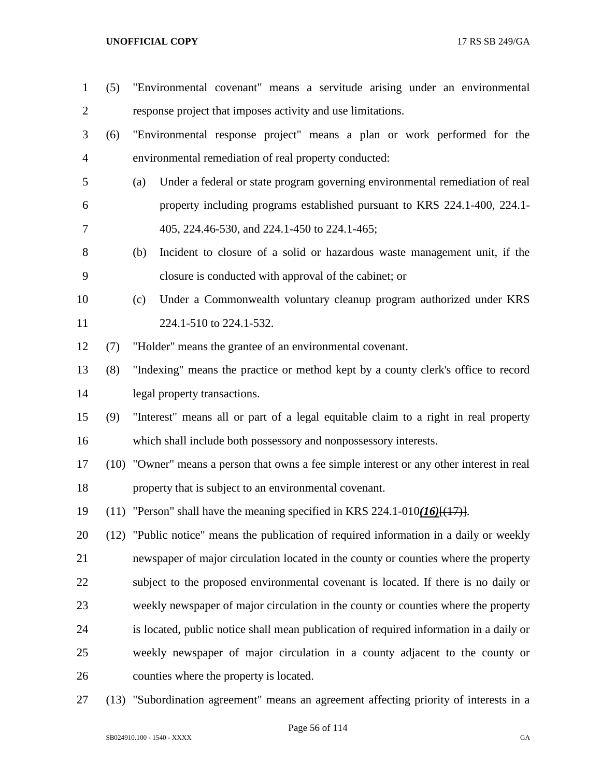- (5) "Environmental covenant" means a servitude arising under an environmental response project that imposes activity and use limitations. (6) "Environmental response project" means a plan or work performed for the environmental remediation of real property conducted: (a) Under a federal or state program governing environmental remediation of real property including programs established pursuant to KRS 224.1-400, 224.1- 405, 224.46-530, and 224.1-450 to 224.1-465; (b) Incident to closure of a solid or hazardous waste management unit, if the closure is conducted with approval of the cabinet; or (c) Under a Commonwealth voluntary cleanup program authorized under KRS 11 224.1-510 to 224.1-532. (7) "Holder" means the grantee of an environmental covenant. (8) "Indexing" means the practice or method kept by a county clerk's office to record legal property transactions. (9) "Interest" means all or part of a legal equitable claim to a right in real property which shall include both possessory and nonpossessory interests. (10) "Owner" means a person that owns a fee simple interest or any other interest in real property that is subject to an environmental covenant. (11) "Person" shall have the meaning specified in KRS 224.1-010*(16)*[(17)]. (12) "Public notice" means the publication of required information in a daily or weekly newspaper of major circulation located in the county or counties where the property subject to the proposed environmental covenant is located. If there is no daily or weekly newspaper of major circulation in the county or counties where the property is located, public notice shall mean publication of required information in a daily or weekly newspaper of major circulation in a county adjacent to the county or counties where the property is located.
- (13) "Subordination agreement" means an agreement affecting priority of interests in a

Page 56 of 114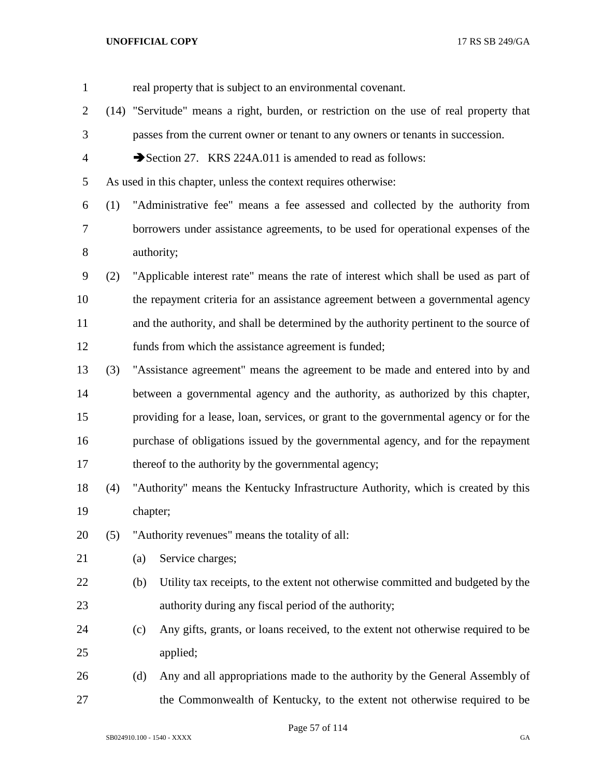| $\mathbf{1}$   |     |          | real property that is subject to an environmental covenant.                             |
|----------------|-----|----------|-----------------------------------------------------------------------------------------|
| $\overline{2}$ |     |          | (14) "Servitude" means a right, burden, or restriction on the use of real property that |
| 3              |     |          | passes from the current owner or tenant to any owners or tenants in succession.         |
| $\overline{4}$ |     |          | Section 27. KRS 224A.011 is amended to read as follows:                                 |
| 5              |     |          | As used in this chapter, unless the context requires otherwise:                         |
| 6              | (1) |          | "Administrative fee" means a fee assessed and collected by the authority from           |
| 7              |     |          | borrowers under assistance agreements, to be used for operational expenses of the       |
| $8\,$          |     |          | authority;                                                                              |
| 9              | (2) |          | "Applicable interest rate" means the rate of interest which shall be used as part of    |
| 10             |     |          | the repayment criteria for an assistance agreement between a governmental agency        |
| 11             |     |          | and the authority, and shall be determined by the authority pertinent to the source of  |
| 12             |     |          | funds from which the assistance agreement is funded;                                    |
| 13             | (3) |          | "Assistance agreement" means the agreement to be made and entered into by and           |
| 14             |     |          | between a governmental agency and the authority, as authorized by this chapter,         |
| 15             |     |          | providing for a lease, loan, services, or grant to the governmental agency or for the   |
| 16             |     |          | purchase of obligations issued by the governmental agency, and for the repayment        |
| 17             |     |          | thereof to the authority by the governmental agency;                                    |
| 18             | (4) |          | "Authority" means the Kentucky Infrastructure Authority, which is created by this       |
| 19             |     | chapter; |                                                                                         |
| 20             | (5) |          | "Authority revenues" means the totality of all:                                         |
| 21             |     | (a)      | Service charges;                                                                        |
| 22             |     | (b)      | Utility tax receipts, to the extent not otherwise committed and budgeted by the         |
| 23             |     |          | authority during any fiscal period of the authority;                                    |
| 24             |     | (c)      | Any gifts, grants, or loans received, to the extent not otherwise required to be        |
| 25             |     |          | applied;                                                                                |
| 26             |     | (d)      | Any and all appropriations made to the authority by the General Assembly of             |
| 27             |     |          | the Commonwealth of Kentucky, to the extent not otherwise required to be                |

Page 57 of 114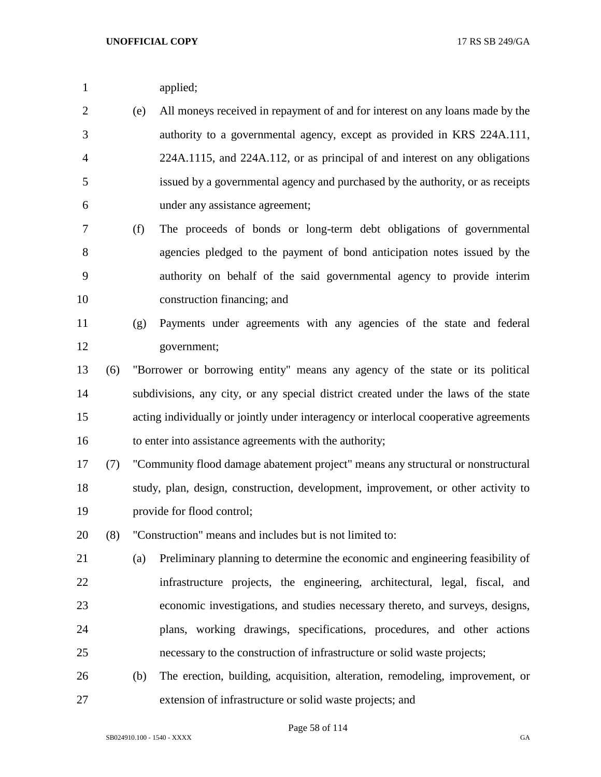|  | applied; |
|--|----------|
|--|----------|

- (e) All moneys received in repayment of and for interest on any loans made by the authority to a governmental agency, except as provided in KRS 224A.111, 224A.1115, and 224A.112, or as principal of and interest on any obligations issued by a governmental agency and purchased by the authority, or as receipts under any assistance agreement;
- (f) The proceeds of bonds or long-term debt obligations of governmental agencies pledged to the payment of bond anticipation notes issued by the authority on behalf of the said governmental agency to provide interim construction financing; and

$$
f_{\rm{max}}
$$

- (g) Payments under agreements with any agencies of the state and federal government;
- (6) "Borrower or borrowing entity" means any agency of the state or its political subdivisions, any city, or any special district created under the laws of the state acting individually or jointly under interagency or interlocal cooperative agreements to enter into assistance agreements with the authority;
- (7) "Community flood damage abatement project" means any structural or nonstructural study, plan, design, construction, development, improvement, or other activity to provide for flood control;
- (8) "Construction" means and includes but is not limited to:
- (a) Preliminary planning to determine the economic and engineering feasibility of infrastructure projects, the engineering, architectural, legal, fiscal, and economic investigations, and studies necessary thereto, and surveys, designs, plans, working drawings, specifications, procedures, and other actions necessary to the construction of infrastructure or solid waste projects;
- (b) The erection, building, acquisition, alteration, remodeling, improvement, or extension of infrastructure or solid waste projects; and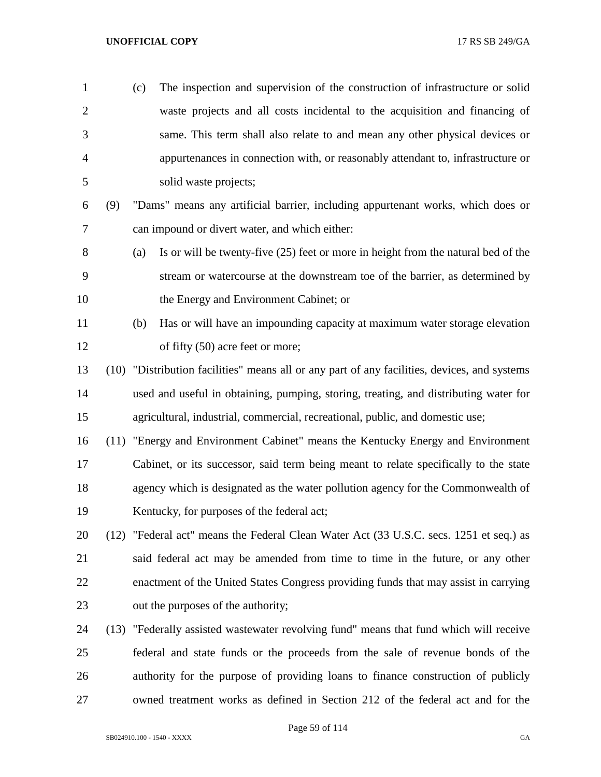| $\mathbf{1}$   |      | (c) | The inspection and supervision of the construction of infrastructure or solid                |
|----------------|------|-----|----------------------------------------------------------------------------------------------|
| $\overline{2}$ |      |     | waste projects and all costs incidental to the acquisition and financing of                  |
| 3              |      |     | same. This term shall also relate to and mean any other physical devices or                  |
| 4              |      |     | appurtenances in connection with, or reasonably attendant to, infrastructure or              |
| 5              |      |     | solid waste projects;                                                                        |
| 6              | (9)  |     | "Dams" means any artificial barrier, including appurtenant works, which does or              |
| 7              |      |     | can impound or divert water, and which either:                                               |
| 8              |      | (a) | Is or will be twenty-five (25) feet or more in height from the natural bed of the            |
| 9              |      |     | stream or watercourse at the downstream toe of the barrier, as determined by                 |
| 10             |      |     | the Energy and Environment Cabinet; or                                                       |
| 11             |      | (b) | Has or will have an impounding capacity at maximum water storage elevation                   |
| 12             |      |     | of fifty (50) acre feet or more;                                                             |
| 13             |      |     | (10) "Distribution facilities" means all or any part of any facilities, devices, and systems |
| 14             |      |     | used and useful in obtaining, pumping, storing, treating, and distributing water for         |
| 15             |      |     | agricultural, industrial, commercial, recreational, public, and domestic use;                |
| 16             | (11) |     | "Energy and Environment Cabinet" means the Kentucky Energy and Environment                   |
| 17             |      |     | Cabinet, or its successor, said term being meant to relate specifically to the state         |
| 18             |      |     | agency which is designated as the water pollution agency for the Commonwealth of             |
| 19             |      |     | Kentucky, for purposes of the federal act;                                                   |
| 20             | (12) |     | "Federal act" means the Federal Clean Water Act (33 U.S.C. secs. 1251 et seq.) as            |
| 21             |      |     | said federal act may be amended from time to time in the future, or any other                |
| 22             |      |     | enactment of the United States Congress providing funds that may assist in carrying          |
| 23             |      |     | out the purposes of the authority;                                                           |
|                |      |     |                                                                                              |

 (13) "Federally assisted wastewater revolving fund" means that fund which will receive federal and state funds or the proceeds from the sale of revenue bonds of the authority for the purpose of providing loans to finance construction of publicly owned treatment works as defined in Section 212 of the federal act and for the

Page 59 of 114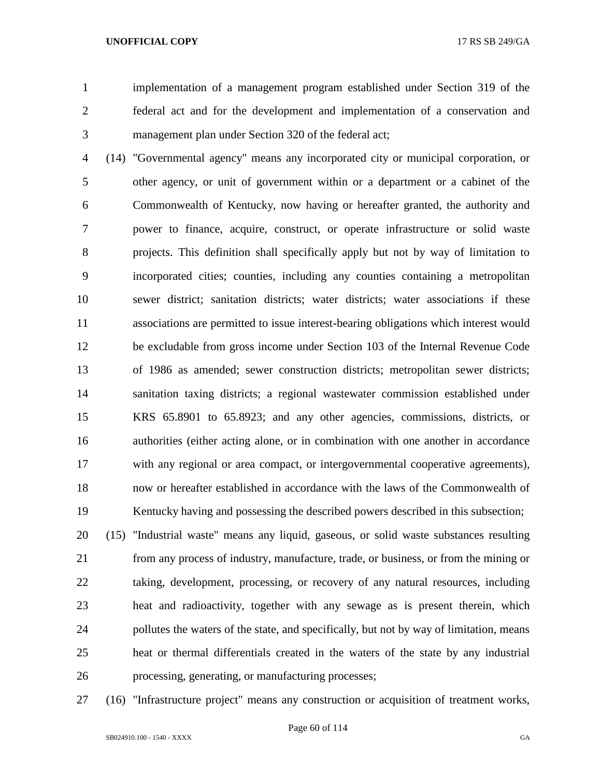implementation of a management program established under Section 319 of the federal act and for the development and implementation of a conservation and management plan under Section 320 of the federal act;

 (14) "Governmental agency" means any incorporated city or municipal corporation, or other agency, or unit of government within or a department or a cabinet of the Commonwealth of Kentucky, now having or hereafter granted, the authority and power to finance, acquire, construct, or operate infrastructure or solid waste projects. This definition shall specifically apply but not by way of limitation to incorporated cities; counties, including any counties containing a metropolitan sewer district; sanitation districts; water districts; water associations if these associations are permitted to issue interest-bearing obligations which interest would be excludable from gross income under Section 103 of the Internal Revenue Code of 1986 as amended; sewer construction districts; metropolitan sewer districts; sanitation taxing districts; a regional wastewater commission established under KRS 65.8901 to 65.8923; and any other agencies, commissions, districts, or authorities (either acting alone, or in combination with one another in accordance with any regional or area compact, or intergovernmental cooperative agreements), now or hereafter established in accordance with the laws of the Commonwealth of Kentucky having and possessing the described powers described in this subsection;

 (15) "Industrial waste" means any liquid, gaseous, or solid waste substances resulting from any process of industry, manufacture, trade, or business, or from the mining or taking, development, processing, or recovery of any natural resources, including heat and radioactivity, together with any sewage as is present therein, which pollutes the waters of the state, and specifically, but not by way of limitation, means heat or thermal differentials created in the waters of the state by any industrial processing, generating, or manufacturing processes;

(16) "Infrastructure project" means any construction or acquisition of treatment works,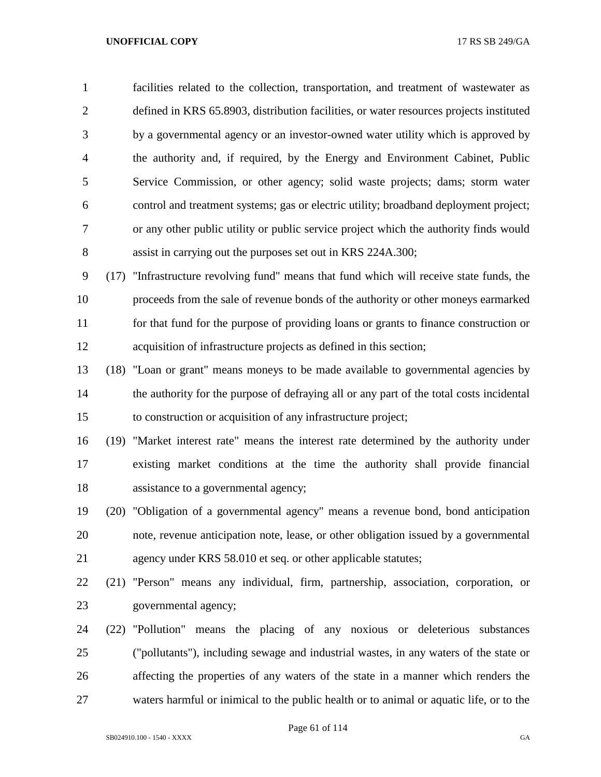facilities related to the collection, transportation, and treatment of wastewater as defined in KRS 65.8903, distribution facilities, or water resources projects instituted by a governmental agency or an investor-owned water utility which is approved by the authority and, if required, by the Energy and Environment Cabinet, Public Service Commission, or other agency; solid waste projects; dams; storm water control and treatment systems; gas or electric utility; broadband deployment project; or any other public utility or public service project which the authority finds would assist in carrying out the purposes set out in KRS 224A.300;

 (17) "Infrastructure revolving fund" means that fund which will receive state funds, the proceeds from the sale of revenue bonds of the authority or other moneys earmarked for that fund for the purpose of providing loans or grants to finance construction or acquisition of infrastructure projects as defined in this section;

 (18) "Loan or grant" means moneys to be made available to governmental agencies by the authority for the purpose of defraying all or any part of the total costs incidental to construction or acquisition of any infrastructure project;

 (19) "Market interest rate" means the interest rate determined by the authority under existing market conditions at the time the authority shall provide financial assistance to a governmental agency;

 (20) "Obligation of a governmental agency" means a revenue bond, bond anticipation note, revenue anticipation note, lease, or other obligation issued by a governmental agency under KRS 58.010 et seq. or other applicable statutes;

 (21) "Person" means any individual, firm, partnership, association, corporation, or governmental agency;

 (22) "Pollution" means the placing of any noxious or deleterious substances ("pollutants"), including sewage and industrial wastes, in any waters of the state or affecting the properties of any waters of the state in a manner which renders the waters harmful or inimical to the public health or to animal or aquatic life, or to the

Page 61 of 114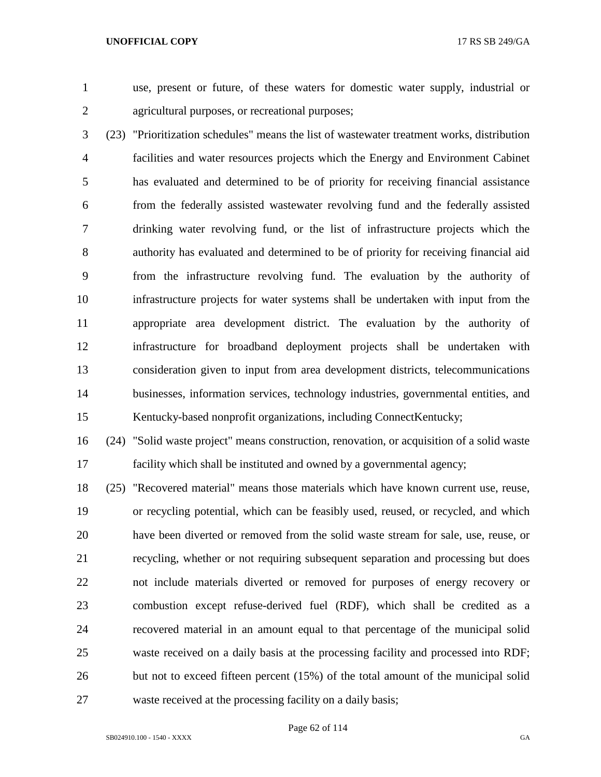- 
- 

 use, present or future, of these waters for domestic water supply, industrial or agricultural purposes, or recreational purposes;

 (23) "Prioritization schedules" means the list of wastewater treatment works, distribution facilities and water resources projects which the Energy and Environment Cabinet has evaluated and determined to be of priority for receiving financial assistance from the federally assisted wastewater revolving fund and the federally assisted drinking water revolving fund, or the list of infrastructure projects which the authority has evaluated and determined to be of priority for receiving financial aid from the infrastructure revolving fund. The evaluation by the authority of infrastructure projects for water systems shall be undertaken with input from the appropriate area development district. The evaluation by the authority of infrastructure for broadband deployment projects shall be undertaken with consideration given to input from area development districts, telecommunications businesses, information services, technology industries, governmental entities, and Kentucky-based nonprofit organizations, including ConnectKentucky;

 (24) "Solid waste project" means construction, renovation, or acquisition of a solid waste facility which shall be instituted and owned by a governmental agency;

 (25) "Recovered material" means those materials which have known current use, reuse, or recycling potential, which can be feasibly used, reused, or recycled, and which have been diverted or removed from the solid waste stream for sale, use, reuse, or recycling, whether or not requiring subsequent separation and processing but does not include materials diverted or removed for purposes of energy recovery or combustion except refuse-derived fuel (RDF), which shall be credited as a recovered material in an amount equal to that percentage of the municipal solid waste received on a daily basis at the processing facility and processed into RDF; but not to exceed fifteen percent (15%) of the total amount of the municipal solid waste received at the processing facility on a daily basis;

Page 62 of 114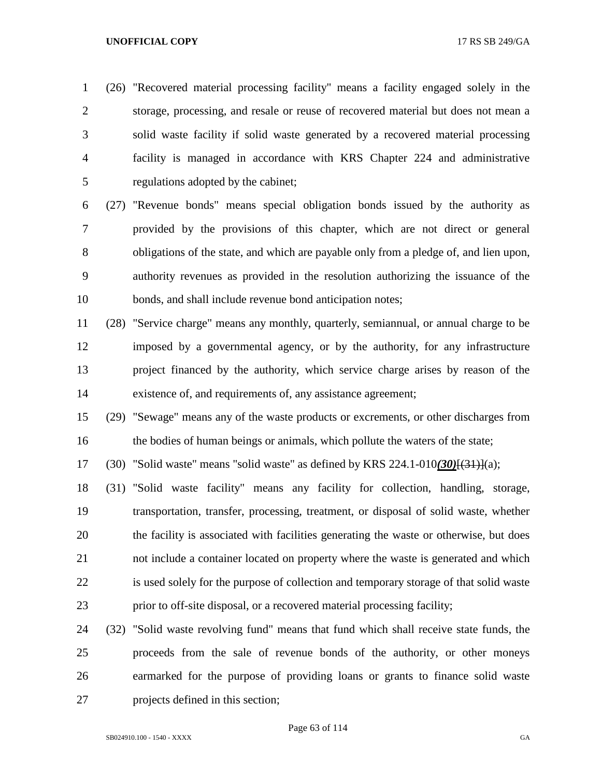(26) "Recovered material processing facility" means a facility engaged solely in the storage, processing, and resale or reuse of recovered material but does not mean a solid waste facility if solid waste generated by a recovered material processing facility is managed in accordance with KRS Chapter 224 and administrative regulations adopted by the cabinet;

 (27) "Revenue bonds" means special obligation bonds issued by the authority as provided by the provisions of this chapter, which are not direct or general obligations of the state, and which are payable only from a pledge of, and lien upon, authority revenues as provided in the resolution authorizing the issuance of the bonds, and shall include revenue bond anticipation notes;

 (28) "Service charge" means any monthly, quarterly, semiannual, or annual charge to be imposed by a governmental agency, or by the authority, for any infrastructure project financed by the authority, which service charge arises by reason of the existence of, and requirements of, any assistance agreement;

 (29) "Sewage" means any of the waste products or excrements, or other discharges from 16 the bodies of human beings or animals, which pollute the waters of the state;

(30) "Solid waste" means "solid waste" as defined by KRS 224.1-010*(30)*[(31)](a);

 (31) "Solid waste facility" means any facility for collection, handling, storage, transportation, transfer, processing, treatment, or disposal of solid waste, whether the facility is associated with facilities generating the waste or otherwise, but does not include a container located on property where the waste is generated and which is used solely for the purpose of collection and temporary storage of that solid waste prior to off-site disposal, or a recovered material processing facility;

 (32) "Solid waste revolving fund" means that fund which shall receive state funds, the proceeds from the sale of revenue bonds of the authority, or other moneys earmarked for the purpose of providing loans or grants to finance solid waste projects defined in this section;

SB024910.100 - 1540 - XXXX GA

Page 63 of 114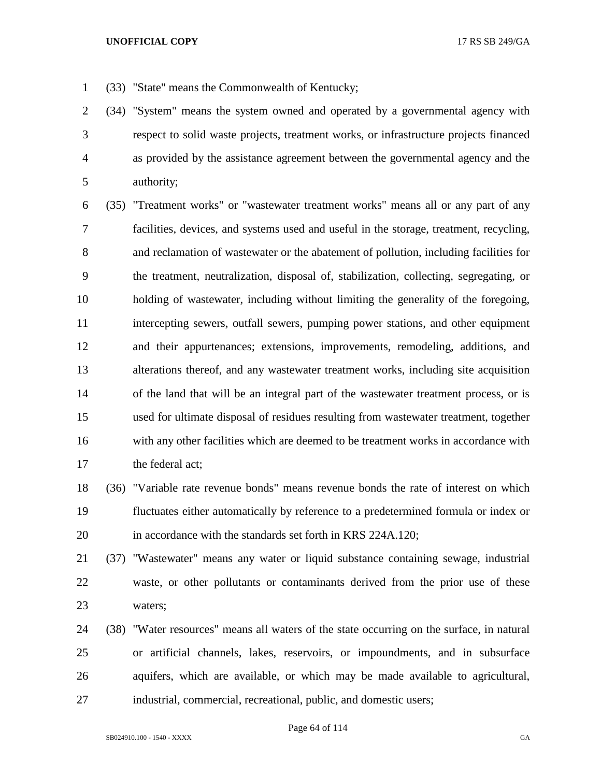- (33) "State" means the Commonwealth of Kentucky;
- (34) "System" means the system owned and operated by a governmental agency with respect to solid waste projects, treatment works, or infrastructure projects financed as provided by the assistance agreement between the governmental agency and the authority;

 (35) "Treatment works" or "wastewater treatment works" means all or any part of any facilities, devices, and systems used and useful in the storage, treatment, recycling, and reclamation of wastewater or the abatement of pollution, including facilities for the treatment, neutralization, disposal of, stabilization, collecting, segregating, or holding of wastewater, including without limiting the generality of the foregoing, intercepting sewers, outfall sewers, pumping power stations, and other equipment and their appurtenances; extensions, improvements, remodeling, additions, and alterations thereof, and any wastewater treatment works, including site acquisition of the land that will be an integral part of the wastewater treatment process, or is used for ultimate disposal of residues resulting from wastewater treatment, together with any other facilities which are deemed to be treatment works in accordance with the federal act;

 (36) "Variable rate revenue bonds" means revenue bonds the rate of interest on which fluctuates either automatically by reference to a predetermined formula or index or in accordance with the standards set forth in KRS 224A.120;

 (37) "Wastewater" means any water or liquid substance containing sewage, industrial waste, or other pollutants or contaminants derived from the prior use of these waters;

 (38) "Water resources" means all waters of the state occurring on the surface, in natural or artificial channels, lakes, reservoirs, or impoundments, and in subsurface aquifers, which are available, or which may be made available to agricultural, industrial, commercial, recreational, public, and domestic users;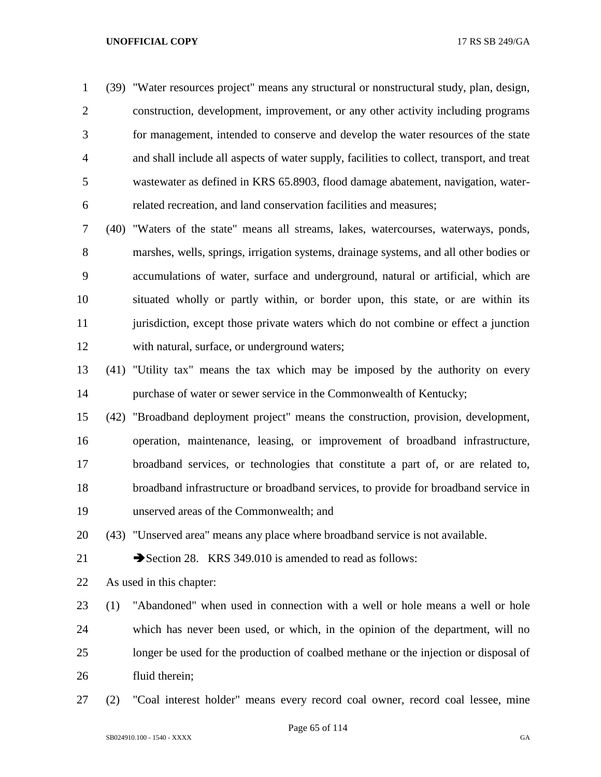(39) "Water resources project" means any structural or nonstructural study, plan, design, construction, development, improvement, or any other activity including programs for management, intended to conserve and develop the water resources of the state and shall include all aspects of water supply, facilities to collect, transport, and treat wastewater as defined in KRS 65.8903, flood damage abatement, navigation, water-related recreation, and land conservation facilities and measures;

 (40) "Waters of the state" means all streams, lakes, watercourses, waterways, ponds, marshes, wells, springs, irrigation systems, drainage systems, and all other bodies or accumulations of water, surface and underground, natural or artificial, which are situated wholly or partly within, or border upon, this state, or are within its 11 jurisdiction, except those private waters which do not combine or effect a junction with natural, surface, or underground waters;

- (41) "Utility tax" means the tax which may be imposed by the authority on every purchase of water or sewer service in the Commonwealth of Kentucky;
- (42) "Broadband deployment project" means the construction, provision, development, operation, maintenance, leasing, or improvement of broadband infrastructure, broadband services, or technologies that constitute a part of, or are related to, broadband infrastructure or broadband services, to provide for broadband service in unserved areas of the Commonwealth; and

(43) "Unserved area" means any place where broadband service is not available.

21 Section 28. KRS 349,010 is amended to read as follows:

As used in this chapter:

 (1) "Abandoned" when used in connection with a well or hole means a well or hole which has never been used, or which, in the opinion of the department, will no longer be used for the production of coalbed methane or the injection or disposal of fluid therein;

(2) "Coal interest holder" means every record coal owner, record coal lessee, mine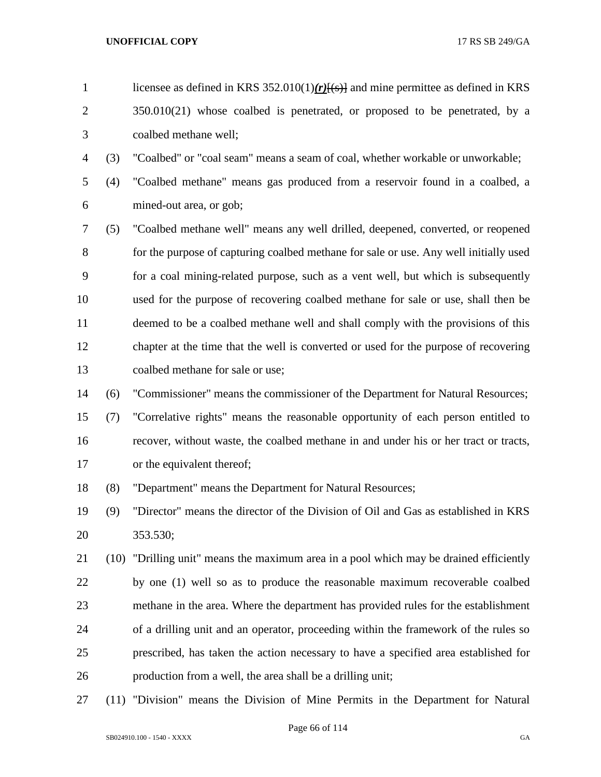- licensee as defined in KRS 352.010(1)*(r)*[(s)] and mine permittee as defined in KRS 2 350.010(21) whose coalbed is penetrated, or proposed to be penetrated, by a coalbed methane well;
- (3) "Coalbed" or "coal seam" means a seam of coal, whether workable or unworkable;
- (4) "Coalbed methane" means gas produced from a reservoir found in a coalbed, a mined-out area, or gob;
- (5) "Coalbed methane well" means any well drilled, deepened, converted, or reopened for the purpose of capturing coalbed methane for sale or use. Any well initially used for a coal mining-related purpose, such as a vent well, but which is subsequently used for the purpose of recovering coalbed methane for sale or use, shall then be deemed to be a coalbed methane well and shall comply with the provisions of this chapter at the time that the well is converted or used for the purpose of recovering coalbed methane for sale or use;
- (6) "Commissioner" means the commissioner of the Department for Natural Resources;
- (7) "Correlative rights" means the reasonable opportunity of each person entitled to recover, without waste, the coalbed methane in and under his or her tract or tracts, or the equivalent thereof;
- (8) "Department" means the Department for Natural Resources;
- (9) "Director" means the director of the Division of Oil and Gas as established in KRS 353.530;
- (10) "Drilling unit" means the maximum area in a pool which may be drained efficiently by one (1) well so as to produce the reasonable maximum recoverable coalbed methane in the area. Where the department has provided rules for the establishment of a drilling unit and an operator, proceeding within the framework of the rules so prescribed, has taken the action necessary to have a specified area established for production from a well, the area shall be a drilling unit;
- (11) "Division" means the Division of Mine Permits in the Department for Natural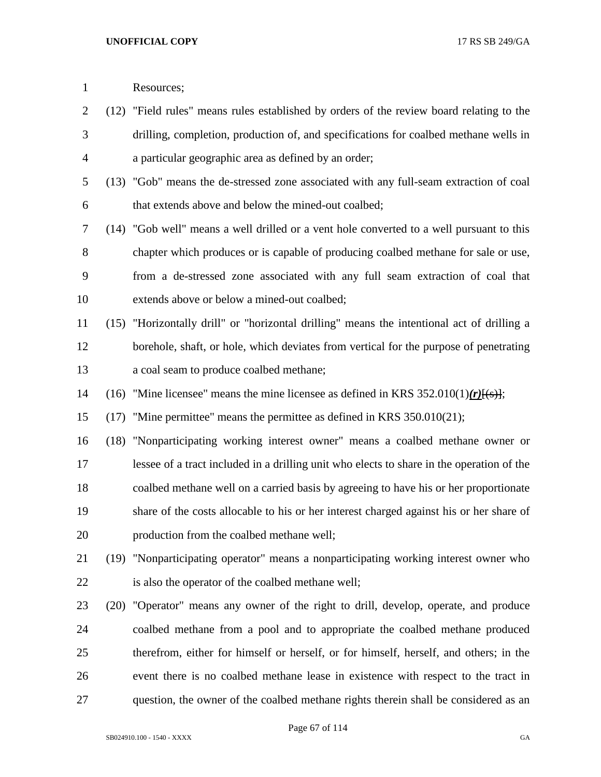| $\mathbf{1}$   |      | Resources;                                                                                 |
|----------------|------|--------------------------------------------------------------------------------------------|
| $\overline{c}$ |      | (12) "Field rules" means rules established by orders of the review board relating to the   |
| 3              |      | drilling, completion, production of, and specifications for coalbed methane wells in       |
| 4              |      | a particular geographic area as defined by an order;                                       |
| 5              |      | (13) "Gob" means the de-stressed zone associated with any full-seam extraction of coal     |
| 6              |      | that extends above and below the mined-out coalbed;                                        |
| 7              |      | (14) "Gob well" means a well drilled or a vent hole converted to a well pursuant to this   |
| 8              |      | chapter which produces or is capable of producing coalbed methane for sale or use,         |
| 9              |      | from a de-stressed zone associated with any full seam extraction of coal that              |
| 10             |      | extends above or below a mined-out coalbed;                                                |
| 11             |      | (15) "Horizontally drill" or "horizontal drilling" means the intentional act of drilling a |
| 12             |      | borehole, shaft, or hole, which deviates from vertical for the purpose of penetrating      |
| 13             |      | a coal seam to produce coalbed methane;                                                    |
| 14             | (16) | "Mine licensee" means the mine licensee as defined in KRS $352.010(1)(r)(s)$ ;             |
| 15             | (17) | "Mine permittee" means the permittee as defined in KRS 350.010(21);                        |
| 16             |      | (18) "Nonparticipating working interest owner" means a coalbed methane owner or            |
| 17             |      | lessee of a tract included in a drilling unit who elects to share in the operation of the  |
| 18             |      | coalbed methane well on a carried basis by agreeing to have his or her proportionate       |
| 19             |      | share of the costs allocable to his or her interest charged against his or her share of    |
| 20             |      | production from the coalbed methane well;                                                  |
| 21             | (19) | "Nonparticipating operator" means a nonparticipating working interest owner who            |
| 22             |      | is also the operator of the coalbed methane well;                                          |
| 23             | (20) | "Operator" means any owner of the right to drill, develop, operate, and produce            |
| 24             |      | coalbed methane from a pool and to appropriate the coalbed methane produced                |
| 25             |      | therefrom, either for himself or herself, or for himself, herself, and others; in the      |
| 26             |      | event there is no coalbed methane lease in existence with respect to the tract in          |
| 27             |      | question, the owner of the coalbed methane rights therein shall be considered as an        |

Page 67 of 114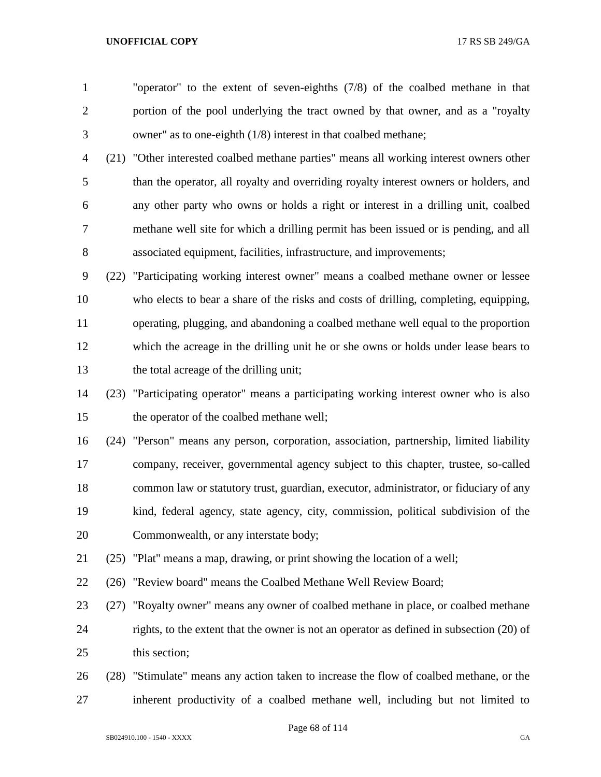"operator" to the extent of seven-eighths (7/8) of the coalbed methane in that portion of the pool underlying the tract owned by that owner, and as a "royalty owner" as to one-eighth (1/8) interest in that coalbed methane;

 (21) "Other interested coalbed methane parties" means all working interest owners other than the operator, all royalty and overriding royalty interest owners or holders, and any other party who owns or holds a right or interest in a drilling unit, coalbed methane well site for which a drilling permit has been issued or is pending, and all associated equipment, facilities, infrastructure, and improvements;

 (22) "Participating working interest owner" means a coalbed methane owner or lessee who elects to bear a share of the risks and costs of drilling, completing, equipping, operating, plugging, and abandoning a coalbed methane well equal to the proportion which the acreage in the drilling unit he or she owns or holds under lease bears to the total acreage of the drilling unit;

 (23) "Participating operator" means a participating working interest owner who is also the operator of the coalbed methane well;

 (24) "Person" means any person, corporation, association, partnership, limited liability company, receiver, governmental agency subject to this chapter, trustee, so-called common law or statutory trust, guardian, executor, administrator, or fiduciary of any kind, federal agency, state agency, city, commission, political subdivision of the Commonwealth, or any interstate body;

(25) "Plat" means a map, drawing, or print showing the location of a well;

(26) "Review board" means the Coalbed Methane Well Review Board;

 (27) "Royalty owner" means any owner of coalbed methane in place, or coalbed methane rights, to the extent that the owner is not an operator as defined in subsection (20) of this section;

 (28) "Stimulate" means any action taken to increase the flow of coalbed methane, or the inherent productivity of a coalbed methane well, including but not limited to

Page 68 of 114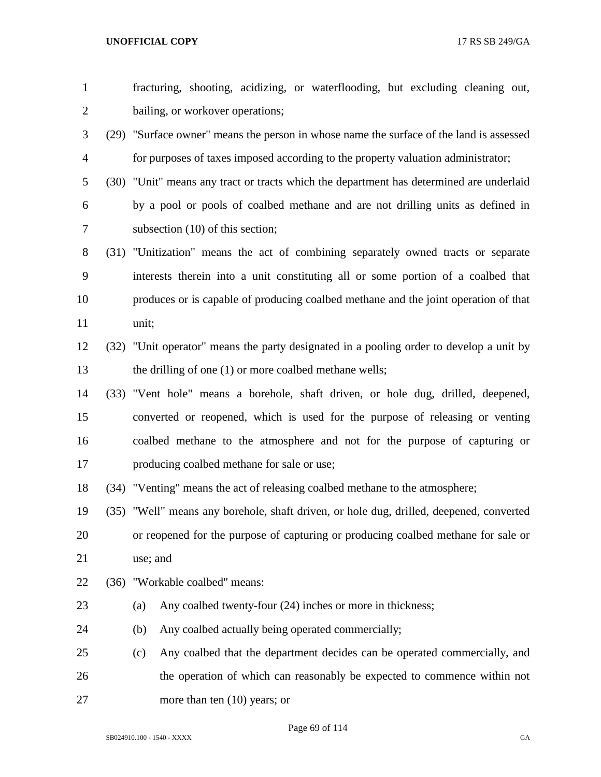| $\mathbf{1}$   | fracturing, shooting, acidizing, or waterflooding, but excluding cleaning out,          |
|----------------|-----------------------------------------------------------------------------------------|
| $\overline{2}$ | bailing, or workover operations;                                                        |
| 3              | (29) "Surface owner" means the person in whose name the surface of the land is assessed |
| $\overline{4}$ | for purposes of taxes imposed according to the property valuation administrator;        |
| 5              | (30) "Unit" means any tract or tracts which the department has determined are underlaid |
| 6              | by a pool or pools of coalbed methane and are not drilling units as defined in          |
| 7              | subsection $(10)$ of this section;                                                      |
| 8              | (31) "Unitization" means the act of combining separately owned tracts or separate       |
| 9              | interests therein into a unit constituting all or some portion of a coalbed that        |
| 10             | produces or is capable of producing coalbed methane and the joint operation of that     |
| 11             | unit;                                                                                   |
| 12             | (32) "Unit operator" means the party designated in a pooling order to develop a unit by |
| 13             | the drilling of one (1) or more coalbed methane wells;                                  |
| 14             | (33) "Vent hole" means a borehole, shaft driven, or hole dug, drilled, deepened,        |
| 15             | converted or reopened, which is used for the purpose of releasing or venting            |
| 16             | coalbed methane to the atmosphere and not for the purpose of capturing or               |
| 17             | producing coalbed methane for sale or use;                                              |
| 18             | (34) "Venting" means the act of releasing coalbed methane to the atmosphere;            |
| 19             | (35) "Well" means any borehole, shaft driven, or hole dug, drilled, deepened, converted |
| 20             | or reopened for the purpose of capturing or producing coalbed methane for sale or       |
| 21             | use; and                                                                                |
| 22             | (36) "Workable coalbed" means:                                                          |
| 23             | Any coalbed twenty-four (24) inches or more in thickness;<br>(a)                        |
| 24             | Any coalbed actually being operated commercially;<br>(b)                                |
| 25             | Any coalbed that the department decides can be operated commercially, and<br>(c)        |
| 26             | the operation of which can reasonably be expected to commence within not                |
| 27             | more than ten $(10)$ years; or                                                          |

Page 69 of 114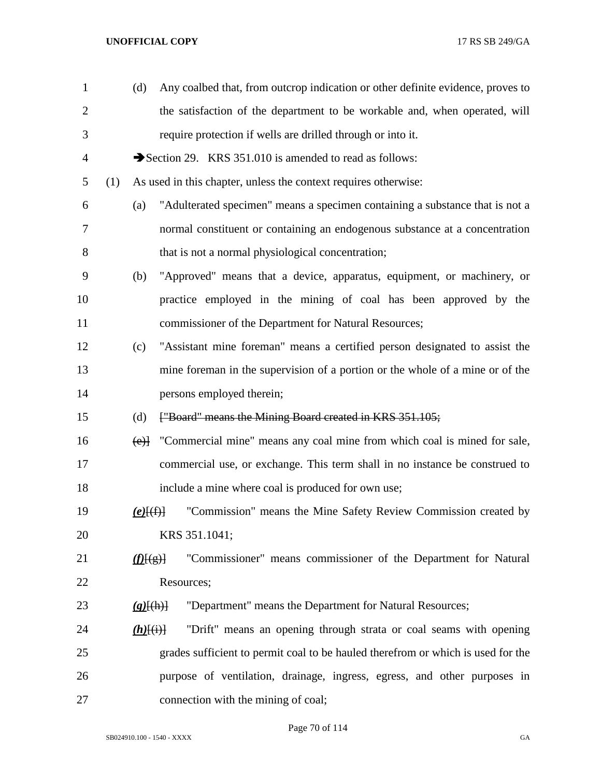| $\mathbf{1}$   |     | (d)                                     | Any coalbed that, from outcrop indication or other definite evidence, proves to  |
|----------------|-----|-----------------------------------------|----------------------------------------------------------------------------------|
| $\overline{2}$ |     |                                         | the satisfaction of the department to be workable and, when operated, will       |
| 3              |     |                                         | require protection if wells are drilled through or into it.                      |
| $\overline{4}$ |     |                                         | Section 29. KRS 351.010 is amended to read as follows:                           |
| 5              | (1) |                                         | As used in this chapter, unless the context requires otherwise:                  |
| 6              |     | (a)                                     | "Adulterated specimen" means a specimen containing a substance that is not a     |
| 7              |     |                                         | normal constituent or containing an endogenous substance at a concentration      |
| $8\,$          |     |                                         | that is not a normal physiological concentration;                                |
| 9              |     | (b)                                     | "Approved" means that a device, apparatus, equipment, or machinery, or           |
| 10             |     |                                         | practice employed in the mining of coal has been approved by the                 |
| 11             |     |                                         | commissioner of the Department for Natural Resources;                            |
| 12             |     | (c)                                     | "Assistant mine foreman" means a certified person designated to assist the       |
| 13             |     |                                         | mine foreman in the supervision of a portion or the whole of a mine or of the    |
| 14             |     |                                         | persons employed therein;                                                        |
| 15             |     | (d)                                     | ["Board" means the Mining Board created in KRS 351.105;                          |
| 16             |     | (e)                                     | "Commercial mine" means any coal mine from which coal is mined for sale,         |
| 17             |     |                                         | commercial use, or exchange. This term shall in no instance be construed to      |
| 18             |     |                                         | include a mine where coal is produced for own use;                               |
| 19             |     | $(e)$ [(f)]                             | "Commission" means the Mine Safety Review Commission created by                  |
| 20             |     |                                         | KRS 351.1041;                                                                    |
| 21             |     | $\langle \underline{f}(\underline{e}) $ | "Commissioner" means commissioner of the Department for Natural                  |
| 22             |     |                                         | Resources;                                                                       |
| 23             |     | $(g)$ $(h)$                             | "Department" means the Department for Natural Resources;                         |
| 24             |     | $(h)$ [(i)]                             | "Drift" means an opening through strata or coal seams with opening               |
| 25             |     |                                         | grades sufficient to permit coal to be hauled therefrom or which is used for the |
| 26             |     |                                         | purpose of ventilation, drainage, ingress, egress, and other purposes in         |
| 27             |     |                                         | connection with the mining of coal;                                              |

Page 70 of 114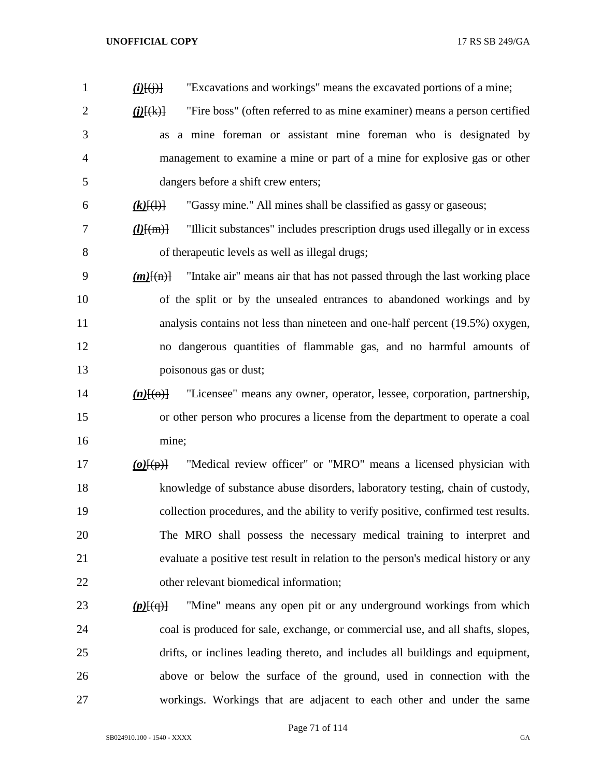| $\mathbf{1}$   | "Excavations and workings" means the excavated portions of a mine;<br>$(i)$ $(i)$ $(i)$ $(i)$                         |
|----------------|-----------------------------------------------------------------------------------------------------------------------|
| $\overline{2}$ | "Fire boss" (often referred to as mine examiner) means a person certified<br>$\underline{\textbf{(i)}[\textbf{(k)}]}$ |
| 3              | as a mine foreman or assistant mine foreman who is designated by                                                      |
| 4              | management to examine a mine or part of a mine for explosive gas or other                                             |
| 5              | dangers before a shift crew enters;                                                                                   |
| 6              | "Gassy mine." All mines shall be classified as gassy or gaseous;<br>$(k)$ $(\cdot)$                                   |
| 7              | "Illicit substances" includes prescription drugs used illegally or in excess<br>$\underline{(l)}\overline{[m]}$       |
| 8              | of therapeutic levels as well as illegal drugs;                                                                       |
| 9              | "Intake air" means air that has not passed through the last working place<br>$(m)$ $\left\{ (m) \right\}$             |
| 10             | of the split or by the unsealed entrances to abandoned workings and by                                                |
| 11             | analysis contains not less than nineteen and one-half percent (19.5%) oxygen,                                         |
| 12             | no dangerous quantities of flammable gas, and no harmful amounts of                                                   |
| 13             | poisonous gas or dust;                                                                                                |
| 14             | "Licensee" means any owner, operator, lessee, corporation, partnership,<br>$(n)$ [ $\Theta$ ]                         |
| 15             | or other person who procures a license from the department to operate a coal                                          |
| 16             | mine;                                                                                                                 |
| 17             | "Medical review officer" or "MRO" means a licensed physician with<br>$(o)$ [ $(p)$ ]                                  |
| 18             | knowledge of substance abuse disorders, laboratory testing, chain of custody,                                         |
| 19             | collection procedures, and the ability to verify positive, confirmed test results.                                    |
| 20             | The MRO shall possess the necessary medical training to interpret and                                                 |
| 21             | evaluate a positive test result in relation to the person's medical history or any                                    |
| 22             | other relevant biomedical information;                                                                                |
| 23             | "Mine" means any open pit or any underground workings from which<br>$(p)$ $(q)$                                       |
| 24             | coal is produced for sale, exchange, or commercial use, and all shafts, slopes,                                       |
| 25             | drifts, or inclines leading thereto, and includes all buildings and equipment,                                        |
| 26             | above or below the surface of the ground, used in connection with the                                                 |
| 27             | workings. Workings that are adjacent to each other and under the same                                                 |

Page 71 of 114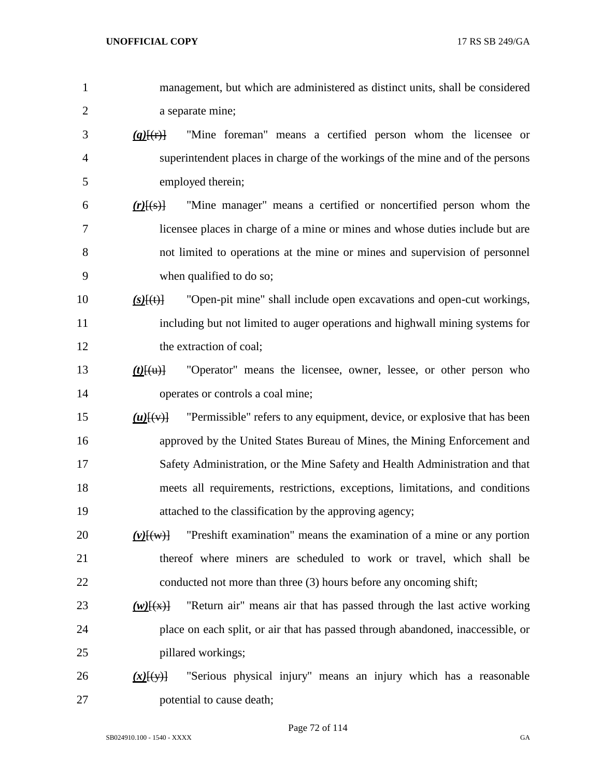| 1              | management, but which are administered as distinct units, shall be considered                            |
|----------------|----------------------------------------------------------------------------------------------------------|
| $\overline{2}$ | a separate mine;                                                                                         |
| 3              | "Mine foreman" means a certified person whom the licensee or<br>$(q)$ $(r)$ $\frac{1}{r}$                |
| $\overline{4}$ | superintendent places in charge of the workings of the mine and of the persons                           |
| 5              | employed therein;                                                                                        |
| 6              | "Mine manager" means a certified or noncertified person whom the<br>$(r)$ $(s)$                          |
| $\overline{7}$ | licensee places in charge of a mine or mines and whose duties include but are                            |
| 8              | not limited to operations at the mine or mines and supervision of personnel                              |
| 9              | when qualified to do so;                                                                                 |
| 10             | "Open-pit mine" shall include open excavations and open-cut workings,<br>$(s)$ [(t)]                     |
| 11             | including but not limited to auger operations and highwall mining systems for                            |
| 12             | the extraction of coal;                                                                                  |
| 13             | "Operator" means the licensee, owner, lessee, or other person who<br>$(t)$ $\{(\mathrm{u})\}$            |
| 14             | operates or controls a coal mine;                                                                        |
| 15             | "Permissible" refers to any equipment, device, or explosive that has been<br>$(u)$ $\{(\vee\)}$          |
| 16             | approved by the United States Bureau of Mines, the Mining Enforcement and                                |
| 17             | Safety Administration, or the Mine Safety and Health Administration and that                             |
| 18             | meets all requirements, restrictions, exceptions, limitations, and conditions                            |
| 19             | attached to the classification by the approving agency;                                                  |
| 20             | "Preshift examination" means the examination of a mine or any portion<br>$(v)$ $\overline{(\mathbf{w})}$ |
| 21             | thereof where miners are scheduled to work or travel, which shall be                                     |
| 22             | conducted not more than three (3) hours before any oncoming shift;                                       |
| 23             | "Return air" means air that has passed through the last active working<br>$(w)$ $(x)$                    |
| 24             | place on each split, or air that has passed through abandoned, inaccessible, or                          |
| 25             | pillared workings;                                                                                       |
| 26             | "Serious physical injury" means an injury which has a reasonable<br>$(x)$ [(y)]                          |
| 27             | potential to cause death;                                                                                |

Page 72 of 114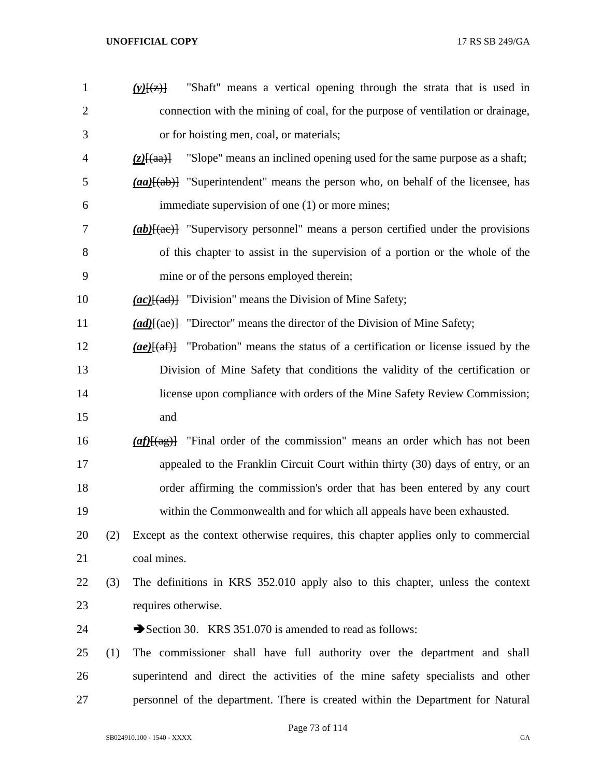| 1              |     | "Shaft" means a vertical opening through the strata that is used in<br>$(y)$ [ $(z)$ ]                          |
|----------------|-----|-----------------------------------------------------------------------------------------------------------------|
| $\overline{2}$ |     | connection with the mining of coal, for the purpose of ventilation or drainage,                                 |
| 3              |     | or for hoisting men, coal, or materials;                                                                        |
| $\overline{4}$ |     | "Slope" means an inclined opening used for the same purpose as a shaft;<br>$(z)$ $\{aa\}$                       |
| 5              |     | $(a\alpha)$ { $(a\alpha)$ } "Superintendent" means the person who, on behalf of the licensee, has               |
| 6              |     | immediate supervision of one (1) or more mines;                                                                 |
| 7              |     | $(ab)$ [(ae)] "Supervisory personnel" means a person certified under the provisions                             |
| 8              |     | of this chapter to assist in the supervision of a portion or the whole of the                                   |
| 9              |     | mine or of the persons employed therein;                                                                        |
| 10             |     | $(ac)$ [(ad)] "Division" means the Division of Mine Safety;                                                     |
| 11             |     | $(ad)$ [(ae)] "Director" means the director of the Division of Mine Safety;                                     |
| 12             |     | $(ae)$ [(af)] "Probation" means the status of a certification or license issued by the                          |
| 13             |     | Division of Mine Safety that conditions the validity of the certification or                                    |
| 14             |     | license upon compliance with orders of the Mine Safety Review Commission;                                       |
| 15             |     | and                                                                                                             |
| 16             |     | "Final order of the commission" means an order which has not been<br>$\left(\frac{af}{\text{tan}\theta}\right)$ |
| 17             |     | appealed to the Franklin Circuit Court within thirty (30) days of entry, or an                                  |
| 18             |     | order affirming the commission's order that has been entered by any court                                       |
| 19             |     | within the Commonwealth and for which all appeals have been exhausted.                                          |
| 20             | (2) | Except as the context otherwise requires, this chapter applies only to commercial                               |
| 21             |     | coal mines.                                                                                                     |
| 22             | (3) | The definitions in KRS 352.010 apply also to this chapter, unless the context                                   |
| 23             |     | requires otherwise.                                                                                             |
| 24             |     | Section 30. KRS 351.070 is amended to read as follows:                                                          |
| 25             | (1) | The commissioner shall have full authority over the department and shall                                        |
| 26             |     | superintend and direct the activities of the mine safety specialists and other                                  |
| 27             |     | personnel of the department. There is created within the Department for Natural                                 |
|                |     |                                                                                                                 |

Page 73 of 114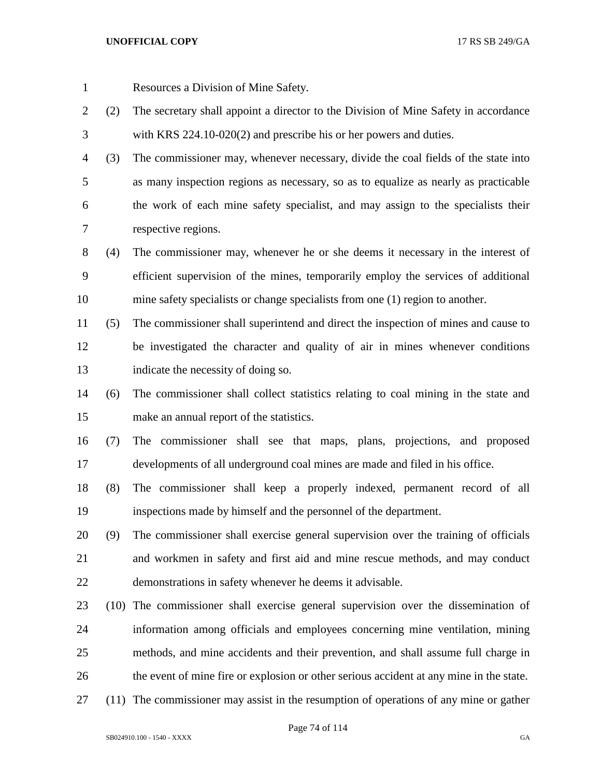Resources a Division of Mine Safety.

- (2) The secretary shall appoint a director to the Division of Mine Safety in accordance with KRS 224.10-020(2) and prescribe his or her powers and duties.
- (3) The commissioner may, whenever necessary, divide the coal fields of the state into as many inspection regions as necessary, so as to equalize as nearly as practicable the work of each mine safety specialist, and may assign to the specialists their respective regions.
- (4) The commissioner may, whenever he or she deems it necessary in the interest of efficient supervision of the mines, temporarily employ the services of additional mine safety specialists or change specialists from one (1) region to another.
- (5) The commissioner shall superintend and direct the inspection of mines and cause to be investigated the character and quality of air in mines whenever conditions indicate the necessity of doing so.
- (6) The commissioner shall collect statistics relating to coal mining in the state and make an annual report of the statistics.
- (7) The commissioner shall see that maps, plans, projections, and proposed developments of all underground coal mines are made and filed in his office.
- (8) The commissioner shall keep a properly indexed, permanent record of all inspections made by himself and the personnel of the department.
- (9) The commissioner shall exercise general supervision over the training of officials and workmen in safety and first aid and mine rescue methods, and may conduct demonstrations in safety whenever he deems it advisable.
- (10) The commissioner shall exercise general supervision over the dissemination of information among officials and employees concerning mine ventilation, mining methods, and mine accidents and their prevention, and shall assume full charge in the event of mine fire or explosion or other serious accident at any mine in the state.
- (11) The commissioner may assist in the resumption of operations of any mine or gather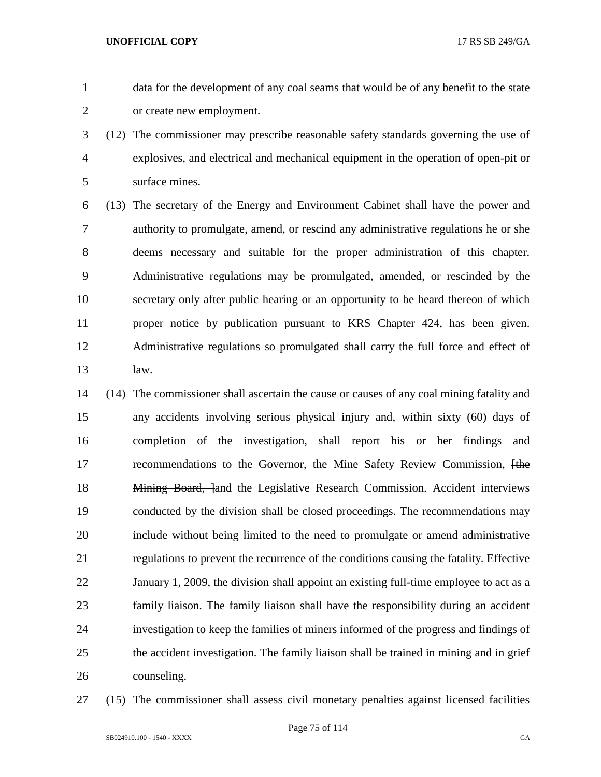data for the development of any coal seams that would be of any benefit to the state or create new employment.

 (12) The commissioner may prescribe reasonable safety standards governing the use of explosives, and electrical and mechanical equipment in the operation of open-pit or surface mines.

 (13) The secretary of the Energy and Environment Cabinet shall have the power and authority to promulgate, amend, or rescind any administrative regulations he or she deems necessary and suitable for the proper administration of this chapter. Administrative regulations may be promulgated, amended, or rescinded by the secretary only after public hearing or an opportunity to be heard thereon of which proper notice by publication pursuant to KRS Chapter 424, has been given. Administrative regulations so promulgated shall carry the full force and effect of law.

- (14) The commissioner shall ascertain the cause or causes of any coal mining fatality and any accidents involving serious physical injury and, within sixty (60) days of completion of the investigation, shall report his or her findings and 17 recommendations to the Governor, the Mine Safety Review Commission, the 18 Mining Board, land the Legislative Research Commission. Accident interviews conducted by the division shall be closed proceedings. The recommendations may include without being limited to the need to promulgate or amend administrative regulations to prevent the recurrence of the conditions causing the fatality. Effective January 1, 2009, the division shall appoint an existing full-time employee to act as a family liaison. The family liaison shall have the responsibility during an accident investigation to keep the families of miners informed of the progress and findings of the accident investigation. The family liaison shall be trained in mining and in grief counseling.
- 

(15) The commissioner shall assess civil monetary penalties against licensed facilities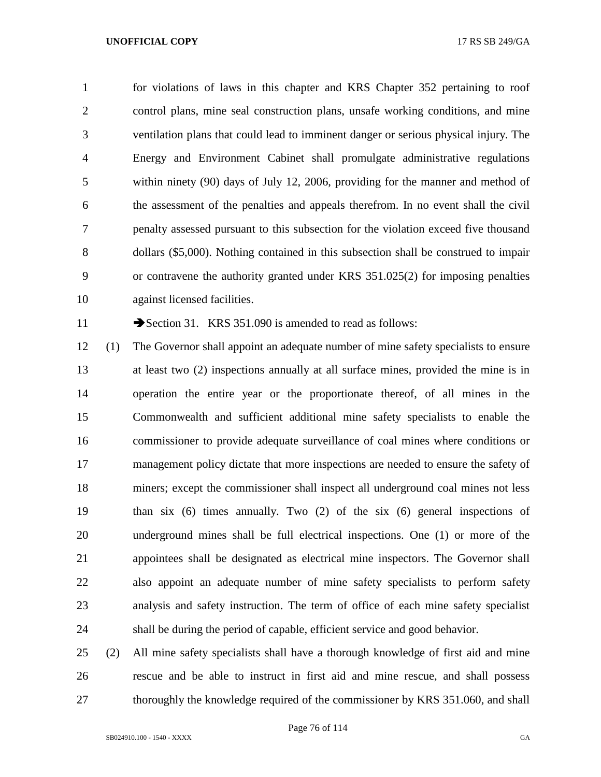for violations of laws in this chapter and KRS Chapter 352 pertaining to roof control plans, mine seal construction plans, unsafe working conditions, and mine ventilation plans that could lead to imminent danger or serious physical injury. The Energy and Environment Cabinet shall promulgate administrative regulations within ninety (90) days of July 12, 2006, providing for the manner and method of the assessment of the penalties and appeals therefrom. In no event shall the civil penalty assessed pursuant to this subsection for the violation exceed five thousand dollars (\$5,000). Nothing contained in this subsection shall be construed to impair or contravene the authority granted under KRS 351.025(2) for imposing penalties against licensed facilities.

11 Section 31. KRS 351.090 is amended to read as follows:

 (1) The Governor shall appoint an adequate number of mine safety specialists to ensure at least two (2) inspections annually at all surface mines, provided the mine is in operation the entire year or the proportionate thereof, of all mines in the Commonwealth and sufficient additional mine safety specialists to enable the commissioner to provide adequate surveillance of coal mines where conditions or management policy dictate that more inspections are needed to ensure the safety of miners; except the commissioner shall inspect all underground coal mines not less than six (6) times annually. Two (2) of the six (6) general inspections of underground mines shall be full electrical inspections. One (1) or more of the appointees shall be designated as electrical mine inspectors. The Governor shall also appoint an adequate number of mine safety specialists to perform safety analysis and safety instruction. The term of office of each mine safety specialist shall be during the period of capable, efficient service and good behavior.

 (2) All mine safety specialists shall have a thorough knowledge of first aid and mine rescue and be able to instruct in first aid and mine rescue, and shall possess 27 thoroughly the knowledge required of the commissioner by KRS 351.060, and shall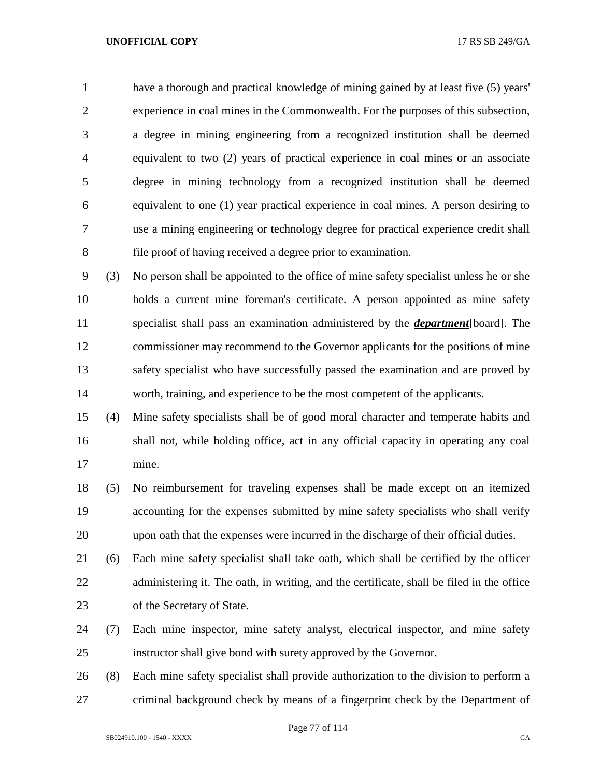have a thorough and practical knowledge of mining gained by at least five (5) years' experience in coal mines in the Commonwealth. For the purposes of this subsection, a degree in mining engineering from a recognized institution shall be deemed equivalent to two (2) years of practical experience in coal mines or an associate degree in mining technology from a recognized institution shall be deemed equivalent to one (1) year practical experience in coal mines. A person desiring to use a mining engineering or technology degree for practical experience credit shall file proof of having received a degree prior to examination.

 (3) No person shall be appointed to the office of mine safety specialist unless he or she holds a current mine foreman's certificate. A person appointed as mine safety specialist shall pass an examination administered by the *department*[board]. The commissioner may recommend to the Governor applicants for the positions of mine safety specialist who have successfully passed the examination and are proved by worth, training, and experience to be the most competent of the applicants.

 (4) Mine safety specialists shall be of good moral character and temperate habits and shall not, while holding office, act in any official capacity in operating any coal mine.

 (5) No reimbursement for traveling expenses shall be made except on an itemized accounting for the expenses submitted by mine safety specialists who shall verify upon oath that the expenses were incurred in the discharge of their official duties.

 (6) Each mine safety specialist shall take oath, which shall be certified by the officer 22 administering it. The oath, in writing, and the certificate, shall be filed in the office of the Secretary of State.

 (7) Each mine inspector, mine safety analyst, electrical inspector, and mine safety instructor shall give bond with surety approved by the Governor.

 (8) Each mine safety specialist shall provide authorization to the division to perform a criminal background check by means of a fingerprint check by the Department of

Page 77 of 114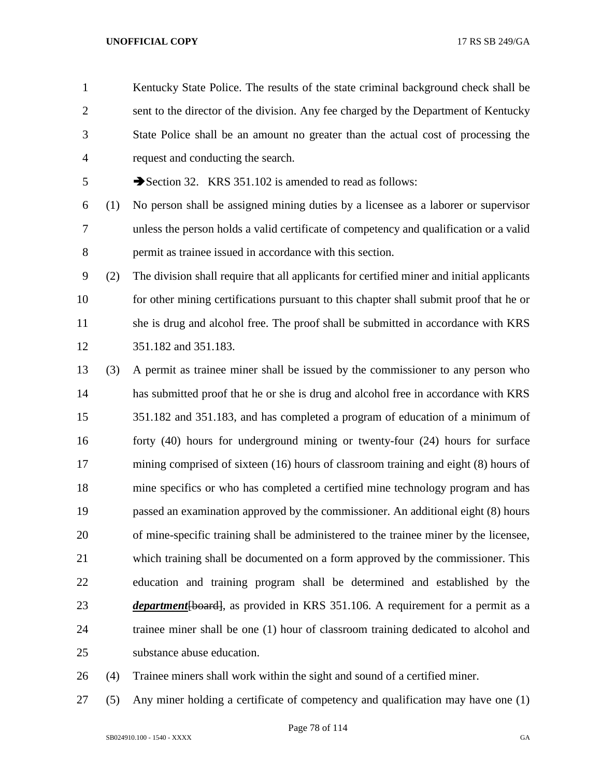Kentucky State Police. The results of the state criminal background check shall be sent to the director of the division. Any fee charged by the Department of Kentucky State Police shall be an amount no greater than the actual cost of processing the request and conducting the search.

5 Section 32. KRS 351.102 is amended to read as follows:

 (1) No person shall be assigned mining duties by a licensee as a laborer or supervisor unless the person holds a valid certificate of competency and qualification or a valid permit as trainee issued in accordance with this section.

 (2) The division shall require that all applicants for certified miner and initial applicants 10 for other mining certifications pursuant to this chapter shall submit proof that he or she is drug and alcohol free. The proof shall be submitted in accordance with KRS 351.182 and 351.183.

 (3) A permit as trainee miner shall be issued by the commissioner to any person who has submitted proof that he or she is drug and alcohol free in accordance with KRS 351.182 and 351.183, and has completed a program of education of a minimum of forty (40) hours for underground mining or twenty-four (24) hours for surface mining comprised of sixteen (16) hours of classroom training and eight (8) hours of mine specifics or who has completed a certified mine technology program and has passed an examination approved by the commissioner. An additional eight (8) hours of mine-specific training shall be administered to the trainee miner by the licensee, which training shall be documented on a form approved by the commissioner. This education and training program shall be determined and established by the *department* [board], as provided in KRS 351.106. A requirement for a permit as a trainee miner shall be one (1) hour of classroom training dedicated to alcohol and substance abuse education.

(4) Trainee miners shall work within the sight and sound of a certified miner.

(5) Any miner holding a certificate of competency and qualification may have one (1)

Page 78 of 114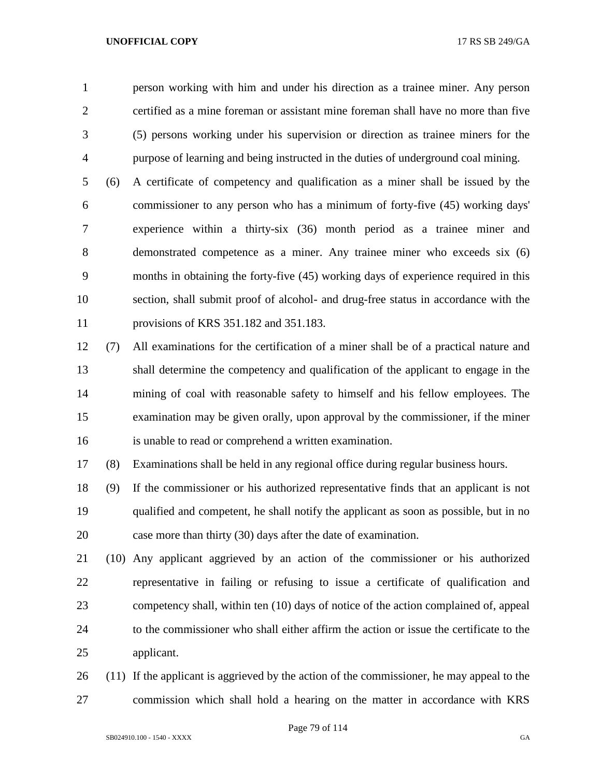person working with him and under his direction as a trainee miner. Any person certified as a mine foreman or assistant mine foreman shall have no more than five (5) persons working under his supervision or direction as trainee miners for the purpose of learning and being instructed in the duties of underground coal mining.

 (6) A certificate of competency and qualification as a miner shall be issued by the commissioner to any person who has a minimum of forty-five (45) working days' experience within a thirty-six (36) month period as a trainee miner and demonstrated competence as a miner. Any trainee miner who exceeds six (6) months in obtaining the forty-five (45) working days of experience required in this section, shall submit proof of alcohol- and drug-free status in accordance with the provisions of KRS 351.182 and 351.183.

 (7) All examinations for the certification of a miner shall be of a practical nature and shall determine the competency and qualification of the applicant to engage in the mining of coal with reasonable safety to himself and his fellow employees. The examination may be given orally, upon approval by the commissioner, if the miner is unable to read or comprehend a written examination.

(8) Examinations shall be held in any regional office during regular business hours.

 (9) If the commissioner or his authorized representative finds that an applicant is not qualified and competent, he shall notify the applicant as soon as possible, but in no case more than thirty (30) days after the date of examination.

 (10) Any applicant aggrieved by an action of the commissioner or his authorized representative in failing or refusing to issue a certificate of qualification and competency shall, within ten (10) days of notice of the action complained of, appeal to the commissioner who shall either affirm the action or issue the certificate to the applicant.

 (11) If the applicant is aggrieved by the action of the commissioner, he may appeal to the commission which shall hold a hearing on the matter in accordance with KRS

Page 79 of 114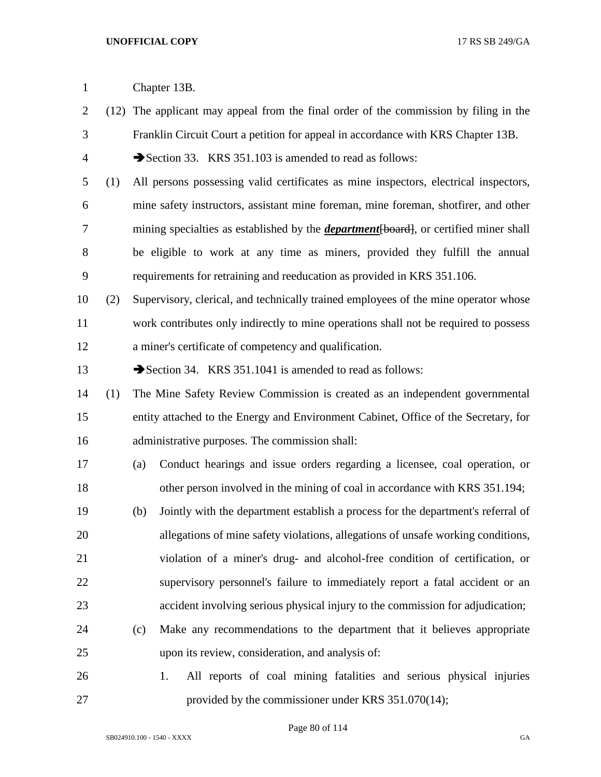- (12) The applicant may appeal from the final order of the commission by filing in the Franklin Circuit Court a petition for appeal in accordance with KRS Chapter 13B.
- 4 Section 33. KRS 351.103 is amended to read as follows:
- (1) All persons possessing valid certificates as mine inspectors, electrical inspectors, mine safety instructors, assistant mine foreman, mine foreman, shotfirer, and other 7 mining specialties as established by the *department* [board], or certified miner shall be eligible to work at any time as miners, provided they fulfill the annual requirements for retraining and reeducation as provided in KRS 351.106.
- (2) Supervisory, clerical, and technically trained employees of the mine operator whose work contributes only indirectly to mine operations shall not be required to possess a miner's certificate of competency and qualification.
- 13 Section 34. KRS 351.1041 is amended to read as follows:
- (1) The Mine Safety Review Commission is created as an independent governmental entity attached to the Energy and Environment Cabinet, Office of the Secretary, for administrative purposes. The commission shall:
- (a) Conduct hearings and issue orders regarding a licensee, coal operation, or other person involved in the mining of coal in accordance with KRS 351.194;
- (b) Jointly with the department establish a process for the department's referral of allegations of mine safety violations, allegations of unsafe working conditions, violation of a miner's drug- and alcohol-free condition of certification, or supervisory personnel's failure to immediately report a fatal accident or an accident involving serious physical injury to the commission for adjudication;
- (c) Make any recommendations to the department that it believes appropriate upon its review, consideration, and analysis of:
- 1. All reports of coal mining fatalities and serious physical injuries provided by the commissioner under KRS 351.070(14);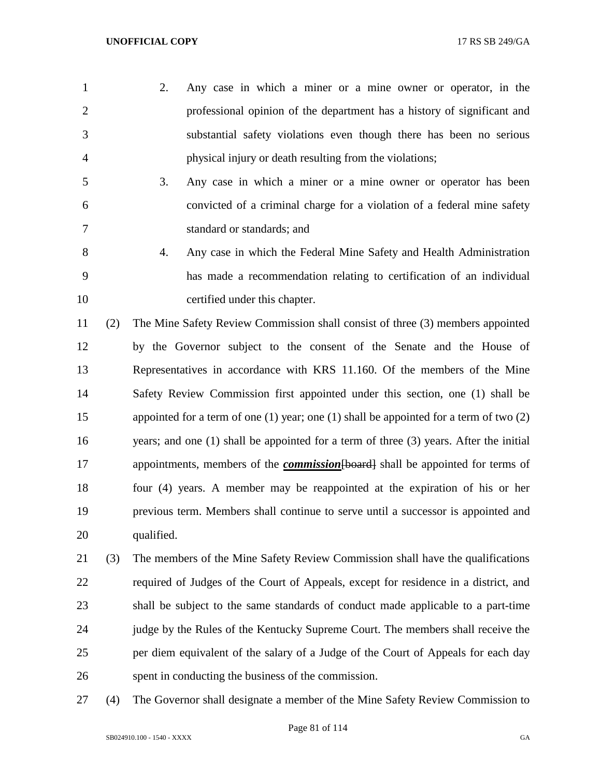- 2. Any case in which a miner or a mine owner or operator, in the professional opinion of the department has a history of significant and substantial safety violations even though there has been no serious physical injury or death resulting from the violations;
- 3. Any case in which a miner or a mine owner or operator has been convicted of a criminal charge for a violation of a federal mine safety standard or standards; and
- 4. Any case in which the Federal Mine Safety and Health Administration has made a recommendation relating to certification of an individual certified under this chapter.

 (2) The Mine Safety Review Commission shall consist of three (3) members appointed by the Governor subject to the consent of the Senate and the House of Representatives in accordance with KRS 11.160. Of the members of the Mine Safety Review Commission first appointed under this section, one (1) shall be appointed for a term of one (1) year; one (1) shall be appointed for a term of two (2) years; and one (1) shall be appointed for a term of three (3) years. After the initial appointments, members of the *commission*[board] shall be appointed for terms of four (4) years. A member may be reappointed at the expiration of his or her previous term. Members shall continue to serve until a successor is appointed and qualified.

- (3) The members of the Mine Safety Review Commission shall have the qualifications required of Judges of the Court of Appeals, except for residence in a district, and shall be subject to the same standards of conduct made applicable to a part-time judge by the Rules of the Kentucky Supreme Court. The members shall receive the per diem equivalent of the salary of a Judge of the Court of Appeals for each day spent in conducting the business of the commission.
- (4) The Governor shall designate a member of the Mine Safety Review Commission to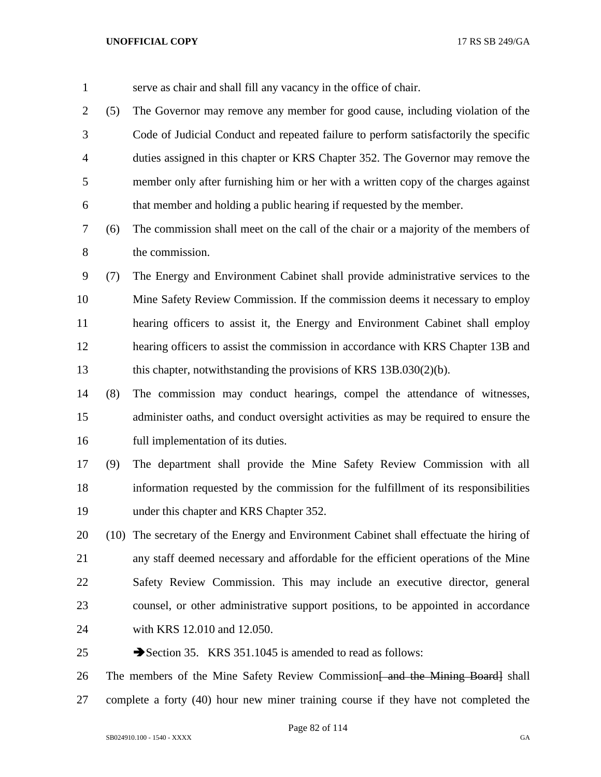| $\mathbf{1}$   |     | serve as chair and shall fill any vacancy in the office of chair.                         |
|----------------|-----|-------------------------------------------------------------------------------------------|
| $\overline{2}$ | (5) | The Governor may remove any member for good cause, including violation of the             |
| 3              |     | Code of Judicial Conduct and repeated failure to perform satisfactorily the specific      |
| 4              |     | duties assigned in this chapter or KRS Chapter 352. The Governor may remove the           |
| 5              |     | member only after furnishing him or her with a written copy of the charges against        |
| 6              |     | that member and holding a public hearing if requested by the member.                      |
| 7              | (6) | The commission shall meet on the call of the chair or a majority of the members of        |
| 8              |     | the commission.                                                                           |
| 9              | (7) | The Energy and Environment Cabinet shall provide administrative services to the           |
| 10             |     | Mine Safety Review Commission. If the commission deems it necessary to employ             |
| 11             |     | hearing officers to assist it, the Energy and Environment Cabinet shall employ            |
| 12             |     | hearing officers to assist the commission in accordance with KRS Chapter 13B and          |
| 13             |     | this chapter, notwithstanding the provisions of KRS 13B.030(2)(b).                        |
| 14             | (8) | The commission may conduct hearings, compel the attendance of witnesses,                  |
| 15             |     | administer oaths, and conduct oversight activities as may be required to ensure the       |
| 16             |     | full implementation of its duties.                                                        |
| 17             | (9) | The department shall provide the Mine Safety Review Commission with all                   |
| 18             |     | information requested by the commission for the fulfillment of its responsibilities       |
| 19             |     | under this chapter and KRS Chapter 352.                                                   |
| 20             |     | (10) The secretary of the Energy and Environment Cabinet shall effectuate the hiring of   |
| 21             |     | any staff deemed necessary and affordable for the efficient operations of the Mine        |
| 22             |     | Safety Review Commission. This may include an executive director, general                 |
| 23             |     | counsel, or other administrative support positions, to be appointed in accordance         |
| 24             |     | with KRS 12.010 and 12.050.                                                               |
| 25             |     | Section 35. KRS 351.1045 is amended to read as follows:                                   |
| 26             |     | The members of the Mine Safety Review Commission <del>[ and the Mining Board]</del> shall |
| 27             |     | complete a forty (40) hour new miner training course if they have not completed the       |

Page 82 of 114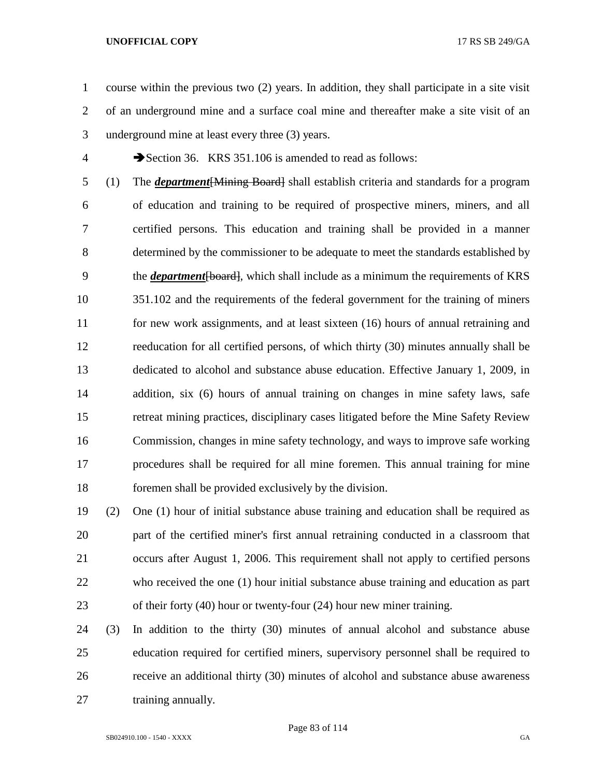course within the previous two (2) years. In addition, they shall participate in a site visit of an underground mine and a surface coal mine and thereafter make a site visit of an underground mine at least every three (3) years.

4 Section 36. KRS 351.106 is amended to read as follows:

 (1) The *department*[Mining Board] shall establish criteria and standards for a program of education and training to be required of prospective miners, miners, and all certified persons. This education and training shall be provided in a manner determined by the commissioner to be adequate to meet the standards established by the *department*[board], which shall include as a minimum the requirements of KRS 351.102 and the requirements of the federal government for the training of miners for new work assignments, and at least sixteen (16) hours of annual retraining and reeducation for all certified persons, of which thirty (30) minutes annually shall be dedicated to alcohol and substance abuse education. Effective January 1, 2009, in addition, six (6) hours of annual training on changes in mine safety laws, safe retreat mining practices, disciplinary cases litigated before the Mine Safety Review Commission, changes in mine safety technology, and ways to improve safe working procedures shall be required for all mine foremen. This annual training for mine foremen shall be provided exclusively by the division.

 (2) One (1) hour of initial substance abuse training and education shall be required as part of the certified miner's first annual retraining conducted in a classroom that occurs after August 1, 2006. This requirement shall not apply to certified persons who received the one (1) hour initial substance abuse training and education as part of their forty (40) hour or twenty-four (24) hour new miner training.

 (3) In addition to the thirty (30) minutes of annual alcohol and substance abuse education required for certified miners, supervisory personnel shall be required to receive an additional thirty (30) minutes of alcohol and substance abuse awareness 27 training annually.

Page 83 of 114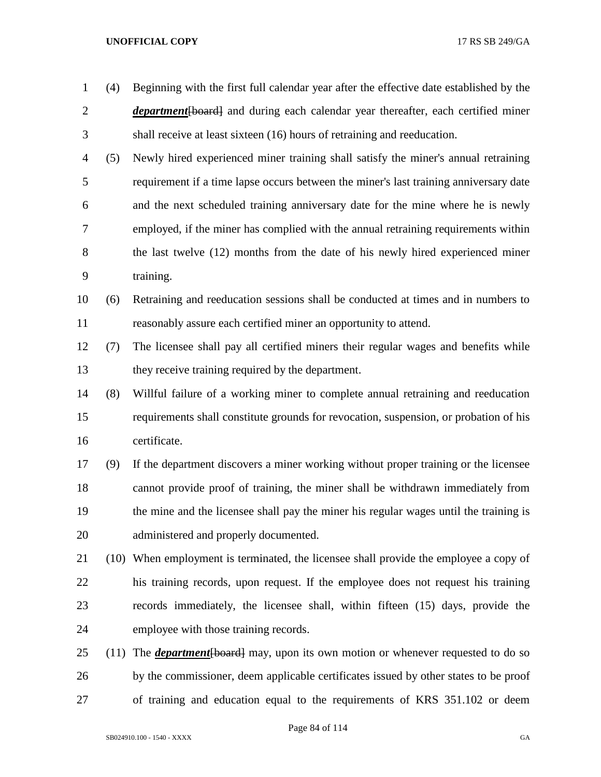| $\mathbf{1}$   | (4)  | Beginning with the first full calendar year after the effective date established by the      |
|----------------|------|----------------------------------------------------------------------------------------------|
| $\overline{c}$ |      | <i>department</i> [board] and during each calendar year thereafter, each certified miner     |
| 3              |      | shall receive at least sixteen (16) hours of retraining and reeducation.                     |
|                |      |                                                                                              |
| 4              | (5)  | Newly hired experienced miner training shall satisfy the miner's annual retraining           |
| 5              |      | requirement if a time lapse occurs between the miner's last training anniversary date        |
| 6              |      | and the next scheduled training anniversary date for the mine where he is newly              |
| 7              |      | employed, if the miner has complied with the annual retraining requirements within           |
| 8              |      | the last twelve (12) months from the date of his newly hired experienced miner               |
| 9              |      | training.                                                                                    |
| 10             | (6)  | Retraining and reeducation sessions shall be conducted at times and in numbers to            |
| 11             |      | reasonably assure each certified miner an opportunity to attend.                             |
| 12             | (7)  | The licensee shall pay all certified miners their regular wages and benefits while           |
| 13             |      | they receive training required by the department.                                            |
| 14             | (8)  | Willful failure of a working miner to complete annual retraining and reeducation             |
| 15             |      | requirements shall constitute grounds for revocation, suspension, or probation of his        |
| 16             |      | certificate.                                                                                 |
| 17             | (9)  | If the department discovers a miner working without proper training or the licensee          |
| 18             |      | cannot provide proof of training, the miner shall be withdrawn immediately from              |
| 19             |      | the mine and the licensee shall pay the miner his regular wages until the training is        |
| 20             |      | administered and properly documented.                                                        |
| 21             |      | (10) When employment is terminated, the licensee shall provide the employee a copy of        |
| 22             |      | his training records, upon request. If the employee does not request his training            |
| 23             |      | records immediately, the licensee shall, within fifteen (15) days, provide the               |
| 24             |      | employee with those training records.                                                        |
| 25             | (11) | The <b><i>department</i></b> [board] may, upon its own motion or whenever requested to do so |
| 26             |      | by the commissioner, deem applicable certificates issued by other states to be proof         |
| 27             |      | of training and education equal to the requirements of KRS 351.102 or deem                   |

Page 84 of 114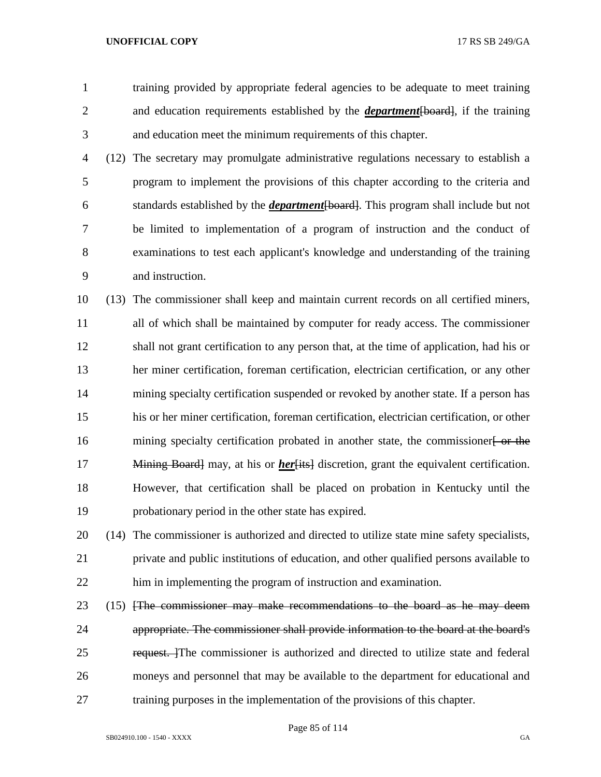training provided by appropriate federal agencies to be adequate to meet training and education requirements established by the *department*[board], if the training and education meet the minimum requirements of this chapter.

 (12) The secretary may promulgate administrative regulations necessary to establish a program to implement the provisions of this chapter according to the criteria and standards established by the *department*[board]. This program shall include but not be limited to implementation of a program of instruction and the conduct of examinations to test each applicant's knowledge and understanding of the training and instruction.

 (13) The commissioner shall keep and maintain current records on all certified miners, all of which shall be maintained by computer for ready access. The commissioner shall not grant certification to any person that, at the time of application, had his or her miner certification, foreman certification, electrician certification, or any other mining specialty certification suspended or revoked by another state. If a person has his or her miner certification, foreman certification, electrician certification, or other 16 mining specialty certification probated in another state, the commissioner or the 17 Mining Board may, at his or *her* [its] discretion, grant the equivalent certification. However, that certification shall be placed on probation in Kentucky until the probationary period in the other state has expired.

 (14) The commissioner is authorized and directed to utilize state mine safety specialists, private and public institutions of education, and other qualified persons available to him in implementing the program of instruction and examination.

23 (15) *FFR commissioner may make recommendations to the board as he may deem*  appropriate. The commissioner shall provide information to the board at the board's 25 request. The commissioner is authorized and directed to utilize state and federal moneys and personnel that may be available to the department for educational and training purposes in the implementation of the provisions of this chapter.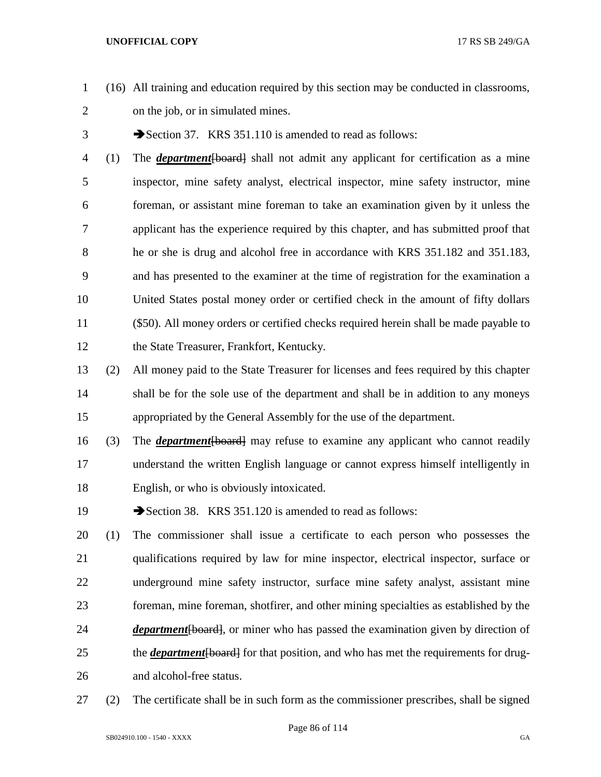- (16) All training and education required by this section may be conducted in classrooms, on the job, or in simulated mines.
- 3 Section 37. KRS 351.110 is amended to read as follows:
- (1) The *department*[board] shall not admit any applicant for certification as a mine inspector, mine safety analyst, electrical inspector, mine safety instructor, mine foreman, or assistant mine foreman to take an examination given by it unless the applicant has the experience required by this chapter, and has submitted proof that he or she is drug and alcohol free in accordance with KRS 351.182 and 351.183, and has presented to the examiner at the time of registration for the examination a United States postal money order or certified check in the amount of fifty dollars (\$50). All money orders or certified checks required herein shall be made payable to the State Treasurer, Frankfort, Kentucky.
- (2) All money paid to the State Treasurer for licenses and fees required by this chapter shall be for the sole use of the department and shall be in addition to any moneys appropriated by the General Assembly for the use of the department.
- (3) The *department*[board] may refuse to examine any applicant who cannot readily understand the written English language or cannot express himself intelligently in English, or who is obviously intoxicated.
- 19 Section 38. KRS 351.120 is amended to read as follows:
- (1) The commissioner shall issue a certificate to each person who possesses the qualifications required by law for mine inspector, electrical inspector, surface or underground mine safety instructor, surface mine safety analyst, assistant mine foreman, mine foreman, shotfirer, and other mining specialties as established by the *department*[board], or miner who has passed the examination given by direction of 25 the *department* [board] for that position, and who has met the requirements for drug-and alcohol-free status.
- (2) The certificate shall be in such form as the commissioner prescribes, shall be signed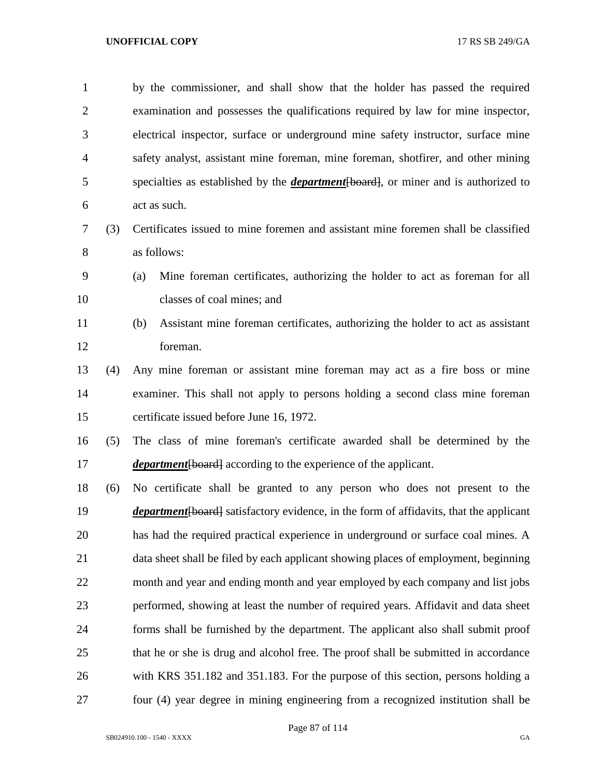by the commissioner, and shall show that the holder has passed the required examination and possesses the qualifications required by law for mine inspector, electrical inspector, surface or underground mine safety instructor, surface mine safety analyst, assistant mine foreman, mine foreman, shotfirer, and other mining specialties as established by the *department*[board], or miner and is authorized to act as such.

- (3) Certificates issued to mine foremen and assistant mine foremen shall be classified as follows:
- (a) Mine foreman certificates, authorizing the holder to act as foreman for all classes of coal mines; and
- 
- (b) Assistant mine foreman certificates, authorizing the holder to act as assistant foreman.
- (4) Any mine foreman or assistant mine foreman may act as a fire boss or mine examiner. This shall not apply to persons holding a second class mine foreman certificate issued before June 16, 1972.
- (5) The class of mine foreman's certificate awarded shall be determined by the *department* [board] according to the experience of the applicant.
- (6) No certificate shall be granted to any person who does not present to the *department* [board] satisfactory evidence, in the form of affidavits, that the applicant has had the required practical experience in underground or surface coal mines. A data sheet shall be filed by each applicant showing places of employment, beginning month and year and ending month and year employed by each company and list jobs performed, showing at least the number of required years. Affidavit and data sheet forms shall be furnished by the department. The applicant also shall submit proof that he or she is drug and alcohol free. The proof shall be submitted in accordance with KRS 351.182 and 351.183. For the purpose of this section, persons holding a four (4) year degree in mining engineering from a recognized institution shall be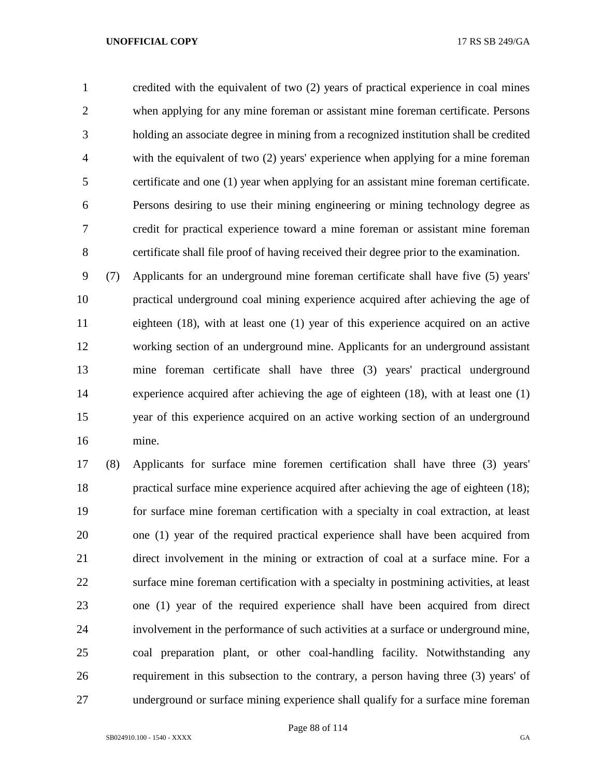credited with the equivalent of two (2) years of practical experience in coal mines when applying for any mine foreman or assistant mine foreman certificate. Persons holding an associate degree in mining from a recognized institution shall be credited with the equivalent of two (2) years' experience when applying for a mine foreman certificate and one (1) year when applying for an assistant mine foreman certificate. Persons desiring to use their mining engineering or mining technology degree as credit for practical experience toward a mine foreman or assistant mine foreman certificate shall file proof of having received their degree prior to the examination.

 (7) Applicants for an underground mine foreman certificate shall have five (5) years' practical underground coal mining experience acquired after achieving the age of eighteen (18), with at least one (1) year of this experience acquired on an active working section of an underground mine. Applicants for an underground assistant mine foreman certificate shall have three (3) years' practical underground experience acquired after achieving the age of eighteen (18), with at least one (1) year of this experience acquired on an active working section of an underground mine.

 (8) Applicants for surface mine foremen certification shall have three (3) years' practical surface mine experience acquired after achieving the age of eighteen (18); for surface mine foreman certification with a specialty in coal extraction, at least one (1) year of the required practical experience shall have been acquired from direct involvement in the mining or extraction of coal at a surface mine. For a surface mine foreman certification with a specialty in postmining activities, at least one (1) year of the required experience shall have been acquired from direct involvement in the performance of such activities at a surface or underground mine, coal preparation plant, or other coal-handling facility. Notwithstanding any requirement in this subsection to the contrary, a person having three (3) years' of underground or surface mining experience shall qualify for a surface mine foreman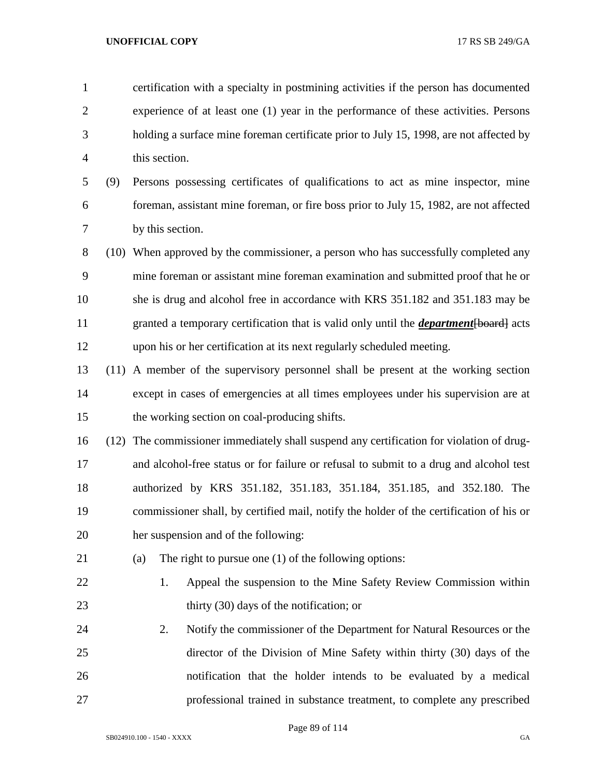| $\mathbf{1}$   |     |     |                  | certification with a specialty in postmining activities if the person has documented          |
|----------------|-----|-----|------------------|-----------------------------------------------------------------------------------------------|
| $\overline{2}$ |     |     |                  | experience of at least one (1) year in the performance of these activities. Persons           |
| 3              |     |     |                  | holding a surface mine foreman certificate prior to July 15, 1998, are not affected by        |
| $\overline{4}$ |     |     | this section.    |                                                                                               |
| 5              | (9) |     |                  | Persons possessing certificates of qualifications to act as mine inspector, mine              |
| 6              |     |     |                  | foreman, assistant mine foreman, or fire boss prior to July 15, 1982, are not affected        |
| 7              |     |     | by this section. |                                                                                               |
| $8\,$          |     |     |                  | (10) When approved by the commissioner, a person who has successfully completed any           |
| 9              |     |     |                  | mine foreman or assistant mine foreman examination and submitted proof that he or             |
| 10             |     |     |                  | she is drug and alcohol free in accordance with KRS 351.182 and 351.183 may be                |
| 11             |     |     |                  | granted a temporary certification that is valid only until the <i>department</i> [board] acts |
| 12             |     |     |                  | upon his or her certification at its next regularly scheduled meeting.                        |
| 13             |     |     |                  | (11) A member of the supervisory personnel shall be present at the working section            |
| 14             |     |     |                  | except in cases of emergencies at all times employees under his supervision are at            |
| 15             |     |     |                  | the working section on coal-producing shifts.                                                 |
| 16             |     |     |                  | (12) The commissioner immediately shall suspend any certification for violation of drug-      |
| 17             |     |     |                  | and alcohol-free status or for failure or refusal to submit to a drug and alcohol test        |
| 18             |     |     |                  | authorized by KRS 351.182, 351.183, 351.184, 351.185, and 352.180. The                        |
| 19             |     |     |                  | commissioner shall, by certified mail, notify the holder of the certification of his or       |
| 20             |     |     |                  | her suspension and of the following:                                                          |
| 21             |     | (a) |                  | The right to pursue one $(1)$ of the following options:                                       |
| 22             |     |     | 1.               | Appeal the suspension to the Mine Safety Review Commission within                             |
| 23             |     |     |                  | thirty (30) days of the notification; or                                                      |
| 24             |     |     | 2.               | Notify the commissioner of the Department for Natural Resources or the                        |
| 25             |     |     |                  | director of the Division of Mine Safety within thirty (30) days of the                        |
| 26             |     |     |                  | notification that the holder intends to be evaluated by a medical                             |
| 27             |     |     |                  | professional trained in substance treatment, to complete any prescribed                       |

Page 89 of 114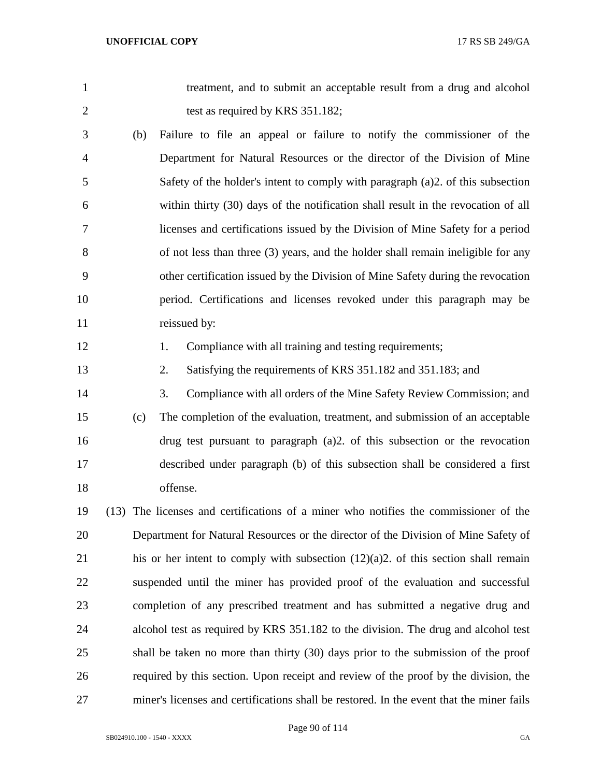treatment, and to submit an acceptable result from a drug and alcohol 2 test as required by KRS 351.182;

- (b) Failure to file an appeal or failure to notify the commissioner of the Department for Natural Resources or the director of the Division of Mine Safety of the holder's intent to comply with paragraph (a)2. of this subsection within thirty (30) days of the notification shall result in the revocation of all licenses and certifications issued by the Division of Mine Safety for a period of not less than three (3) years, and the holder shall remain ineligible for any other certification issued by the Division of Mine Safety during the revocation period. Certifications and licenses revoked under this paragraph may be 11 reissued by:
- 
- 12 1. Compliance with all training and testing requirements;
- 2. Satisfying the requirements of KRS 351.182 and 351.183; and
- 3. Compliance with all orders of the Mine Safety Review Commission; and (c) The completion of the evaluation, treatment, and submission of an acceptable drug test pursuant to paragraph (a)2. of this subsection or the revocation described under paragraph (b) of this subsection shall be considered a first offense.
- (13) The licenses and certifications of a miner who notifies the commissioner of the Department for Natural Resources or the director of the Division of Mine Safety of his or her intent to comply with subsection (12)(a)2. of this section shall remain suspended until the miner has provided proof of the evaluation and successful completion of any prescribed treatment and has submitted a negative drug and alcohol test as required by KRS 351.182 to the division. The drug and alcohol test shall be taken no more than thirty (30) days prior to the submission of the proof required by this section. Upon receipt and review of the proof by the division, the miner's licenses and certifications shall be restored. In the event that the miner fails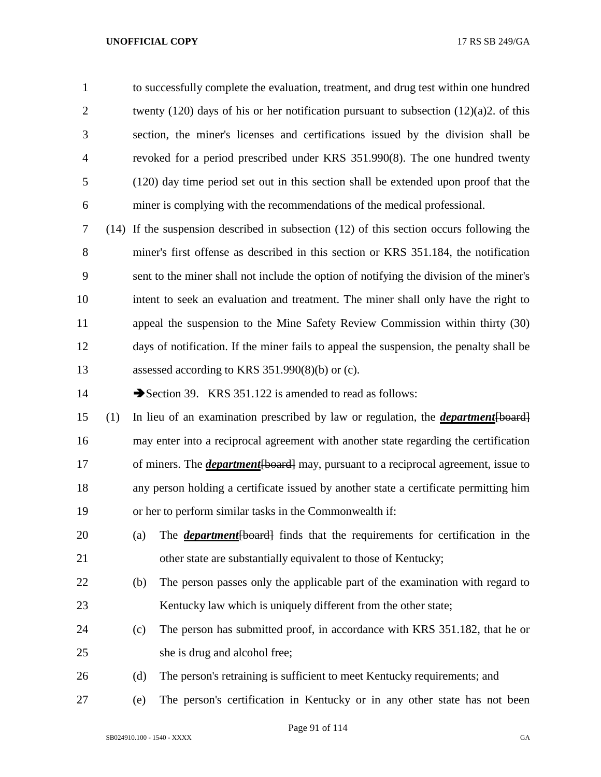to successfully complete the evaluation, treatment, and drug test within one hundred 2 twenty (120) days of his or her notification pursuant to subsection (12)(a)2. of this section, the miner's licenses and certifications issued by the division shall be revoked for a period prescribed under KRS 351.990(8). The one hundred twenty (120) day time period set out in this section shall be extended upon proof that the miner is complying with the recommendations of the medical professional.

 (14) If the suspension described in subsection (12) of this section occurs following the miner's first offense as described in this section or KRS 351.184, the notification sent to the miner shall not include the option of notifying the division of the miner's intent to seek an evaluation and treatment. The miner shall only have the right to appeal the suspension to the Mine Safety Review Commission within thirty (30) days of notification. If the miner fails to appeal the suspension, the penalty shall be assessed according to KRS 351.990(8)(b) or (c).

14 Section 39. KRS 351.122 is amended to read as follows:

 (1) In lieu of an examination prescribed by law or regulation, the *department*[board] may enter into a reciprocal agreement with another state regarding the certification of miners. The *department*[board] may, pursuant to a reciprocal agreement, issue to any person holding a certificate issued by another state a certificate permitting him or her to perform similar tasks in the Commonwealth if:

- (a) The *department*[board] finds that the requirements for certification in the other state are substantially equivalent to those of Kentucky;
- (b) The person passes only the applicable part of the examination with regard to 23 Kentucky law which is uniquely different from the other state;
- (c) The person has submitted proof, in accordance with KRS 351.182, that he or she is drug and alcohol free;
- (d) The person's retraining is sufficient to meet Kentucky requirements; and
- (e) The person's certification in Kentucky or in any other state has not been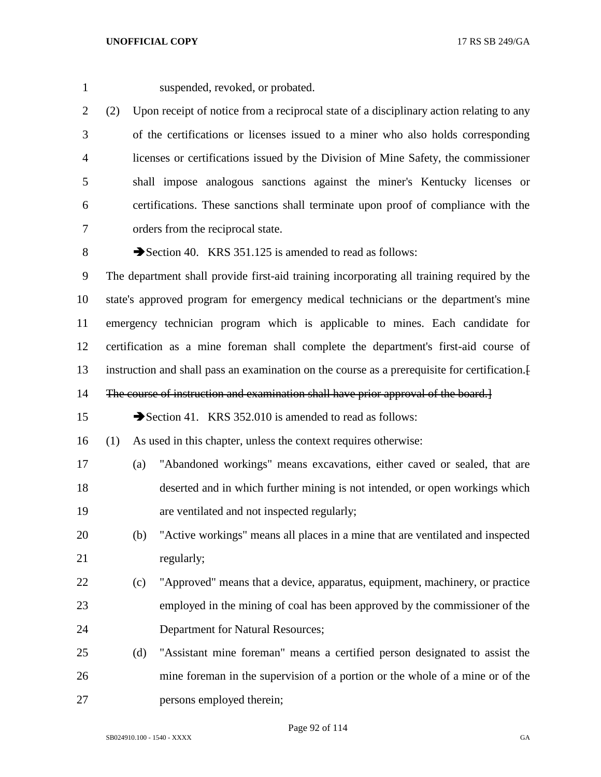suspended, revoked, or probated.

 (2) Upon receipt of notice from a reciprocal state of a disciplinary action relating to any of the certifications or licenses issued to a miner who also holds corresponding licenses or certifications issued by the Division of Mine Safety, the commissioner shall impose analogous sanctions against the miner's Kentucky licenses or certifications. These sanctions shall terminate upon proof of compliance with the orders from the reciprocal state.

8 Section 40. KRS 351.125 is amended to read as follows:

 The department shall provide first-aid training incorporating all training required by the state's approved program for emergency medical technicians or the department's mine emergency technician program which is applicable to mines. Each candidate for certification as a mine foreman shall complete the department's first-aid course of instruction and shall pass an examination on the course as a prerequisite for certification.[

14 The course of instruction and examination shall have prior approval of the board.

15 Section 41. KRS 352.010 is amended to read as follows:

(1) As used in this chapter, unless the context requires otherwise:

- (a) "Abandoned workings" means excavations, either caved or sealed, that are deserted and in which further mining is not intended, or open workings which are ventilated and not inspected regularly;
- (b) "Active workings" means all places in a mine that are ventilated and inspected 21 regularly;
- (c) "Approved" means that a device, apparatus, equipment, machinery, or practice employed in the mining of coal has been approved by the commissioner of the Department for Natural Resources;
- (d) "Assistant mine foreman" means a certified person designated to assist the mine foreman in the supervision of a portion or the whole of a mine or of the persons employed therein;

Page 92 of 114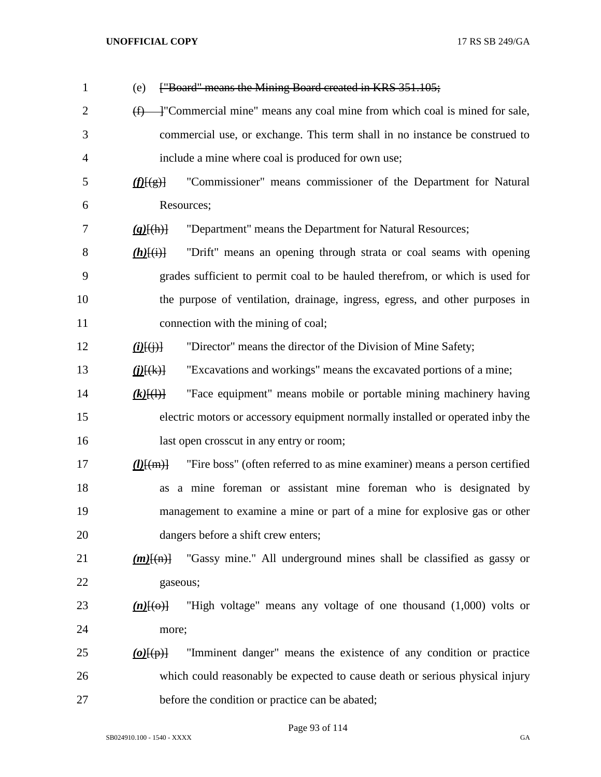| $\mathbf{1}$   | ["Board" means the Mining Board created in KRS 351.105;<br>(e)                                       |
|----------------|------------------------------------------------------------------------------------------------------|
| $\overline{2}$ | +"Commercial mine" means any coal mine from which coal is mined for sale,<br>$\bigoplus$             |
| 3              | commercial use, or exchange. This term shall in no instance be construed to                          |
| 4              | include a mine where coal is produced for own use;                                                   |
| 5              | "Commissioner" means commissioner of the Department for Natural<br>f(E(g))                           |
| 6              | Resources;                                                                                           |
| 7              | "Department" means the Department for Natural Resources;<br>$(g)$ $(h)$ }                            |
| 8              | "Drift" means an opening through strata or coal seams with opening<br>$(h)$ $(i)$                    |
| 9              | grades sufficient to permit coal to be hauled therefrom, or which is used for                        |
| 10             | the purpose of ventilation, drainage, ingress, egress, and other purposes in                         |
| 11             | connection with the mining of coal;                                                                  |
| 12             | "Director" means the director of the Division of Mine Safety;<br>$\underline{(i)}\overline{(\cdot)}$ |
| 13             | "Excavations and workings" means the excavated portions of a mine;<br>$(j)$ $(k)$                    |
| 14             | "Face equipment" means mobile or portable mining machinery having<br>$(k)$ $(\cdot)$                 |
| 15             | electric motors or accessory equipment normally installed or operated inby the                       |
| 16             | last open crosscut in any entry or room;                                                             |
| 17             | "Fire boss" (often referred to as mine examiner) means a person certified<br>$(l)$ $\{ (m) \}$       |
| 18             | a mine foreman or assistant mine foreman who is designated by<br>as                                  |
| 19             | management to examine a mine or part of a mine for explosive gas or other                            |
| 20             | dangers before a shift crew enters;                                                                  |
| 21             | "Gassy mine." All underground mines shall be classified as gassy or<br>$(m)$ $\{(m)\}$               |
| 22             | gaseous;                                                                                             |
| 23             | "High voltage" means any voltage of one thousand (1,000) volts or<br>$(n)$ [(o)]                     |
| 24             | more;                                                                                                |
| 25             | "Imminent danger" means the existence of any condition or practice<br>$\omega(\varphi)$              |
| 26             | which could reasonably be expected to cause death or serious physical injury                         |
| 27             | before the condition or practice can be abated;                                                      |

Page 93 of 114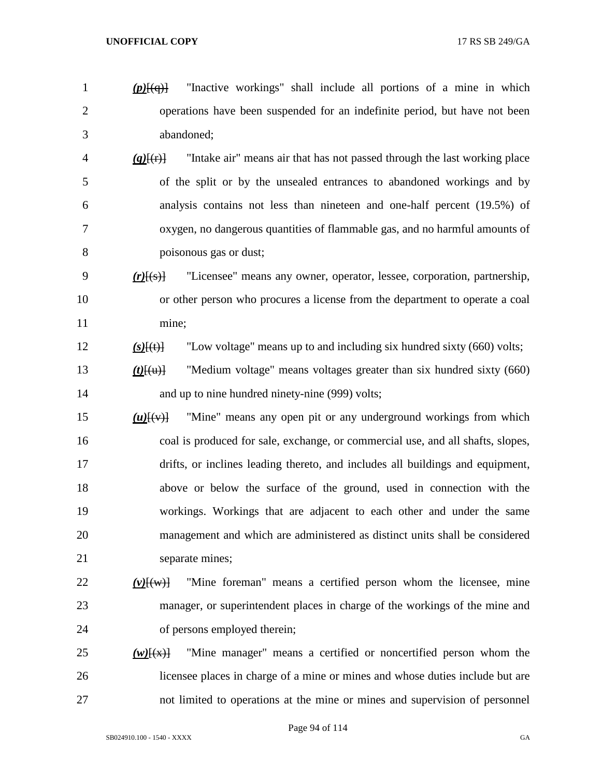*(p)*[(q)] "Inactive workings" shall include all portions of a mine in which operations have been suspended for an indefinite period, but have not been abandoned;

- *(q)*[(r)] "Intake air" means air that has not passed through the last working place of the split or by the unsealed entrances to abandoned workings and by analysis contains not less than nineteen and one-half percent (19.5%) of oxygen, no dangerous quantities of flammable gas, and no harmful amounts of poisonous gas or dust;
- *(r)*[(s)] "Licensee" means any owner, operator, lessee, corporation, partnership, or other person who procures a license from the department to operate a coal mine;
- *(s)*[(t)] "Low voltage" means up to and including six hundred sixty (660) volts;
- *(t)*[(u)] "Medium voltage" means voltages greater than six hundred sixty (660) 14 and up to nine hundred ninety-nine (999) volts;
- *(u)*[(v)] "Mine" means any open pit or any underground workings from which coal is produced for sale, exchange, or commercial use, and all shafts, slopes, drifts, or inclines leading thereto, and includes all buildings and equipment, above or below the surface of the ground, used in connection with the workings. Workings that are adjacent to each other and under the same management and which are administered as distinct units shall be considered 21 separate mines;

# *(v)*[(w)] "Mine foreman" means a certified person whom the licensee, mine manager, or superintendent places in charge of the workings of the mine and of persons employed therein;

 *(w)* $\frac{f(x)}{g}$  "Mine manager" means a certified or noncertified person whom the licensee places in charge of a mine or mines and whose duties include but are not limited to operations at the mine or mines and supervision of personnel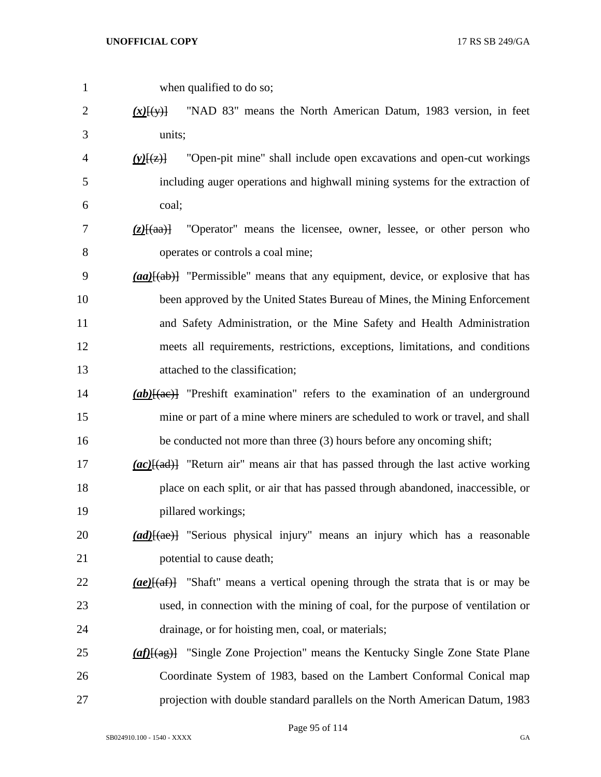when qualified to do so; *(x)*[(y)] "NAD 83" means the North American Datum, 1983 version, in feet units; *(y)*[(z)] "Open-pit mine" shall include open excavations and open-cut workings including auger operations and highwall mining systems for the extraction of coal; *(z)*[(aa)] "Operator" means the licensee, owner, lessee, or other person who operates or controls a coal mine; *(aa)*[(ab)] "Permissible" means that any equipment, device, or explosive that has been approved by the United States Bureau of Mines, the Mining Enforcement and Safety Administration, or the Mine Safety and Health Administration meets all requirements, restrictions, exceptions, limitations, and conditions attached to the classification; *(ab)* $\frac{1}{2}$  <sup>"</sup>Preshift examination" refers to the examination of an underground mine or part of a mine where miners are scheduled to work or travel, and shall be conducted not more than three (3) hours before any oncoming shift; *(ac)*[(ad)] "Return air" means air that has passed through the last active working place on each split, or air that has passed through abandoned, inaccessible, or pillared workings; *(ad)*[(ae)] "Serious physical injury" means an injury which has a reasonable **potential to cause death;**  *(ae)*[(af)] "Shaft" means a vertical opening through the strata that is or may be used, in connection with the mining of coal, for the purpose of ventilation or drainage, or for hoisting men, coal, or materials; *(af)*[(ag)] "Single Zone Projection" means the Kentucky Single Zone State Plane Coordinate System of 1983, based on the Lambert Conformal Conical map projection with double standard parallels on the North American Datum, 1983

Page 95 of 114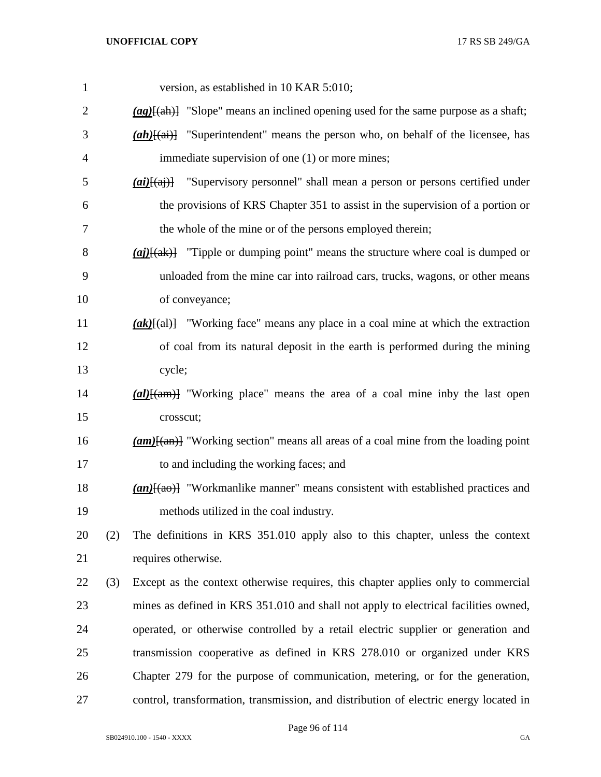| $\mathbf{1}$ |     | version, as established in 10 KAR 5:010;                                                                        |
|--------------|-----|-----------------------------------------------------------------------------------------------------------------|
| 2            |     | $\frac{qg}{(ag)}$ "Slope" means an inclined opening used for the same purpose as a shaft;                       |
| 3            |     | $(ah)$ [(ai)] "Superintendent" means the person who, on behalf of the licensee, has                             |
| 4            |     | immediate supervision of one (1) or more mines;                                                                 |
| 5            |     | $\overline{(ai)}$ [(aj)] "Supervisory personnel" shall mean a person or persons certified under                 |
| 6            |     | the provisions of KRS Chapter 351 to assist in the supervision of a portion or                                  |
| 7            |     | the whole of the mine or of the persons employed therein;                                                       |
| 8            |     | $\frac{a}{b}$ ( <i>aj</i> ) $\frac{a}{b}$ "Tipple or dumping point" means the structure where coal is dumped or |
| 9            |     | unloaded from the mine car into railroad cars, trucks, wagons, or other means                                   |
| 10           |     | of conveyance;                                                                                                  |
| 11           |     | $(\alpha k)$ [(al)] "Working face" means any place in a coal mine at which the extraction                       |
| 12           |     | of coal from its natural deposit in the earth is performed during the mining                                    |
| 13           |     | cycle;                                                                                                          |
| 14           |     | $\frac{a}{\text{ln}(a)}$ "Working place" means the area of a coal mine inby the last open                       |
| 15           |     | crosscut;                                                                                                       |
| 16           |     | $(\alpha m)$ [(an)] "Working section" means all areas of a coal mine from the loading point                     |
| 17           |     | to and including the working faces; and                                                                         |
| 18           |     | $(an)$ "Workmanlike manner" means consistent with established practices and                                     |
| 19           |     | methods utilized in the coal industry.                                                                          |
| 20           | (2) | The definitions in KRS 351.010 apply also to this chapter, unless the context                                   |
| 21           |     | requires otherwise.                                                                                             |
| 22           | (3) | Except as the context otherwise requires, this chapter applies only to commercial                               |
| 23           |     | mines as defined in KRS 351.010 and shall not apply to electrical facilities owned,                             |
| 24           |     | operated, or otherwise controlled by a retail electric supplier or generation and                               |
| 25           |     | transmission cooperative as defined in KRS 278.010 or organized under KRS                                       |
| 26           |     | Chapter 279 for the purpose of communication, metering, or for the generation,                                  |
| 27           |     | control, transformation, transmission, and distribution of electric energy located in                           |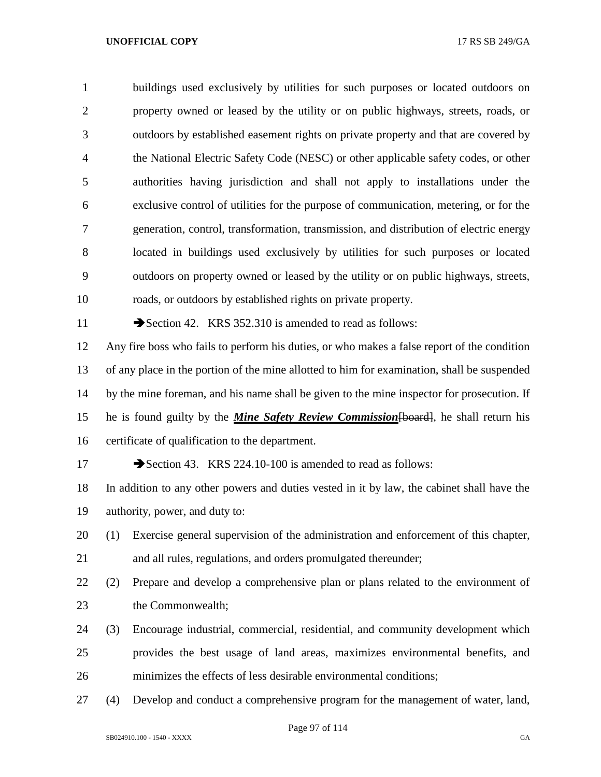buildings used exclusively by utilities for such purposes or located outdoors on property owned or leased by the utility or on public highways, streets, roads, or outdoors by established easement rights on private property and that are covered by the National Electric Safety Code (NESC) or other applicable safety codes, or other authorities having jurisdiction and shall not apply to installations under the exclusive control of utilities for the purpose of communication, metering, or for the generation, control, transformation, transmission, and distribution of electric energy located in buildings used exclusively by utilities for such purposes or located outdoors on property owned or leased by the utility or on public highways, streets, roads, or outdoors by established rights on private property. 11 Section 42. KRS 352.310 is amended to read as follows: Any fire boss who fails to perform his duties, or who makes a false report of the condition of any place in the portion of the mine allotted to him for examination, shall be suspended by the mine foreman, and his name shall be given to the mine inspector for prosecution. If

 he is found guilty by the *Mine Safety Review Commission*[board], he shall return his certificate of qualification to the department.

17 Section 43. KRS 224.10-100 is amended to read as follows:

 In addition to any other powers and duties vested in it by law, the cabinet shall have the authority, power, and duty to:

 (1) Exercise general supervision of the administration and enforcement of this chapter, and all rules, regulations, and orders promulgated thereunder;

 (2) Prepare and develop a comprehensive plan or plans related to the environment of the Commonwealth;

 (3) Encourage industrial, commercial, residential, and community development which provides the best usage of land areas, maximizes environmental benefits, and minimizes the effects of less desirable environmental conditions;

(4) Develop and conduct a comprehensive program for the management of water, land,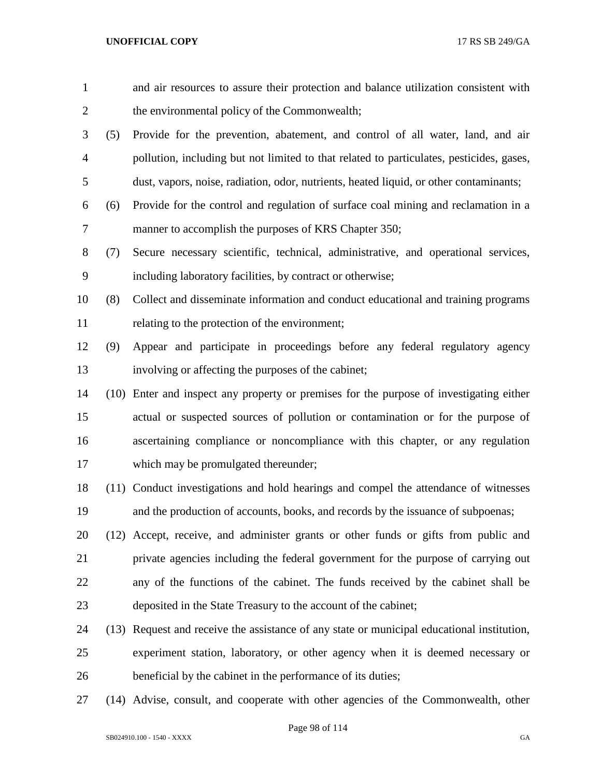| $\mathbf{1}$   |      | and air resources to assure their protection and balance utilization consistent with     |
|----------------|------|------------------------------------------------------------------------------------------|
| $\overline{c}$ |      | the environmental policy of the Commonwealth;                                            |
| 3              | (5)  | Provide for the prevention, abatement, and control of all water, land, and air           |
| $\overline{4}$ |      | pollution, including but not limited to that related to particulates, pesticides, gases, |
| 5              |      | dust, vapors, noise, radiation, odor, nutrients, heated liquid, or other contaminants;   |
| 6              | (6)  | Provide for the control and regulation of surface coal mining and reclamation in a       |
| 7              |      | manner to accomplish the purposes of KRS Chapter 350;                                    |
| 8              | (7)  | Secure necessary scientific, technical, administrative, and operational services,        |
| 9              |      | including laboratory facilities, by contract or otherwise;                               |
| 10             | (8)  | Collect and disseminate information and conduct educational and training programs        |
| 11             |      | relating to the protection of the environment;                                           |
| 12             | (9)  | Appear and participate in proceedings before any federal regulatory agency               |
| 13             |      | involving or affecting the purposes of the cabinet;                                      |
| 14             |      | (10) Enter and inspect any property or premises for the purpose of investigating either  |
| 15             |      | actual or suspected sources of pollution or contamination or for the purpose of          |
| 16             |      | ascertaining compliance or noncompliance with this chapter, or any regulation            |
| 17             |      | which may be promulgated thereunder;                                                     |
| 18             |      | (11) Conduct investigations and hold hearings and compel the attendance of witnesses     |
| 19             |      | and the production of accounts, books, and records by the issuance of subpoenas;         |
| 20             |      | (12) Accept, receive, and administer grants or other funds or gifts from public and      |
| 21             |      | private agencies including the federal government for the purpose of carrying out        |
| 22             |      | any of the functions of the cabinet. The funds received by the cabinet shall be          |
| 23             |      | deposited in the State Treasury to the account of the cabinet;                           |
| 24             | (13) | Request and receive the assistance of any state or municipal educational institution,    |
| 25             |      | experiment station, laboratory, or other agency when it is deemed necessary or           |
| 26             |      | beneficial by the cabinet in the performance of its duties;                              |
|                |      |                                                                                          |

(14) Advise, consult, and cooperate with other agencies of the Commonwealth, other

Page 98 of 114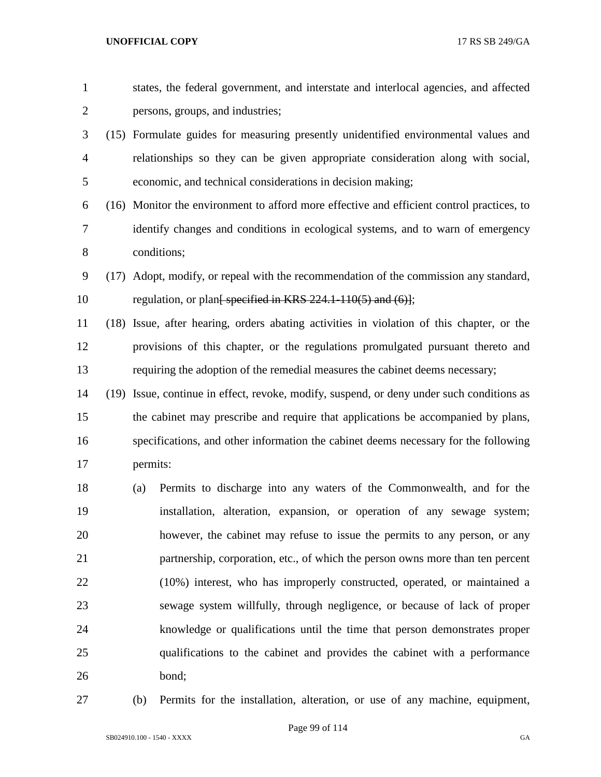| $\mathbf{1}$   |      |                                                                                      | states, the federal government, and interstate and interlocal agencies, and affected      |  |  |
|----------------|------|--------------------------------------------------------------------------------------|-------------------------------------------------------------------------------------------|--|--|
| $\overline{2}$ |      |                                                                                      | persons, groups, and industries;                                                          |  |  |
| 3              |      |                                                                                      | (15) Formulate guides for measuring presently unidentified environmental values and       |  |  |
| $\overline{4}$ |      |                                                                                      | relationships so they can be given appropriate consideration along with social,           |  |  |
| 5              |      |                                                                                      | economic, and technical considerations in decision making;                                |  |  |
| 6              |      |                                                                                      | (16) Monitor the environment to afford more effective and efficient control practices, to |  |  |
| 7              |      |                                                                                      | identify changes and conditions in ecological systems, and to warn of emergency           |  |  |
| 8              |      |                                                                                      | conditions;                                                                               |  |  |
| 9              |      |                                                                                      | (17) Adopt, modify, or repeal with the recommendation of the commission any standard,     |  |  |
| 10             |      |                                                                                      | regulation, or plan <del>[ specified in KRS 224.1-110(5) and (6)]</del> ;                 |  |  |
| 11             |      |                                                                                      | (18) Issue, after hearing, orders abating activities in violation of this chapter, or the |  |  |
| 12             |      |                                                                                      | provisions of this chapter, or the regulations promulgated pursuant thereto and           |  |  |
| 13             |      | requiring the adoption of the remedial measures the cabinet deems necessary;         |                                                                                           |  |  |
| 14             | (19) | Issue, continue in effect, revoke, modify, suspend, or deny under such conditions as |                                                                                           |  |  |
| 15             |      |                                                                                      | the cabinet may prescribe and require that applications be accompanied by plans,          |  |  |
| 16             |      |                                                                                      | specifications, and other information the cabinet deems necessary for the following       |  |  |
| 17             |      | permits:                                                                             |                                                                                           |  |  |
| 18             |      | (a)                                                                                  | Permits to discharge into any waters of the Commonwealth, and for the                     |  |  |
| 19             |      |                                                                                      | installation, alteration, expansion, or operation of any sewage system;                   |  |  |
| 20             |      |                                                                                      | however, the cabinet may refuse to issue the permits to any person, or any                |  |  |
| 21             |      |                                                                                      | partnership, corporation, etc., of which the person owns more than ten percent            |  |  |
| 22             |      |                                                                                      | (10%) interest, who has improperly constructed, operated, or maintained a                 |  |  |
| 23             |      |                                                                                      | sewage system willfully, through negligence, or because of lack of proper                 |  |  |
| 24             |      |                                                                                      | knowledge or qualifications until the time that person demonstrates proper                |  |  |
| 25             |      |                                                                                      | qualifications to the cabinet and provides the cabinet with a performance                 |  |  |
| 26             |      |                                                                                      | bond;                                                                                     |  |  |
|                |      |                                                                                      |                                                                                           |  |  |

(b) Permits for the installation, alteration, or use of any machine, equipment,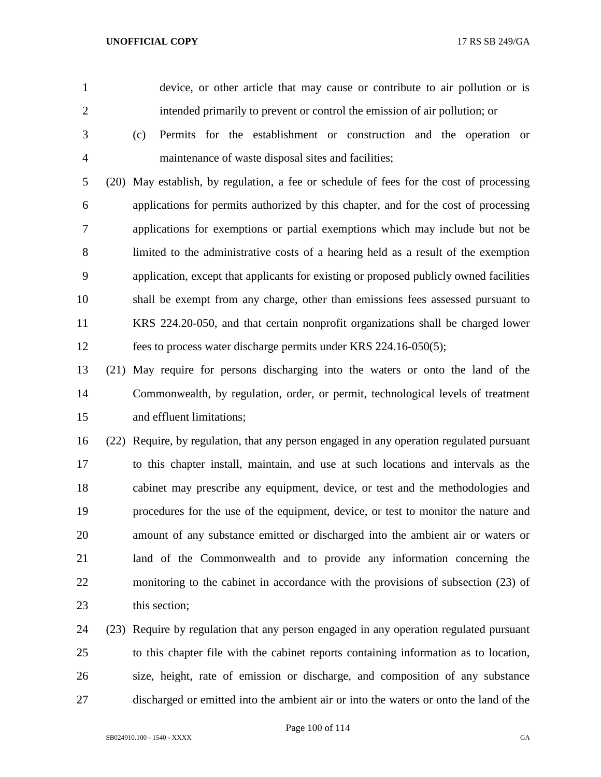device, or other article that may cause or contribute to air pollution or is intended primarily to prevent or control the emission of air pollution; or

 (c) Permits for the establishment or construction and the operation or maintenance of waste disposal sites and facilities;

 (20) May establish, by regulation, a fee or schedule of fees for the cost of processing applications for permits authorized by this chapter, and for the cost of processing applications for exemptions or partial exemptions which may include but not be limited to the administrative costs of a hearing held as a result of the exemption application, except that applicants for existing or proposed publicly owned facilities shall be exempt from any charge, other than emissions fees assessed pursuant to KRS 224.20-050, and that certain nonprofit organizations shall be charged lower fees to process water discharge permits under KRS 224.16-050(5);

 (21) May require for persons discharging into the waters or onto the land of the Commonwealth, by regulation, order, or permit, technological levels of treatment and effluent limitations;

 (22) Require, by regulation, that any person engaged in any operation regulated pursuant to this chapter install, maintain, and use at such locations and intervals as the cabinet may prescribe any equipment, device, or test and the methodologies and procedures for the use of the equipment, device, or test to monitor the nature and amount of any substance emitted or discharged into the ambient air or waters or land of the Commonwealth and to provide any information concerning the monitoring to the cabinet in accordance with the provisions of subsection (23) of this section;

 (23) Require by regulation that any person engaged in any operation regulated pursuant to this chapter file with the cabinet reports containing information as to location, size, height, rate of emission or discharge, and composition of any substance discharged or emitted into the ambient air or into the waters or onto the land of the

Page 100 of 114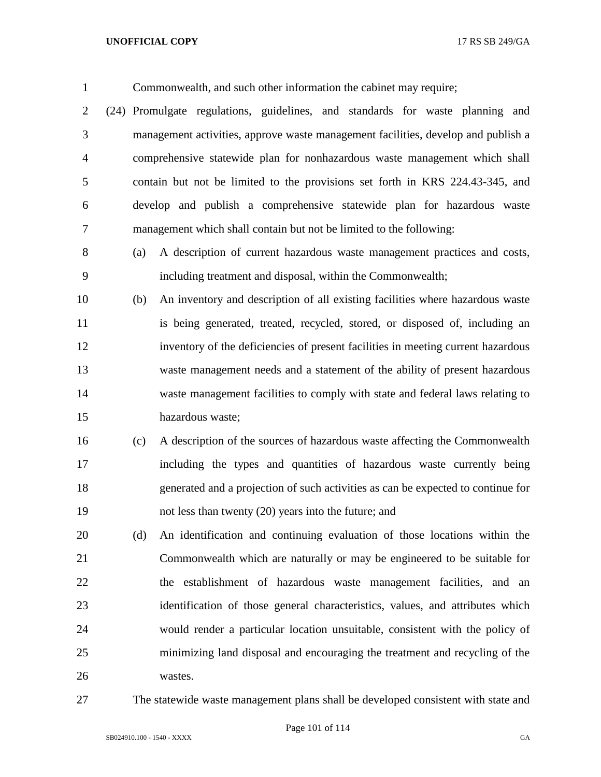Commonwealth, and such other information the cabinet may require; (24) Promulgate regulations, guidelines, and standards for waste planning and management activities, approve waste management facilities, develop and publish a comprehensive statewide plan for nonhazardous waste management which shall contain but not be limited to the provisions set forth in KRS 224.43-345, and develop and publish a comprehensive statewide plan for hazardous waste management which shall contain but not be limited to the following: (a) A description of current hazardous waste management practices and costs, including treatment and disposal, within the Commonwealth; (b) An inventory and description of all existing facilities where hazardous waste 11 is being generated, treated, recycled, stored, or disposed of, including an inventory of the deficiencies of present facilities in meeting current hazardous waste management needs and a statement of the ability of present hazardous waste management facilities to comply with state and federal laws relating to hazardous waste; (c) A description of the sources of hazardous waste affecting the Commonwealth including the types and quantities of hazardous waste currently being generated and a projection of such activities as can be expected to continue for not less than twenty (20) years into the future; and

 (d) An identification and continuing evaluation of those locations within the Commonwealth which are naturally or may be engineered to be suitable for the establishment of hazardous waste management facilities, and an identification of those general characteristics, values, and attributes which would render a particular location unsuitable, consistent with the policy of minimizing land disposal and encouraging the treatment and recycling of the wastes.

The statewide waste management plans shall be developed consistent with state and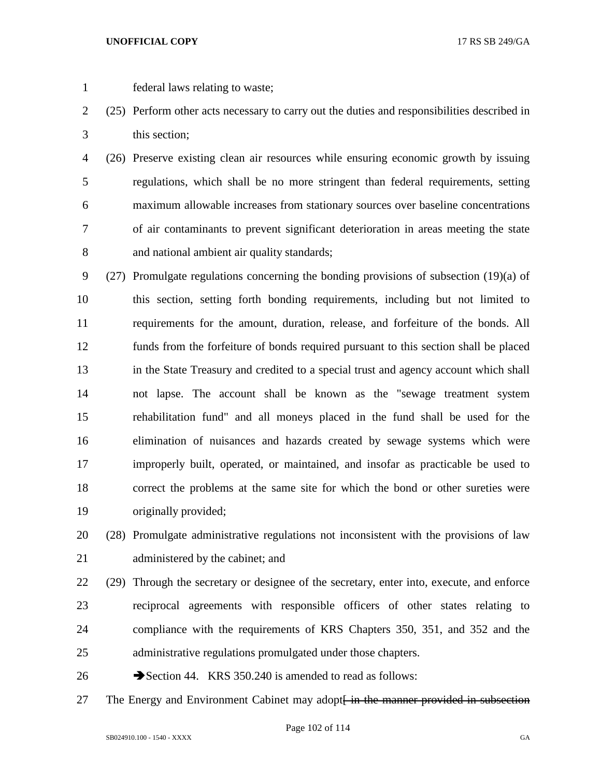- federal laws relating to waste;
- (25) Perform other acts necessary to carry out the duties and responsibilities described in this section;

 (26) Preserve existing clean air resources while ensuring economic growth by issuing regulations, which shall be no more stringent than federal requirements, setting maximum allowable increases from stationary sources over baseline concentrations of air contaminants to prevent significant deterioration in areas meeting the state and national ambient air quality standards;

 (27) Promulgate regulations concerning the bonding provisions of subsection (19)(a) of this section, setting forth bonding requirements, including but not limited to requirements for the amount, duration, release, and forfeiture of the bonds. All funds from the forfeiture of bonds required pursuant to this section shall be placed in the State Treasury and credited to a special trust and agency account which shall not lapse. The account shall be known as the "sewage treatment system rehabilitation fund" and all moneys placed in the fund shall be used for the elimination of nuisances and hazards created by sewage systems which were improperly built, operated, or maintained, and insofar as practicable be used to correct the problems at the same site for which the bond or other sureties were originally provided;

 (28) Promulgate administrative regulations not inconsistent with the provisions of law 21 administered by the cabinet; and

 (29) Through the secretary or designee of the secretary, enter into, execute, and enforce reciprocal agreements with responsible officers of other states relating to compliance with the requirements of KRS Chapters 350, 351, and 352 and the administrative regulations promulgated under those chapters.

26 Section 44. KRS 350.240 is amended to read as follows:

27 The Energy and Environment Cabinet may adopt<del> in the manner provided in subsection</del>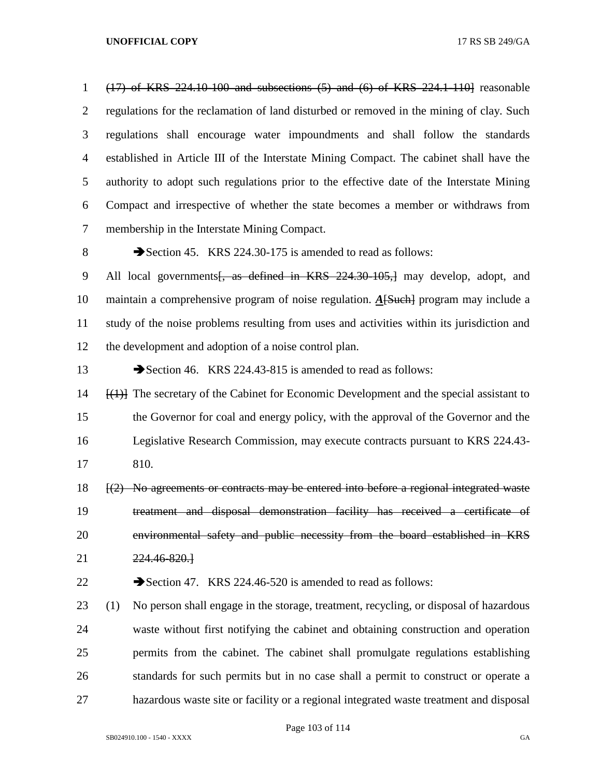(17) of KRS 224.10-100 and subsections (5) and (6) of KRS 224.1-110] reasonable regulations for the reclamation of land disturbed or removed in the mining of clay. Such regulations shall encourage water impoundments and shall follow the standards established in Article III of the Interstate Mining Compact. The cabinet shall have the authority to adopt such regulations prior to the effective date of the Interstate Mining Compact and irrespective of whether the state becomes a member or withdraws from membership in the Interstate Mining Compact.

8 Section 45. KRS 224.30-175 is amended to read as follows:

9 All local governments<del>, as defined in KRS 224.30-105,]</del> may develop, adopt, and maintain a comprehensive program of noise regulation. *A*[Such] program may include a study of the noise problems resulting from uses and activities within its jurisdiction and the development and adoption of a noise control plan.

13 Section 46. KRS 224.43-815 is amended to read as follows:

 [(1)] The secretary of the Cabinet for Economic Development and the special assistant to the Governor for coal and energy policy, with the approval of the Governor and the Legislative Research Commission, may execute contracts pursuant to KRS 224.43- 810.

 [(2) No agreements or contracts may be entered into before a regional integrated waste treatment and disposal demonstration facility has received a certificate of environmental safety and public necessity from the board established in KRS 224.46-820.]

22 Section 47. KRS 224.46-520 is amended to read as follows:

 (1) No person shall engage in the storage, treatment, recycling, or disposal of hazardous waste without first notifying the cabinet and obtaining construction and operation permits from the cabinet. The cabinet shall promulgate regulations establishing standards for such permits but in no case shall a permit to construct or operate a hazardous waste site or facility or a regional integrated waste treatment and disposal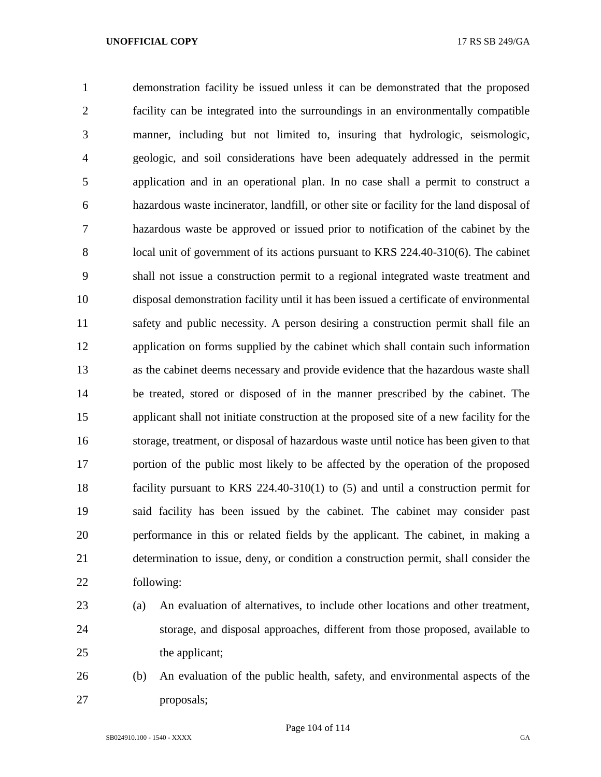demonstration facility be issued unless it can be demonstrated that the proposed facility can be integrated into the surroundings in an environmentally compatible manner, including but not limited to, insuring that hydrologic, seismologic, geologic, and soil considerations have been adequately addressed in the permit application and in an operational plan. In no case shall a permit to construct a hazardous waste incinerator, landfill, or other site or facility for the land disposal of hazardous waste be approved or issued prior to notification of the cabinet by the 8 local unit of government of its actions pursuant to KRS 224.40-310(6). The cabinet shall not issue a construction permit to a regional integrated waste treatment and disposal demonstration facility until it has been issued a certificate of environmental safety and public necessity. A person desiring a construction permit shall file an application on forms supplied by the cabinet which shall contain such information as the cabinet deems necessary and provide evidence that the hazardous waste shall be treated, stored or disposed of in the manner prescribed by the cabinet. The applicant shall not initiate construction at the proposed site of a new facility for the storage, treatment, or disposal of hazardous waste until notice has been given to that portion of the public most likely to be affected by the operation of the proposed facility pursuant to KRS 224.40-310(1) to (5) and until a construction permit for said facility has been issued by the cabinet. The cabinet may consider past performance in this or related fields by the applicant. The cabinet, in making a determination to issue, deny, or condition a construction permit, shall consider the following:

 (a) An evaluation of alternatives, to include other locations and other treatment, storage, and disposal approaches, different from those proposed, available to 25 the applicant;

 (b) An evaluation of the public health, safety, and environmental aspects of the proposals;

Page 104 of 114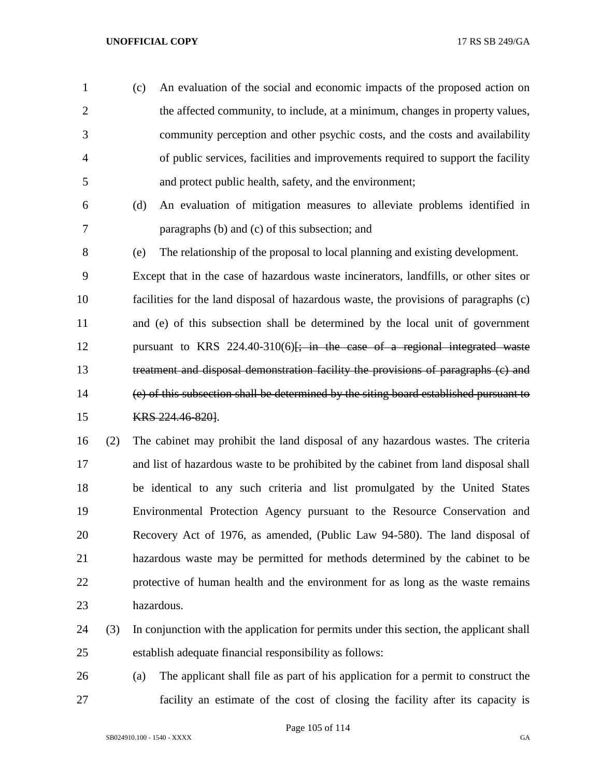(c) An evaluation of the social and economic impacts of the proposed action on the affected community, to include, at a minimum, changes in property values, community perception and other psychic costs, and the costs and availability of public services, facilities and improvements required to support the facility and protect public health, safety, and the environment;

 (d) An evaluation of mitigation measures to alleviate problems identified in paragraphs (b) and (c) of this subsection; and

 (e) The relationship of the proposal to local planning and existing development. Except that in the case of hazardous waste incinerators, landfills, or other sites or facilities for the land disposal of hazardous waste, the provisions of paragraphs (c) and (e) of this subsection shall be determined by the local unit of government 12 pursuant to KRS  $224.40-310(6)$ ; in the case of a regional integrated waste treatment and disposal demonstration facility the provisions of paragraphs (c) and (e) of this subsection shall be determined by the siting board established pursuant to KRS 224.46-820].

 (2) The cabinet may prohibit the land disposal of any hazardous wastes. The criteria and list of hazardous waste to be prohibited by the cabinet from land disposal shall be identical to any such criteria and list promulgated by the United States Environmental Protection Agency pursuant to the Resource Conservation and Recovery Act of 1976, as amended, (Public Law 94-580). The land disposal of hazardous waste may be permitted for methods determined by the cabinet to be protective of human health and the environment for as long as the waste remains hazardous.

- (3) In conjunction with the application for permits under this section, the applicant shall establish adequate financial responsibility as follows:
- (a) The applicant shall file as part of his application for a permit to construct the facility an estimate of the cost of closing the facility after its capacity is

Page 105 of 114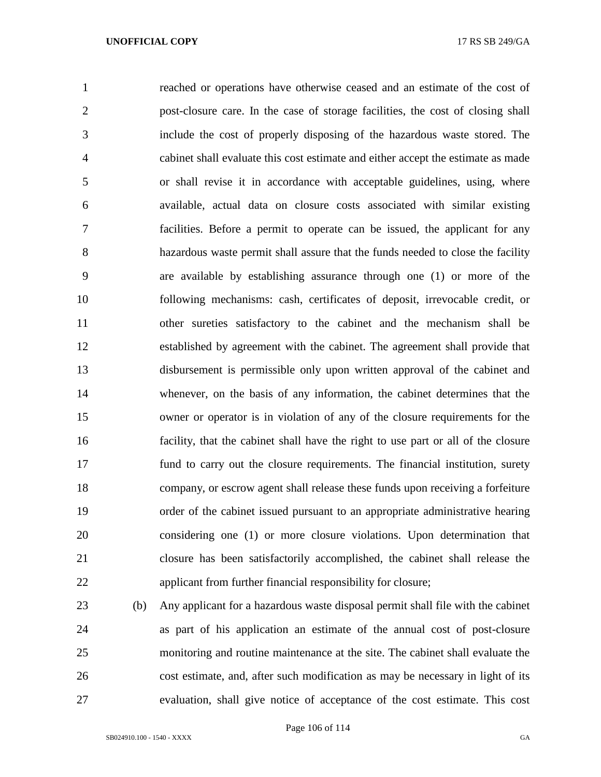reached or operations have otherwise ceased and an estimate of the cost of post-closure care. In the case of storage facilities, the cost of closing shall include the cost of properly disposing of the hazardous waste stored. The cabinet shall evaluate this cost estimate and either accept the estimate as made or shall revise it in accordance with acceptable guidelines, using, where available, actual data on closure costs associated with similar existing facilities. Before a permit to operate can be issued, the applicant for any hazardous waste permit shall assure that the funds needed to close the facility are available by establishing assurance through one (1) or more of the following mechanisms: cash, certificates of deposit, irrevocable credit, or other sureties satisfactory to the cabinet and the mechanism shall be established by agreement with the cabinet. The agreement shall provide that disbursement is permissible only upon written approval of the cabinet and whenever, on the basis of any information, the cabinet determines that the owner or operator is in violation of any of the closure requirements for the facility, that the cabinet shall have the right to use part or all of the closure fund to carry out the closure requirements. The financial institution, surety company, or escrow agent shall release these funds upon receiving a forfeiture order of the cabinet issued pursuant to an appropriate administrative hearing considering one (1) or more closure violations. Upon determination that closure has been satisfactorily accomplished, the cabinet shall release the applicant from further financial responsibility for closure;

 (b) Any applicant for a hazardous waste disposal permit shall file with the cabinet as part of his application an estimate of the annual cost of post-closure monitoring and routine maintenance at the site. The cabinet shall evaluate the cost estimate, and, after such modification as may be necessary in light of its evaluation, shall give notice of acceptance of the cost estimate. This cost

SB024910.100 - 1540 - XXXX GA

Page 106 of 114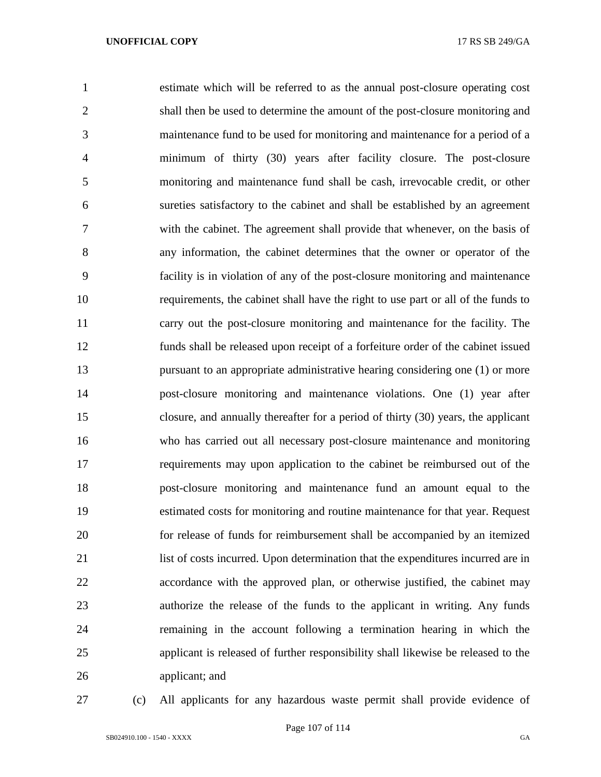estimate which will be referred to as the annual post-closure operating cost shall then be used to determine the amount of the post-closure monitoring and maintenance fund to be used for monitoring and maintenance for a period of a minimum of thirty (30) years after facility closure. The post-closure monitoring and maintenance fund shall be cash, irrevocable credit, or other sureties satisfactory to the cabinet and shall be established by an agreement with the cabinet. The agreement shall provide that whenever, on the basis of any information, the cabinet determines that the owner or operator of the facility is in violation of any of the post-closure monitoring and maintenance requirements, the cabinet shall have the right to use part or all of the funds to carry out the post-closure monitoring and maintenance for the facility. The funds shall be released upon receipt of a forfeiture order of the cabinet issued pursuant to an appropriate administrative hearing considering one (1) or more post-closure monitoring and maintenance violations. One (1) year after closure, and annually thereafter for a period of thirty (30) years, the applicant who has carried out all necessary post-closure maintenance and monitoring requirements may upon application to the cabinet be reimbursed out of the post-closure monitoring and maintenance fund an amount equal to the estimated costs for monitoring and routine maintenance for that year. Request for release of funds for reimbursement shall be accompanied by an itemized list of costs incurred. Upon determination that the expenditures incurred are in accordance with the approved plan, or otherwise justified, the cabinet may authorize the release of the funds to the applicant in writing. Any funds remaining in the account following a termination hearing in which the applicant is released of further responsibility shall likewise be released to the applicant; and

(c) All applicants for any hazardous waste permit shall provide evidence of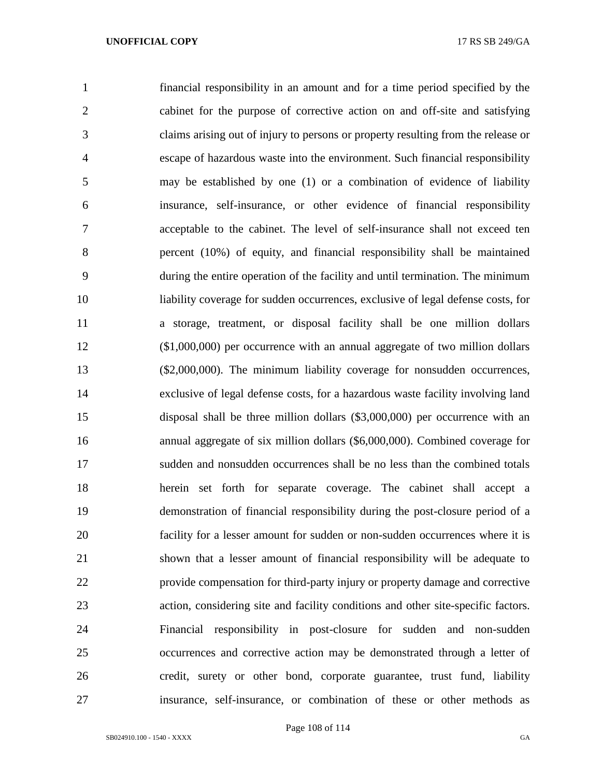financial responsibility in an amount and for a time period specified by the cabinet for the purpose of corrective action on and off-site and satisfying claims arising out of injury to persons or property resulting from the release or escape of hazardous waste into the environment. Such financial responsibility may be established by one (1) or a combination of evidence of liability insurance, self-insurance, or other evidence of financial responsibility acceptable to the cabinet. The level of self-insurance shall not exceed ten percent (10%) of equity, and financial responsibility shall be maintained during the entire operation of the facility and until termination. The minimum liability coverage for sudden occurrences, exclusive of legal defense costs, for a storage, treatment, or disposal facility shall be one million dollars (\$1,000,000) per occurrence with an annual aggregate of two million dollars (\$2,000,000). The minimum liability coverage for nonsudden occurrences, exclusive of legal defense costs, for a hazardous waste facility involving land disposal shall be three million dollars (\$3,000,000) per occurrence with an annual aggregate of six million dollars (\$6,000,000). Combined coverage for sudden and nonsudden occurrences shall be no less than the combined totals herein set forth for separate coverage. The cabinet shall accept a demonstration of financial responsibility during the post-closure period of a facility for a lesser amount for sudden or non-sudden occurrences where it is shown that a lesser amount of financial responsibility will be adequate to provide compensation for third-party injury or property damage and corrective action, considering site and facility conditions and other site-specific factors. Financial responsibility in post-closure for sudden and non-sudden occurrences and corrective action may be demonstrated through a letter of credit, surety or other bond, corporate guarantee, trust fund, liability insurance, self-insurance, or combination of these or other methods as

Page 108 of 114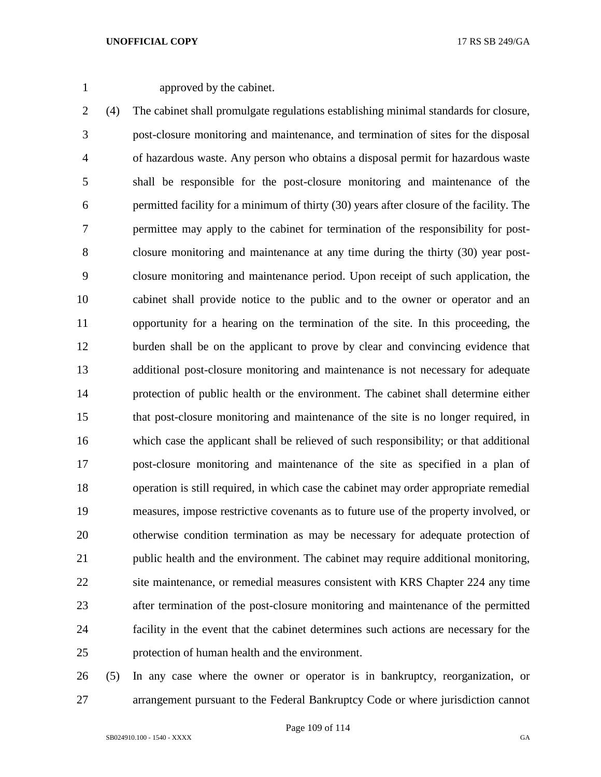approved by the cabinet.

 (4) The cabinet shall promulgate regulations establishing minimal standards for closure, post-closure monitoring and maintenance, and termination of sites for the disposal of hazardous waste. Any person who obtains a disposal permit for hazardous waste shall be responsible for the post-closure monitoring and maintenance of the permitted facility for a minimum of thirty (30) years after closure of the facility. The permittee may apply to the cabinet for termination of the responsibility for post- closure monitoring and maintenance at any time during the thirty (30) year post- closure monitoring and maintenance period. Upon receipt of such application, the cabinet shall provide notice to the public and to the owner or operator and an opportunity for a hearing on the termination of the site. In this proceeding, the burden shall be on the applicant to prove by clear and convincing evidence that additional post-closure monitoring and maintenance is not necessary for adequate protection of public health or the environment. The cabinet shall determine either that post-closure monitoring and maintenance of the site is no longer required, in which case the applicant shall be relieved of such responsibility; or that additional post-closure monitoring and maintenance of the site as specified in a plan of operation is still required, in which case the cabinet may order appropriate remedial measures, impose restrictive covenants as to future use of the property involved, or otherwise condition termination as may be necessary for adequate protection of public health and the environment. The cabinet may require additional monitoring, site maintenance, or remedial measures consistent with KRS Chapter 224 any time after termination of the post-closure monitoring and maintenance of the permitted facility in the event that the cabinet determines such actions are necessary for the protection of human health and the environment.

 (5) In any case where the owner or operator is in bankruptcy, reorganization, or arrangement pursuant to the Federal Bankruptcy Code or where jurisdiction cannot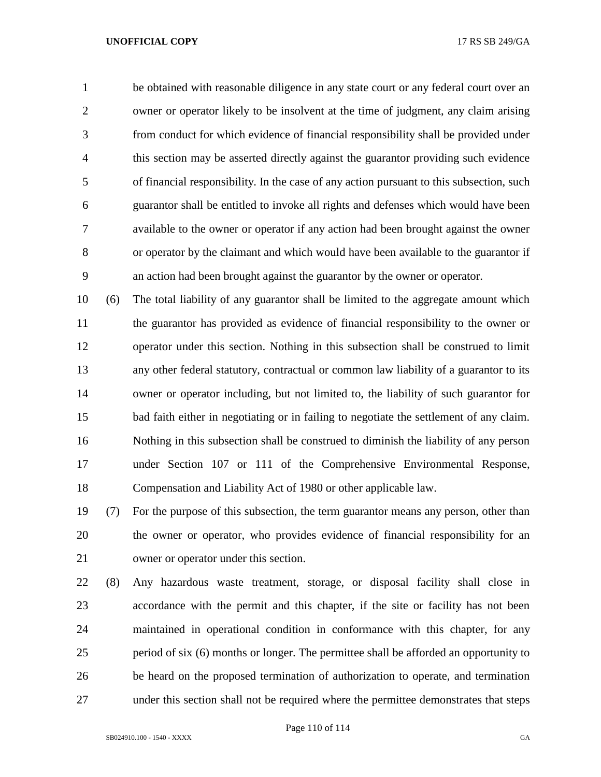be obtained with reasonable diligence in any state court or any federal court over an owner or operator likely to be insolvent at the time of judgment, any claim arising from conduct for which evidence of financial responsibility shall be provided under this section may be asserted directly against the guarantor providing such evidence of financial responsibility. In the case of any action pursuant to this subsection, such guarantor shall be entitled to invoke all rights and defenses which would have been available to the owner or operator if any action had been brought against the owner or operator by the claimant and which would have been available to the guarantor if an action had been brought against the guarantor by the owner or operator.

 (6) The total liability of any guarantor shall be limited to the aggregate amount which the guarantor has provided as evidence of financial responsibility to the owner or operator under this section. Nothing in this subsection shall be construed to limit any other federal statutory, contractual or common law liability of a guarantor to its owner or operator including, but not limited to, the liability of such guarantor for bad faith either in negotiating or in failing to negotiate the settlement of any claim. Nothing in this subsection shall be construed to diminish the liability of any person under Section 107 or 111 of the Comprehensive Environmental Response, Compensation and Liability Act of 1980 or other applicable law.

 (7) For the purpose of this subsection, the term guarantor means any person, other than the owner or operator, who provides evidence of financial responsibility for an owner or operator under this section.

 (8) Any hazardous waste treatment, storage, or disposal facility shall close in accordance with the permit and this chapter, if the site or facility has not been maintained in operational condition in conformance with this chapter, for any period of six (6) months or longer. The permittee shall be afforded an opportunity to be heard on the proposed termination of authorization to operate, and termination under this section shall not be required where the permittee demonstrates that steps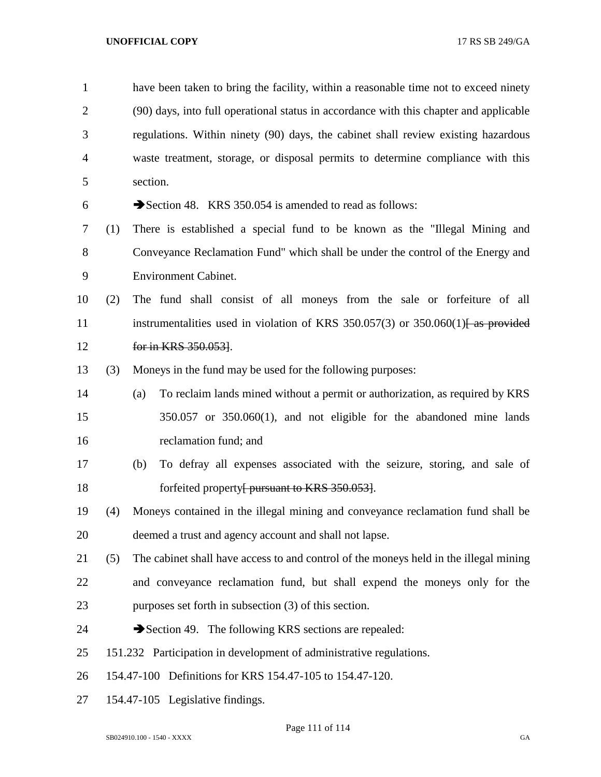| $\mathbf{1}$   |     | have been taken to bring the facility, within a reasonable time not to exceed ninety          |
|----------------|-----|-----------------------------------------------------------------------------------------------|
| $\overline{2}$ |     | (90) days, into full operational status in accordance with this chapter and applicable        |
| 3              |     | regulations. Within ninety (90) days, the cabinet shall review existing hazardous             |
| $\overline{4}$ |     | waste treatment, storage, or disposal permits to determine compliance with this               |
| 5              |     | section.                                                                                      |
| 6              |     | Section 48. KRS 350.054 is amended to read as follows:                                        |
| 7              | (1) | There is established a special fund to be known as the "Illegal Mining and                    |
| 8              |     | Conveyance Reclamation Fund" which shall be under the control of the Energy and               |
| 9              |     | <b>Environment Cabinet.</b>                                                                   |
| 10             | (2) | The fund shall consist of all moneys from the sale or forfeiture of all                       |
| 11             |     | instrumentalities used in violation of KRS 350.057(3) or 350.060(1) $\left\arrow$ as provided |
| 12             |     | for in KRS 350.053].                                                                          |
| 13             | (3) | Moneys in the fund may be used for the following purposes:                                    |
| 14             |     | To reclaim lands mined without a permit or authorization, as required by KRS<br>(a)           |
| 15             |     | $350.057$ or $350.060(1)$ , and not eligible for the abandoned mine lands                     |
| 16             |     | reclamation fund; and                                                                         |
| 17             |     | To defray all expenses associated with the seizure, storing, and sale of<br>(b)               |
| 18             |     | forfeited property <del>[ pursuant to KRS 350.053]</del> .                                    |
| 19             | (4) | Moneys contained in the illegal mining and conveyance reclamation fund shall be               |
| 20             |     | deemed a trust and agency account and shall not lapse.                                        |
| 21             | (5) | The cabinet shall have access to and control of the moneys held in the illegal mining         |
| 22             |     | and conveyance reclamation fund, but shall expend the moneys only for the                     |
| 23             |     | purposes set forth in subsection (3) of this section.                                         |
| 24             |     | Section 49. The following KRS sections are repealed:                                          |
| 25             |     | 151.232 Participation in development of administrative regulations.                           |
| 26             |     | 154.47-100 Definitions for KRS 154.47-105 to 154.47-120.                                      |
| 27             |     | 154.47-105 Legislative findings.                                                              |

Page 111 of 114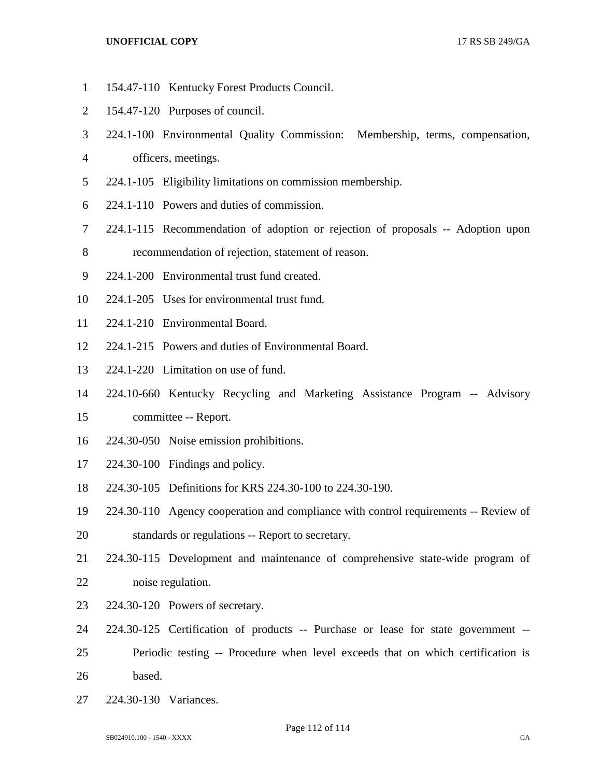- 154.47-110 Kentucky Forest Products Council.
- 154.47-120 Purposes of council.
- 224.1-100 Environmental Quality Commission: Membership, terms, compensation,
- officers, meetings.
- 224.1-105 Eligibility limitations on commission membership.
- 224.1-110 Powers and duties of commission.
- 224.1-115 Recommendation of adoption or rejection of proposals -- Adoption upon
- recommendation of rejection, statement of reason.
- 224.1-200 Environmental trust fund created.
- 224.1-205 Uses for environmental trust fund.
- 224.1-210 Environmental Board.
- 224.1-215 Powers and duties of Environmental Board.
- 224.1-220 Limitation on use of fund.
- 224.10-660 Kentucky Recycling and Marketing Assistance Program -- Advisory
- committee -- Report.
- 224.30-050 Noise emission prohibitions.
- 224.30-100 Findings and policy.
- 224.30-105 Definitions for KRS 224.30-100 to 224.30-190.
- 224.30-110 Agency cooperation and compliance with control requirements -- Review of
- standards or regulations -- Report to secretary.
- 224.30-115 Development and maintenance of comprehensive state-wide program of noise regulation.
- 224.30-120 Powers of secretary.
- 224.30-125 Certification of products -- Purchase or lease for state government --
- Periodic testing -- Procedure when level exceeds that on which certification is based.
- 224.30-130 Variances.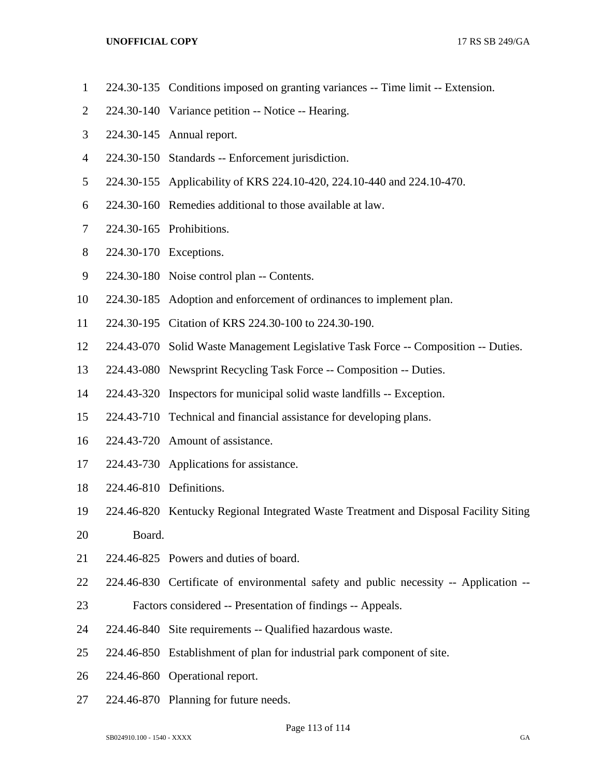- 224.30-135 Conditions imposed on granting variances -- Time limit -- Extension.
- 224.30-140 Variance petition -- Notice -- Hearing.
- 224.30-145 Annual report.
- 224.30-150 Standards -- Enforcement jurisdiction.
- 224.30-155 Applicability of KRS 224.10-420, 224.10-440 and 224.10-470.
- 224.30-160 Remedies additional to those available at law.
- 224.30-165 Prohibitions.
- 224.30-170 Exceptions.
- 224.30-180 Noise control plan -- Contents.
- 224.30-185 Adoption and enforcement of ordinances to implement plan.
- 224.30-195 Citation of KRS 224.30-100 to 224.30-190.
- 224.43-070 Solid Waste Management Legislative Task Force -- Composition -- Duties.
- 224.43-080 Newsprint Recycling Task Force -- Composition -- Duties.
- 224.43-320 Inspectors for municipal solid waste landfills -- Exception.
- 224.43-710 Technical and financial assistance for developing plans.
- 224.43-720 Amount of assistance.
- 224.43-730 Applications for assistance.
- 224.46-810 Definitions.
- 224.46-820 Kentucky Regional Integrated Waste Treatment and Disposal Facility Siting
- Board.
- 224.46-825 Powers and duties of board.
- 224.46-830 Certificate of environmental safety and public necessity -- Application --
- Factors considered -- Presentation of findings -- Appeals.
- 224.46-840 Site requirements -- Qualified hazardous waste.
- 224.46-850 Establishment of plan for industrial park component of site.
- 224.46-860 Operational report.
- 224.46-870 Planning for future needs.